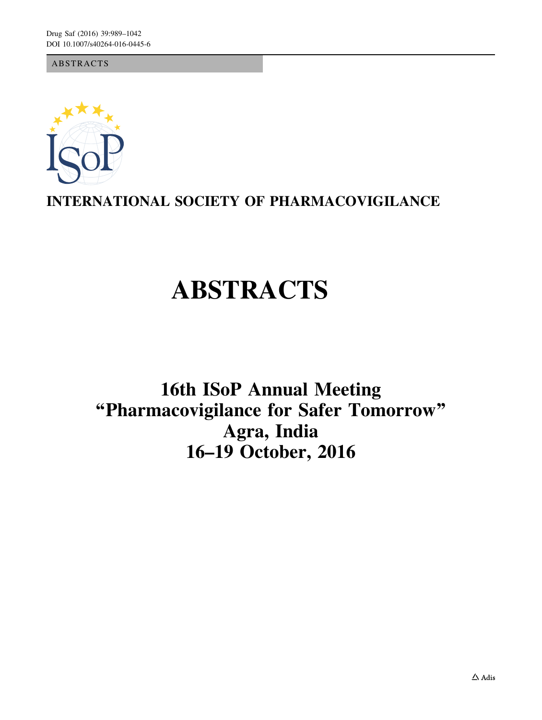ABSTRACTS



## INTERNATIONAL SOCIETY OF PHARMACOVIGILANCE

# ABSTRACTS

# 16th ISoP Annual Meeting ''Pharmacovigilance for Safer Tomorrow'' Agra, India 16–19 October, 2016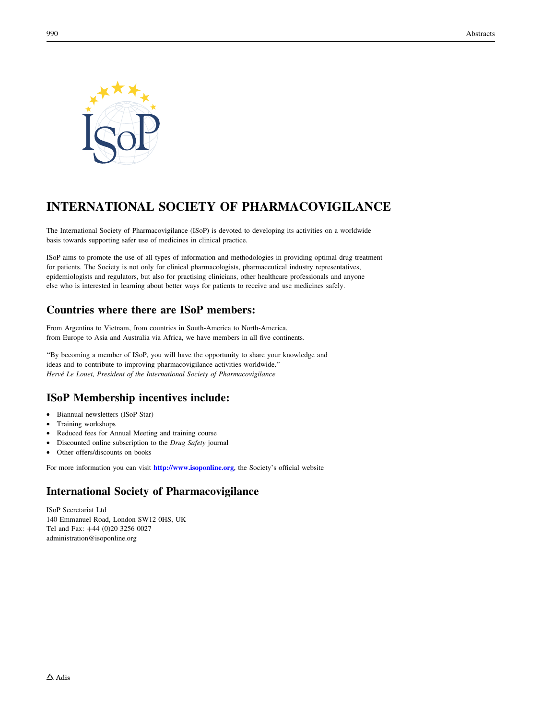

## INTERNATIONAL SOCIETY OF PHARMACOVIGILANCE

The International Society of Pharmacovigilance (ISoP) is devoted to developing its activities on a worldwide basis towards supporting safer use of medicines in clinical practice.

ISoP aims to promote the use of all types of information and methodologies in providing optimal drug treatment for patients. The Society is not only for clinical pharmacologists, pharmaceutical industry representatives, epidemiologists and regulators, but also for practising clinicians, other healthcare professionals and anyone else who is interested in learning about better ways for patients to receive and use medicines safely.

## Countries where there are ISoP members:

From Argentina to Vietnam, from countries in South-America to North-America, from Europe to Asia and Australia via Africa, we have members in all five continents.

''By becoming a member of ISoP, you will have the opportunity to share your knowledge and ideas and to contribute to improving pharmacovigilance activities worldwide.'' Hervé Le Louet, President of the International Society of Pharmacovigilance

## ISoP Membership incentives include:

- Biannual newsletters (ISoP Star)
- Training workshops
- Reduced fees for Annual Meeting and training course
- Discounted online subscription to the Drug Safety journal
- Other offers/discounts on books

For more information you can visit <http://www.isoponline.org>, the Society's official website

## International Society of Pharmacovigilance

ISoP Secretariat Ltd 140 Emmanuel Road, London SW12 0HS, UK Tel and Fax: +44 (0)20 3256 0027 administration@isoponline.org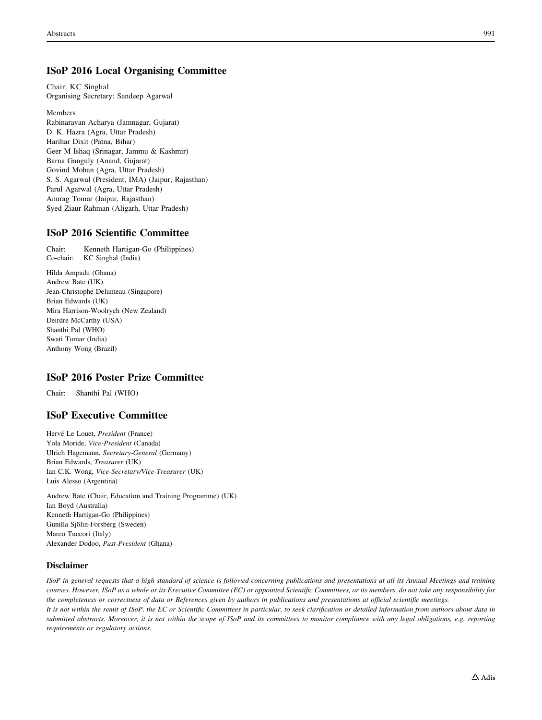## ISoP 2016 Local Organising Committee

Chair: KC Singhal Organising Secretary: Sandeep Agarwal

#### Members

Rabinarayan Acharya (Jamnagar, Gujarat) D. K. Hazra (Agra, Uttar Pradesh) Harihar Dixit (Patna, Bihar) Geer M Ishaq (Srinagar, Jammu & Kashmir) Barna Ganguly (Anand, Gujarat) Govind Mohan (Agra, Uttar Pradesh) S. S. Agarwal (President, IMA) (Jaipur, Rajasthan) Parul Agarwal (Agra, Uttar Pradesh) Anurag Tomar (Jaipur, Rajasthan) Syed Ziaur Rahman (Aligarh, Uttar Pradesh)

## ISoP 2016 Scientific Committee

Chair: Kenneth Hartigan-Go (Philippines) KC Singhal (India)

Hilda Ampadu (Ghana) Andrew Bate (UK) Jean-Christophe Delumeau (Singapore) Brian Edwards (UK) Mira Harrison-Woolrych (New Zealand) Deirdre McCarthy (USA) Shanthi Pal (WHO) Swati Tomar (India) Anthony Wong (Brazil)

## ISoP 2016 Poster Prize Committee

Chair: Shanthi Pal (WHO)

## ISoP Executive Committee

Hervé Le Louet, President (France) Yola Moride, Vice-President (Canada) Ulrich Hagemann, Secretary-General (Germany) Brian Edwards, Treasurer (UK) Ian C.K. Wong, Vice-Secretary/Vice-Treasurer (UK) Luis Alesso (Argentina)

Andrew Bate (Chair, Education and Training Programme) (UK) Ian Boyd (Australia) Kenneth Hartigan-Go (Philippines) Gunilla Sjölin-Forsberg (Sweden) Marco Tuccori (Italy) Alexander Dodoo, Past-President (Ghana)

## Disclaimer

ISoP in general requests that a high standard of science is followed concerning publications and presentations at all its Annual Meetings and training courses. However, ISoP as a whole or its Executive Committee (EC) or appointed Scientific Committees, or its members, do not take any responsibility for the completeness or correctness of data or References given by authors in publications and presentations at official scientific meetings. It is not within the remit of ISoP, the EC or Scientific Committees in particular, to seek clarification or detailed information from authors about data in submitted abstracts. Moreover, it is not within the scope of ISoP and its committees to monitor compliance with any legal obligations, e.g. reporting requirements or regulatory actions.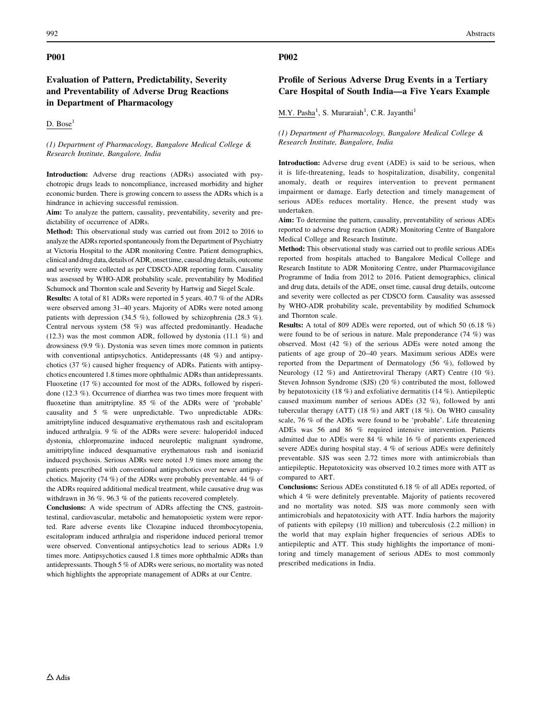## Evaluation of Pattern, Predictability, Severity and Preventability of Adverse Drug Reactions in Department of Pharmacology

 $D. Bose<sup>1</sup>$ 

#### (1) Department of Pharmacology, Bangalore Medical College & Research Institute, Bangalore, India

Introduction: Adverse drug reactions (ADRs) associated with psychotropic drugs leads to noncompliance, increased morbidity and higher economic burden. There is growing concern to assess the ADRs which is a hindrance in achieving successful remission.

Aim: To analyze the pattern, causality, preventability, severity and predictability of occurrence of ADRs.

Method: This observational study was carried out from 2012 to 2016 to analyze the ADRs reported spontaneously from the Department of Psychiatry at Victoria Hospital to the ADR monitoring Centre. Patient demographics, clinical and drugdata, details of ADR, onset time, causal drug details, outcome and severity were collected as per CDSCO-ADR reporting form. Causality was assessed by WHO-ADR probability scale, preventability by Modified Schumock and Thornton scale and Severity by Hartwig and Siegel Scale.

Results: A total of 81 ADRs were reported in 5 years. 40.7 % of the ADRs were observed among 31–40 years. Majority of ADRs were noted among patients with depression (34.5 %), followed by schizophrenia (28.3 %). Central nervous system (58 %) was affected predominantly. Headache (12.3) was the most common ADR, followed by dystonia (11.1 %) and drowsiness (9.9 %). Dystonia was seven times more common in patients with conventional antipsychotics. Antidepressants (48 %) and antipsychotics (37 %) caused higher frequency of ADRs. Patients with antipsychotics encountered 1.8 times more ophthalmic ADRs than antidepressants. Fluoxetine (17 %) accounted for most of the ADRs, followed by risperidone (12.3 %). Occurrence of diarrhea was two times more frequent with fluoxetine than amitriptyline. 85 % of the ADRs were of 'probable' causality and 5 % were unpredictable. Two unpredictable ADRs: amitriptyline induced desquamative erythematous rash and escitalopram induced arthralgia. 9 % of the ADRs were severe: haloperidol induced dystonia, chlorpromazine induced neuroleptic malignant syndrome, amitriptyline induced desquamative erythematous rash and isoniazid induced psychosis. Serious ADRs were noted 1.9 times more among the patients prescribed with conventional antipsychotics over newer antipsychotics. Majority (74 %) of the ADRs were probably preventable. 44 % of the ADRs required additional medical treatment, while causative drug was withdrawn in 36 %. 96.3 % of the patients recovered completely.

Conclusions: A wide spectrum of ADRs affecting the CNS, gastrointestinal, cardiovascular, metabolic and hematopoietic system were reported. Rare adverse events like Clozapine induced thrombocytopenia, escitalopram induced arthralgia and risperidone induced perioral tremor were observed. Conventional antipsychotics lead to serious ADRs 1.9 times more. Antipsychotics caused 1.8 times more ophthalmic ADRs than antidepressants. Though 5 % of ADRs were serious, no mortality was noted which highlights the appropriate management of ADRs at our Centre.

#### P002

## Profile of Serious Adverse Drug Events in a Tertiary Care Hospital of South India—a Five Years Example

M.Y. Pasha<sup>1</sup>, S. Muraraiah<sup>1</sup>, C.R. Jayanthi<sup>1</sup>

#### (1) Department of Pharmacology, Bangalore Medical College & Research Institute, Bangalore, India

Introduction: Adverse drug event (ADE) is said to be serious, when it is life-threatening, leads to hospitalization, disability, congenital anomaly, death or requires intervention to prevent permanent impairment or damage. Early detection and timely management of serious ADEs reduces mortality. Hence, the present study was undertaken.

Aim: To determine the pattern, causality, preventability of serious ADEs reported to adverse drug reaction (ADR) Monitoring Centre of Bangalore Medical College and Research Institute.

Method: This observational study was carried out to profile serious ADEs reported from hospitals attached to Bangalore Medical College and Research Institute to ADR Monitoring Centre, under Pharmacovigilance Programme of India from 2012 to 2016. Patient demographics, clinical and drug data, details of the ADE, onset time, causal drug details, outcome and severity were collected as per CDSCO form. Causality was assessed by WHO-ADR probability scale, preventability by modified Schumock and Thornton scale.

Results: A total of 809 ADEs were reported, out of which 50 (6.18 %) were found to be of serious in nature. Male preponderance (74 %) was observed. Most (42 %) of the serious ADEs were noted among the patients of age group of 20–40 years. Maximum serious ADEs were reported from the Department of Dermatology (56 %), followed by Neurology (12 %) and Antiretroviral Therapy (ART) Centre (10 %). Steven Johnson Syndrome (SJS) (20 %) contributed the most, followed by hepatotoxicity (18 %) and exfoliative dermatitis (14 %). Antiepileptic caused maximum number of serious ADEs (32 %), followed by anti tubercular therapy (ATT) (18 %) and ART (18 %). On WHO causality scale, 76 % of the ADEs were found to be 'probable'. Life threatening ADEs was 56 and 86 % required intensive intervention. Patients admitted due to ADEs were 84 % while 16 % of patients experienced severe ADEs during hospital stay. 4 % of serious ADEs were definitely preventable. SJS was seen 2.72 times more with antimicrobials than antiepileptic. Hepatotoxicity was observed 10.2 times more with ATT as compared to ART.

Conclusions: Serious ADEs constituted 6.18 % of all ADEs reported, of which 4 % were definitely preventable. Majority of patients recovered and no mortality was noted. SJS was more commonly seen with antimicrobials and hepatotoxicity with ATT. India harbors the majority of patients with epilepsy (10 million) and tuberculosis (2.2 million) in the world that may explain higher frequencies of serious ADEs to antiepileptic and ATT. This study highlights the importance of monitoring and timely management of serious ADEs to most commonly prescribed medications in India.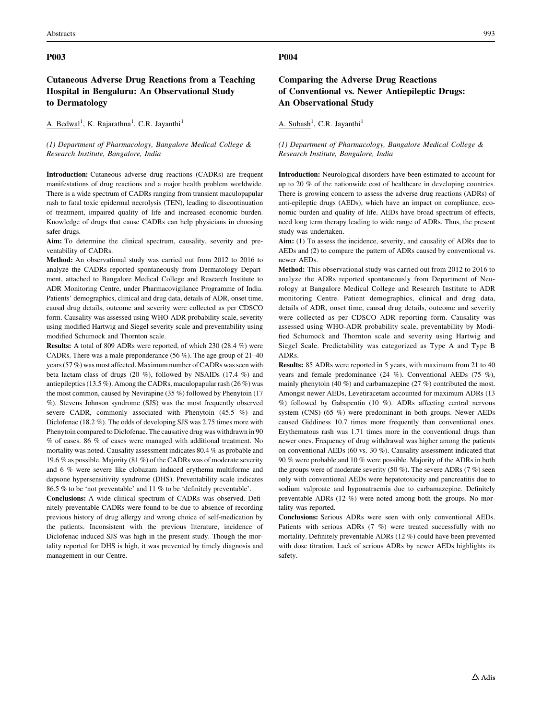## Cutaneous Adverse Drug Reactions from a Teaching Hospital in Bengaluru: An Observational Study to Dermatology

A. Bedwal<sup>1</sup>, K. Rajarathna<sup>1</sup>, C.R. Jayanthi<sup>1</sup>

#### (1) Department of Pharmacology, Bangalore Medical College & Research Institute, Bangalore, India

Introduction: Cutaneous adverse drug reactions (CADRs) are frequent manifestations of drug reactions and a major health problem worldwide. There is a wide spectrum of CADRs ranging from transient maculopapular rash to fatal toxic epidermal necrolysis (TEN), leading to discontinuation of treatment, impaired quality of life and increased economic burden. Knowledge of drugs that cause CADRs can help physicians in choosing safer drugs.

Aim: To determine the clinical spectrum, causality, severity and preventability of CADRs.

Method: An observational study was carried out from 2012 to 2016 to analyze the CADRs reported spontaneously from Dermatology Department, attached to Bangalore Medical College and Research Institute to ADR Monitoring Centre, under Pharmacovigilance Programme of India. Patients' demographics, clinical and drug data, details of ADR, onset time, causal drug details, outcome and severity were collected as per CDSCO form. Causality was assessed using WHO-ADR probability scale, severity using modified Hartwig and Siegel severity scale and preventability using modified Schumock and Thornton scale.

Results: A total of 809 ADRs were reported, of which 230 (28.4 %) were CADRs. There was a male preponderance (56 %). The age group of 21–40 years (57 %) was most affected. Maximum number of CADRs was seen with beta lactam class of drugs (20 %), followed by NSAIDs (17.4 %) and antiepileptics (13.5 %). Among the CADRs, maculopapular rash (26 %) was the most common, caused by Nevirapine (35 %) followed by Phenytoin (17 %). Stevens Johnson syndrome (SJS) was the most frequently observed severe CADR, commonly associated with Phenytoin (45.5 %) and Diclofenac (18.2 %). The odds of developing SJS was 2.75 times more with Phenytoin compared to Diclofenac. The causative drug was withdrawn in 90 % of cases. 86 % of cases were managed with additional treatment. No mortality was noted. Causality assessment indicates 80.4 % as probable and 19.6 % as possible. Majority (81 %) of the CADRs was of moderate severity and 6 % were severe like clobazam induced erythema multiforme and dapsone hypersensitivity syndrome (DHS). Preventability scale indicates 86.5 % to be 'not preventable' and 11 % to be 'definitely preventable'.

Conclusions: A wide clinical spectrum of CADRs was observed. Definitely preventable CADRs were found to be due to absence of recording previous history of drug allergy and wrong choice of self-medication by the patients. Inconsistent with the previous literature, incidence of Diclofenac induced SJS was high in the present study. Though the mortality reported for DHS is high, it was prevented by timely diagnosis and management in our Centre.

#### P004

## Comparing the Adverse Drug Reactions of Conventional vs. Newer Antiepileptic Drugs: An Observational Study

A. Subash<sup>1</sup>, C.R. Jayanthi<sup>1</sup>

#### (1) Department of Pharmacology, Bangalore Medical College & Research Institute, Bangalore, India

Introduction: Neurological disorders have been estimated to account for up to 20 % of the nationwide cost of healthcare in developing countries. There is growing concern to assess the adverse drug reactions (ADRs) of anti-epileptic drugs (AEDs), which have an impact on compliance, economic burden and quality of life. AEDs have broad spectrum of effects, need long term therapy leading to wide range of ADRs. Thus, the present study was undertaken.

Aim: (1) To assess the incidence, severity, and causality of ADRs due to AEDs and (2) to compare the pattern of ADRs caused by conventional vs. newer AEDs.

Method: This observational study was carried out from 2012 to 2016 to analyze the ADRs reported spontaneously from Department of Neurology at Bangalore Medical College and Research Institute to ADR monitoring Centre. Patient demographics, clinical and drug data, details of ADR, onset time, causal drug details, outcome and severity were collected as per CDSCO ADR reporting form. Causality was assessed using WHO-ADR probability scale, preventability by Modified Schumock and Thornton scale and severity using Hartwig and Siegel Scale. Predictability was categorized as Type A and Type B ADRs.

Results: 85 ADRs were reported in 5 years, with maximum from 21 to 40 years and female predominance (24 %). Conventional AEDs (75 %), mainly phenytoin (40 %) and carbamazepine (27 %) contributed the most. Amongst newer AEDs, Levetiracetam accounted for maximum ADRs (13 %) followed by Gabapentin (10 %). ADRs affecting central nervous system (CNS) (65 %) were predominant in both groups. Newer AEDs caused Giddiness 10.7 times more frequently than conventional ones. Erythematous rash was 1.71 times more in the conventional drugs than newer ones. Frequency of drug withdrawal was higher among the patients on conventional AEDs (60 vs. 30 %). Causality assessment indicated that 90 % were probable and 10 % were possible. Majority of the ADRs in both the groups were of moderate severity (50 %). The severe ADRs (7 %) seen only with conventional AEDs were hepatotoxicity and pancreatitis due to sodium valproate and hyponatraemia due to carbamazepine. Definitely preventable ADRs (12 %) were noted among both the groups. No mortality was reported.

Conclusions: Serious ADRs were seen with only conventional AEDs. Patients with serious ADRs (7 %) were treated successfully with no mortality. Definitely preventable ADRs (12 %) could have been prevented with dose titration. Lack of serious ADRs by newer AEDs highlights its safety.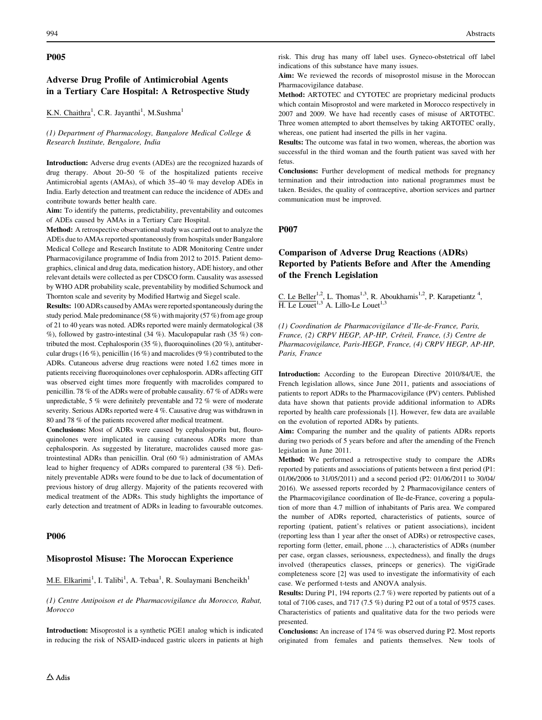## Adverse Drug Profile of Antimicrobial Agents in a Tertiary Care Hospital: A Retrospective Study

## K.N. Chaithra<sup>1</sup>, C.R. Jayanthi<sup>1</sup>, M.Sushma<sup>1</sup>

#### (1) Department of Pharmacology, Bangalore Medical College & Research Institute, Bengalore, India

Introduction: Adverse drug events (ADEs) are the recognized hazards of drug therapy. About 20–50 % of the hospitalized patients receive Antimicrobial agents (AMAs), of which 35–40 % may develop ADEs in India. Early detection and treatment can reduce the incidence of ADEs and contribute towards better health care.

Aim: To identify the patterns, predictability, preventability and outcomes of ADEs caused by AMAs in a Tertiary Care Hospital.

Method: A retrospective observational study was carried out to analyze the ADEs due to AMAs reported spontaneously from hospitals under Bangalore Medical College and Research Institute to ADR Monitoring Centre under Pharmacovigilance programme of India from 2012 to 2015. Patient demographics, clinical and drug data, medication history, ADE history, and other relevant details were collected as per CDSCO form. Causality was assessed by WHO ADR probability scale, preventability by modified Schumock and Thornton scale and severity by Modified Hartwig and Siegel scale.

Results: 100 ADRs caused by AMAs were reported spontaneously during the study period. Male predominance (58 %) with majority (57 %) from age group of 21 to 40 years was noted. ADRs reported were mainly dermatological (38 %), followed by gastro-intestinal (34 %). Maculopapular rash (35 %) contributed the most. Cephalosporin (35 %), fluoroquinolines (20 %), antitubercular drugs (16 %), penicillin (16 %) and macrolides (9 %) contributed to the ADRs. Cutaneous adverse drug reactions were noted 1.62 times more in patients receiving fluoroquinolones over cephalosporin. ADRs affecting GIT was observed eight times more frequently with macrolides compared to penicillin. 78 % of the ADRs were of probable causality. 67 % of ADRs were unpredictable, 5 % were definitely preventable and 72 % were of moderate severity. Serious ADRs reported were 4 %. Causative drug was withdrawn in 80 and 78 % of the patients recovered after medical treatment.

Conclusions: Most of ADRs were caused by cephalosporin but, flouroquinolones were implicated in causing cutaneous ADRs more than cephalosporin. As suggested by literature, macrolides caused more gastrointestinal ADRs than penicillin. Oral (60 %) administration of AMAs lead to higher frequency of ADRs compared to parenteral (38 %). Definitely preventable ADRs were found to be due to lack of documentation of previous history of drug allergy. Majority of the patients recovered with medical treatment of the ADRs. This study highlights the importance of early detection and treatment of ADRs in leading to favourable outcomes.

## P006

## Misoprostol Misuse: The Moroccan Experience

M.E. Elkarimi<sup>1</sup>, I. Talibi<sup>1</sup>, A. Tebaa<sup>1</sup>, R. Soulaymani Bencheikh<sup>1</sup>

(1) Centre Antipoison et de Pharmacovigilance du Morocco, Rabat, **Morocco** 

Introduction: Misoprostol is a synthetic PGE1 analog which is indicated in reducing the risk of NSAID-induced gastric ulcers in patients at high risk. This drug has many off label uses. Gyneco-obstetrical off label indications of this substance have many issues.

Aim: We reviewed the records of misoprostol misuse in the Moroccan Pharmacovigilance database.

Method: ARTOTEC and CYTOTEC are proprietary medicinal products which contain Misoprostol and were marketed in Morocco respectively in 2007 and 2009. We have had recently cases of misuse of ARTOTEC. Three women attempted to abort themselves by taking ARTOTEC orally, whereas, one patient had inserted the pills in her vagina.

Results: The outcome was fatal in two women, whereas, the abortion was successful in the third woman and the fourth patient was saved with her fetus.

Conclusions: Further development of medical methods for pregnancy termination and their introduction into national programmes must be taken. Besides, the quality of contraceptive, abortion services and partner communication must be improved.

#### P007

## Comparison of Adverse Drug Reactions (ADRs) Reported by Patients Before and After the Amending of the French Legislation

C. Le Beller<sup>1,2</sup>, L. Thomas<sup>1,3</sup>, R. Aboukhamis<sup>1,2</sup>, P. Karapetiantz<sup>4</sup>, H. Le Louet<sup>1,3</sup> A. Lillo-Le Louet<sup>1,3</sup>

(1) Coordination de Pharmacovigilance d'Ile-de-France, Paris, France, (2) CRPV HEGP, AP-HP, Créteil, France, (3) Centre de Pharmacovigilance, Paris-HEGP, France, (4) CRPV HEGP, AP-HP, Paris, France

Introduction: According to the European Directive 2010/84/UE, the French legislation allows, since June 2011, patients and associations of patients to report ADRs to the Pharmacovigilance (PV) centers. Published data have shown that patients provide additional information to ADRs reported by health care professionals [1]. However, few data are available on the evolution of reported ADRs by patients.

Aim: Comparing the number and the quality of patients ADRs reports during two periods of 5 years before and after the amending of the French legislation in June 2011.

Method: We performed a retrospective study to compare the ADRs reported by patients and associations of patients between a first period (P1: 01/06/2006 to 31/05/2011) and a second period (P2: 01/06/2011 to 30/04/ 2016). We assessed reports recorded by 2 Pharmacovigilance centers of the Pharmacovigilance coordination of Ile-de-France, covering a population of more than 4.7 million of inhabitants of Paris area. We compared the number of ADRs reported, characteristics of patients, source of reporting (patient, patient's relatives or patient associations), incident (reporting less than 1 year after the onset of ADRs) or retrospective cases, reporting form (letter, email, phone …), characteristics of ADRs (number per case, organ classes, seriousness, expectedness), and finally the drugs involved (therapeutics classes, princeps or generics). The vigiGrade completeness score [2] was used to investigate the informativity of each case. We performed t-tests and ANOVA analysis.

Results: During P1, 194 reports (2.7 %) were reported by patients out of a total of 7106 cases, and 717 (7.5 %) during P2 out of a total of 9575 cases. Characteristics of patients and qualitative data for the two periods were presented.

Conclusions: An increase of 174 % was observed during P2. Most reports originated from females and patients themselves. New tools of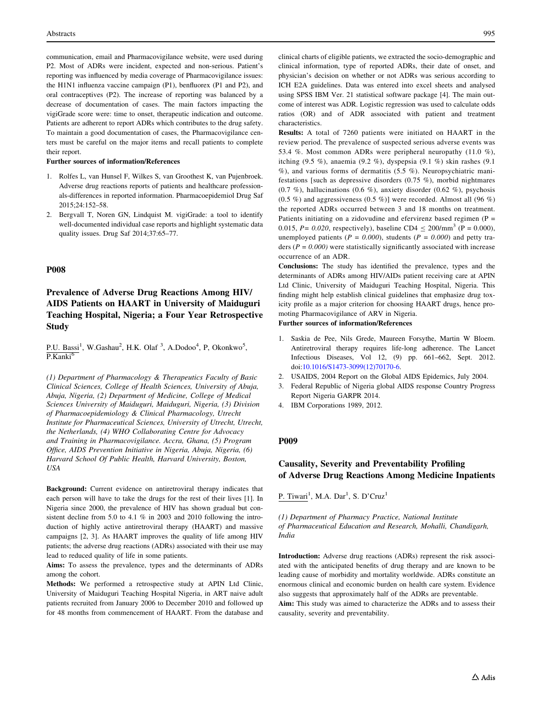communication, email and Pharmacovigilance website, were used during P2. Most of ADRs were incident, expected and non-serious. Patient's reporting was influenced by media coverage of Pharmacovigilance issues: the H1N1 influenza vaccine campaign (P1), benfluorex (P1 and P2), and oral contraceptives (P2). The increase of reporting was balanced by a decrease of documentation of cases. The main factors impacting the vigiGrade score were: time to onset, therapeutic indication and outcome. Patients are adherent to report ADRs which contributes to the drug safety. To maintain a good documentation of cases, the Pharmacovigilance centers must be careful on the major items and recall patients to complete their report.

#### Further sources of information/References

- 1. Rolfes L, van Hunsel F, Wilkes S, van Groothest K, van Pujenbroek. Adverse drug reactions reports of patients and healthcare professionals-differences in reported information. Pharmacoepidemiol Drug Saf 2015;24:152–58.
- 2. Bergvall T, Noren GN, Lindquist M. vigiGrade: a tool to identify well-documented individual case reports and highlight systematic data quality issues. Drug Saf 2014;37:65–77.

## P008

## Prevalence of Adverse Drug Reactions Among HIV/ AIDS Patients on HAART in University of Maiduguri Teaching Hospital, Nigeria; a Four Year Retrospective **Study**

P.U. Bassi<sup>1</sup>, W.Gashau<sup>2</sup>, H.K. Olaf<sup>3</sup>, A.Dodoo<sup>4</sup>, P, Okonkwo<sup>5</sup>, P.Kanki<sup>6</sup>

(1) Department of Pharmacology & Therapeutics Faculty of Basic Clinical Sciences, College of Health Sciences, University of Abuja, Abuja, Nigeria, (2) Department of Medicine, College of Medical Sciences University of Maiduguri, Maiduguri, Nigeria, (3) Division of Pharmacoepidemiology & Clinical Pharmacology, Utrecht Institute for Pharmaceutical Sciences, University of Utrecht, Utrecht, the Netherlands, (4) WHO Collaborating Centre for Advocacy and Training in Pharmacovigilance. Accra, Ghana, (5) Program Office, AIDS Prevention Initiative in Nigeria, Abuja, Nigeria, (6) Harvard School Of Public Health, Harvard University, Boston, USA

Background: Current evidence on antiretroviral therapy indicates that each person will have to take the drugs for the rest of their lives [1]. In Nigeria since 2000, the prevalence of HIV has shown gradual but consistent decline from 5.0 to 4.1 % in 2003 and 2010 following the introduction of highly active antiretroviral therapy (HAART) and massive campaigns [2, 3]. As HAART improves the quality of life among HIV patients; the adverse drug reactions (ADRs) associated with their use may lead to reduced quality of life in some patients.

Aims: To assess the prevalence, types and the determinants of ADRs among the cohort.

Methods: We performed a retrospective study at APIN Ltd Clinic, University of Maiduguri Teaching Hospital Nigeria, in ART naive adult patients recruited from January 2006 to December 2010 and followed up for 48 months from commencement of HAART. From the database and clinical charts of eligible patients, we extracted the socio-demographic and clinical information, type of reported ADRs, their date of onset, and physician's decision on whether or not ADRs was serious according to ICH E2A guidelines. Data was entered into excel sheets and analysed using SPSS IBM Ver. 21 statistical software package [4]. The main outcome of interest was ADR. Logistic regression was used to calculate odds ratios (OR) and of ADR associated with patient and treatment characteristics.

Results: A total of 7260 patients were initiated on HAART in the review period. The prevalence of suspected serious adverse events was 53.4 %. Most common ADRs were peripheral neuropathy (11.0 %), itching (9.5 %), anaemia (9.2 %), dyspepsia (9.1 %) skin rashes (9.1  $\%$ ), and various forms of dermatitis (5.5 %). Neuropsychiatric manifestations [such as depressive disorders (0.75 %), morbid nightmares (0.7 %), hallucinations (0.6 %), anxiety disorder (0.62 %), psychosis (0.5 %) and aggressiveness (0.5 %)] were recorded. Almost all (96 %) the reported ADRs occurred between 3 and 18 months on treatment. Patients initiating on a zidovudine and efervirenz based regimen  $(P =$ 0.015,  $P = 0.020$ , respectively), baseline CD4  $\leq 200/\text{mm}^3$  (P = 0.000), unemployed patients ( $P = 0.000$ ), students ( $P = 0.000$ ) and petty traders ( $P = 0.000$ ) were statistically significantly associated with increase occurrence of an ADR.

Conclusions: The study has identified the prevalence, types and the determinants of ADRs among HIV/AIDs patient receiving care at APIN Ltd Clinic, University of Maiduguri Teaching Hospital, Nigeria. This finding might help establish clinical guidelines that emphasize drug toxicity profile as a major criterion for choosing HAART drugs, hence promoting Pharmacovigilance of ARV in Nigeria.

#### Further sources of information/References

- 1. Saskia de Pee, Nils Grede, Maureen Forsythe, Martin W Bloem. Antiretroviral therapy requires life-long adherence. The Lancet Infectious Diseases, Vol 12, (9) pp. 661–662, Sept. 2012. doi[:10.1016/S1473-3099\(12\)70170-6](http://dx.doi.org/10.1016/S1473-3099(12)70170-6).
- 2. USAIDS, 2004 Report on the Global AIDS Epidemics, July 2004.
- 3. Federal Republic of Nigeria global AIDS response Country Progress Report Nigeria GARPR 2014.
- 4. IBM Corporations 1989, 2012.

#### P009

## Causality, Severity and Preventability Profiling of Adverse Drug Reactions Among Medicine Inpatients

P. Tiwari<sup>1</sup>, M.A. Dar<sup>1</sup>, S. D'Cruz<sup>1</sup>

#### (1) Department of Pharmacy Practice, National Institute of Pharmaceutical Education and Research, Mohalli, Chandigarh, India

Introduction: Adverse drug reactions (ADRs) represent the risk associated with the anticipated benefits of drug therapy and are known to be leading cause of morbidity and mortality worldwide. ADRs constitute an enormous clinical and economic burden on health care system. Evidence also suggests that approximately half of the ADRs are preventable. Aim: This study was aimed to characterize the ADRs and to assess their causality, severity and preventability.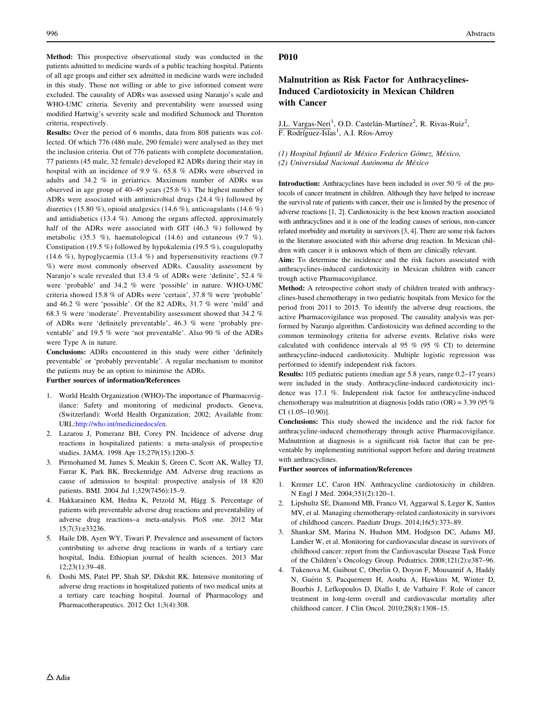Method: This prospective observational study was conducted in the patients admitted to medicine wards of a public teaching hospital. Patients of all age groups and either sex admitted in medicine wards were included in this study. Those not willing or able to give informed consent were excluded. The causality of ADRs was assessed using Naranjo's scale and WHO-UMC criteria. Severity and preventability were assessed using modified Hartwig's severity scale and modified Schumock and Thornton criteria, respectively.

Results: Over the period of 6 months, data from 808 patients was collected. Of which 776 (486 male, 290 female) were analysed as they met the inclusion criteria. Out of 776 patients with complete documentation, 77 patients (45 male, 32 female) developed 82 ADRs during their stay in hospital with an incidence of 9.9 %. 65.8 % ADRs were observed in adults and 34.2 % in geriatrics. Maximum number of ADRs was observed in age group of 40–49 years (25.6 %). The highest number of ADRs were associated with antimicrobial drugs (24.4 %) followed by diuretics (15.80 %), opioid analgesics (14.6 %), anticoagulants (14.6 %) and antidiabetics (13.4 %). Among the organs affected, approximately half of the ADRs were associated with GIT (46.3 %) followed by metabolic (35.3 %), haematological (14.6) and cutaneous (9.7 %). Constipation (19.5 %) followed by hypokalemia (19.5 %), coagulopathy (14.6 %), hypoglycaemia (13.4 %) and hypersensitivity reactions (9.7 %) were most commonly observed ADRs. Causality assessment by Naranjo's scale revealed that 13.4 % of ADRs were 'definite', 52.4 % were 'probable' and 34.2 % were 'possible' in nature. WHO-UMC criteria showed 15.8 % of ADRs were 'certain', 37.8 % were 'probable' and 46.2 % were 'possible'. Of the 82 ADRs, 31.7 % were 'mild' and 68.3 % were 'moderate'. Preventability assessment showed that 34.2 % of ADRs were 'definitely preventable', 46.3 % were 'probably preventable' and 19.5 % were 'not preventable'. Also 90 % of the ADRs were Type A in nature.

Conclusions: ADRs encountered in this study were either 'definitely preventable' or 'probably preventable'. A regular mechanism to monitor the patients may be an option to minimise the ADRs.

## Further sources of information/References

- 1. World Health Organization (WHO)-The importance of Pharmacovigilance: Safety and monitoring of medicinal products. Geneva, (Switzerland): World Health Organization; 2002; Available from: URL[:http://who.int/medicinedocs/en](http://who.int/medicinedocs/en).
- 2. Lazarou J, Pomeranz BH, Corey PN. Incidence of adverse drug reactions in hospitalized patients: a meta-analysis of prospective studies. JAMA. 1998 Apr 15;279(15):1200–5.
- 3. Pirmohamed M, James S, Meakin S, Green C, Scott AK, Walley TJ, Farrar K, Park BK, Breckenridge AM. Adverse drug reactions as cause of admission to hospital: prospective analysis of 18 820 patients. BMJ. 2004 Jul 1;329(7456):15–9.
- 4. Hakkarainen KM, Hedna K, Petzold M, Hägg S. Percentage of patients with preventable adverse drug reactions and preventability of adverse drug reactions–a meta-analysis. PloS one. 2012 Mar 15;7(3):e33236.
- 5. Haile DB, Ayen WY, Tiwari P. Prevalence and assessment of factors contributing to adverse drug reactions in wards of a tertiary care hospital, India. Ethiopian journal of health sciences. 2013 Mar 12;23(1):39–48.
- 6. Doshi MS, Patel PP, Shah SP, Dikshit RK. Intensive monitoring of adverse drug reactions in hospitalized patients of two medical units at a tertiary care teaching hospital. Journal of Pharmacology and Pharmacotherapeutics. 2012 Oct 1;3(4):308.

#### P010

## Malnutrition as Risk Factor for Anthracyclines-Induced Cardiotoxicity in Mexican Children with Cancer

J.L. Vargas-Neri<sup>1</sup>, O.D. Castelán-Martínez<sup>2</sup>, R. Rivas-Ruiz<sup>2</sup>, F. Rodríguez-Islas<sup>1</sup>, A.I. Ríos-Arroy

(1) Hospital Infantil de México Federico Gómez, México, (2) Universidad Nacional Autónoma de México

Introduction: Anthracyclines have been included in over 50 % of the protocols of cancer treatment in children. Although they have helped to increase the survival rate of patients with cancer, their use is limited by the presence of adverse reactions [1, 2]. Cardiotoxicity is the best known reaction associated with anthracyclines and it is one of the leading causes of serious, non-cancer related morbidity and mortality in survivors [3, 4]. There are some risk factors in the literature associated with this adverse drug reaction. In Mexican children with cancer it is unknown which of them are clinically relevant.

Aim: To determine the incidence and the risk factors associated with anthracyclines-induced cardiotoxicity in Mexican children with cancer trough active Pharmacovigilance.

Method: A retrospective cohort study of children treated with anthracyclines-based chemotherapy in two pediatric hospitals from Mexico for the period from 2011 to 2015. To identify the adverse drug reactions, the active Pharmacovigilance was proposed. The causality analysis was performed by Naranjo algorithm. Cardiotoxicity was defined according to the common terminology criteria for adverse events. Relative risks were calculated with confidence intervals al 95 % (95 % CI) to determine anthracycline-induced cardiotoxicity. Multiple logistic regression was performed to identify independent risk factors.

Results: 105 pediatric patients (median age 5.8 years, range 0.2–17 years) were included in the study. Anthracycline-induced cardiotoxicity incidence was 17.1 %. Independent risk factor for anthracycline-induced chemotherapy was malnutrition at diagnosis [odds ratio (OR) = 3.39 (95 % CI (1.05–10.90)].

Conclusions: This study showed the incidence and the risk factor for anthracycline-induced chemotherapy through active Pharmacovigilance. Malnutrition at diagnosis is a significant risk factor that can be preventable by implementing nutritional support before and during treatment with anthracyclines.

- 1. Kremer LC, Caron HN. Anthracycline cardiotoxicity in children. N Engl J Med. 2004;351(2):120–1.
- 2. Lipshultz SE, Diamond MB, Franco VI, Aggarwal S, Leger K, Santos MV, et al. Managing chemotherapy-related cardiotoxicity in survivors of childhood cancers. Paediatr Drugs. 2014;16(5):373–89.
- 3. Shankar SM, Marina N, Hudson MM, Hodgson DC, Adams MJ, Landier W, et al. Monitoring for cardiovascular disease in survivors of childhood cancer: report from the Cardiovascular Disease Task Force of the Children's Oncology Group. Pediatrics. 2008;121(2):e387–96.
- 4. Tukenova M, Guibout C, Oberlin O, Doyon F, Mousannif A, Haddy N, Guérin S, Pacquement H, Aouba A, Hawkins M, Winter D, Bourhis J, Lefkopoulos D, Diallo I, de Vathaire F. Role of cancer treatment in long-term overall and cardiovascular mortality after childhood cancer. J Clin Oncol. 2010;28(8):1308–15.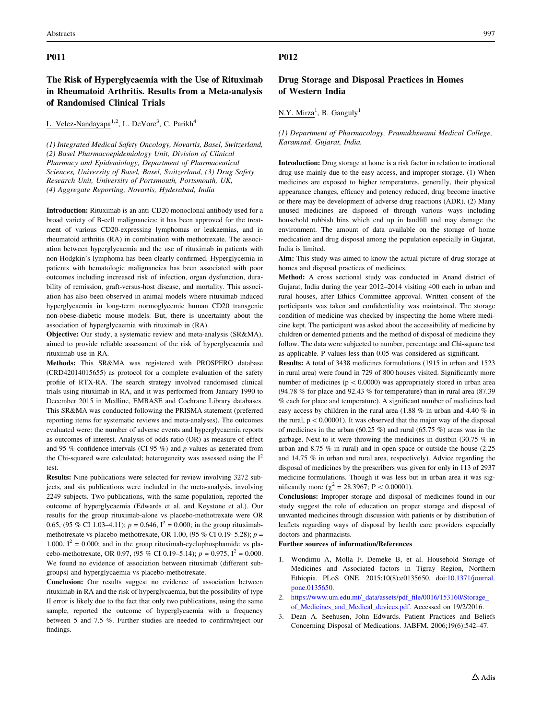## The Risk of Hyperglycaemia with the Use of Rituximab in Rheumatoid Arthritis. Results from a Meta-analysis of Randomised Clinical Trials

L. Velez-Nandayapa<sup>1,2</sup>, L. DeVore<sup>3</sup>, C. Parikh<sup>4</sup>

(1) Integrated Medical Safety Oncology, Novartis, Basel, Switzerland, (2) Basel Pharmacoepidemiology Unit, Division of Clinical Pharmacy and Epidemiology, Department of Pharmaceutical Sciences, University of Basel, Basel, Switzerland, (3) Drug Safety Research Unit, University of Portsmouth, Portsmouth, UK, (4) Aggregate Reporting, Novartis, Hyderabad, India

Introduction: Rituximab is an anti-CD20 monoclonal antibody used for a broad variety of B-cell malignancies; it has been approved for the treatment of various CD20-expressing lymphomas or leukaemias, and in rheumatoid arthritis (RA) in combination with methotrexate. The association between hyperglycaemia and the use of rituximab in patients with non-Hodgkin's lymphoma has been clearly confirmed. Hyperglycemia in patients with hematologic malignancies has been associated with poor outcomes including increased risk of infection, organ dysfunction, durability of remission, graft-versus-host disease, and mortality. This association has also been observed in animal models where rituximab induced hyperglycaemia in long-term normoglycemic human CD20 transgenic non-obese-diabetic mouse models. But, there is uncertainty about the association of hyperglycaemia with rituximab in (RA).

Objective: Our study, a systematic review and meta-analysis (SR&MA), aimed to provide reliable assessment of the risk of hyperglycaemia and rituximab use in RA.

Methods: This SR&MA was registered with PROSPERO database (CRD42014015655) as protocol for a complete evaluation of the safety profile of RTX-RA. The search strategy involved randomised clinical trials using rituximab in RA, and it was performed from January 1990 to December 2015 in Medline, EMBASE and Cochrane Library databases. This SR&MA was conducted following the PRISMA statement (preferred reporting items for systematic reviews and meta-analyses). The outcomes evaluated were: the number of adverse events and hyperglycaemia reports as outcomes of interest. Analysis of odds ratio (OR) as measure of effect and 95 % confidence intervals (CI 95 %) and p-values as generated from the Chi-squared were calculated; heterogeneity was assessed using the  $I^2$ test.

Results: Nine publications were selected for review involving 3272 subjects, and six publications were included in the meta-analysis, involving 2249 subjects. Two publications, with the same population, reported the outcome of hyperglycaemia (Edwards et al. and Keystone et al.). Our results for the group rituximab-alone vs placebo-methotrexate were OR 0.65, (95 % CI 1.03–4.11);  $p = 0.646$ ,  $I^2 = 0.000$ ; in the group rituximabmethotrexate vs placebo-methotrexate, OR 1.00, (95 % CI 0.19–5.28);  $p =$ 1.000,  $I^2 = 0.000$ ; and in the group rituximab-cyclophosphamide vs placebo-methotrexate, OR 0.97, (95 % CI 0.19–5.14);  $p = 0.975$ ,  $I^2 = 0.000$ . We found no evidence of association between rituximab (different subgroups) and hyperglycaemia vs placebo-methotrexate.

Conclusion: Our results suggest no evidence of association between rituximab in RA and the risk of hyperglycaemia, but the possibility of type II error is likely due to the fact that only two publications, using the same sample, reported the outcome of hyperglycaemia with a frequency between 5 and 7.5 %. Further studies are needed to confirm/reject our findings.

## Drug Storage and Disposal Practices in Homes of Western India

## N.Y. Mirza<sup>1</sup>, B. Ganguly<sup>1</sup>

(1) Department of Pharmacology, Pramukhswami Medical College, Karamsad, Gujarat, India.

Introduction: Drug storage at home is a risk factor in relation to irrational drug use mainly due to the easy access, and improper storage. (1) When medicines are exposed to higher temperatures, generally, their physical appearance changes, efficacy and potency reduced, drug become inactive or there may be development of adverse drug reactions (ADR). (2) Many unused medicines are disposed of through various ways including household rubbish bins which end up in landfill and may damage the environment. The amount of data available on the storage of home medication and drug disposal among the population especially in Gujarat, India is limited.

Aim: This study was aimed to know the actual picture of drug storage at homes and disposal practices of medicines.

Method: A cross sectional study was conducted in Anand district of Gujarat, India during the year 2012–2014 visiting 400 each in urban and rural houses, after Ethics Committee approval. Written consent of the participants was taken and confidentiality was maintained. The storage condition of medicine was checked by inspecting the home where medicine kept. The participant was asked about the accessibility of medicine by children or demented patients and the method of disposal of medicine they follow. The data were subjected to number, percentage and Chi-square test as applicable. P values less than 0.05 was considered as significant.

Results: A total of 3438 medicines formulations (1915 in urban and 1523 in rural area) were found in 729 of 800 houses visited. Significantly more number of medicines ( $p < 0.0000$ ) was appropriately stored in urban area (94.78 % for place and 92.43 % for temperature) than in rural area (87.39 % each for place and temperature). A significant number of medicines had easy access by children in the rural area (1.88 % in urban and 4.40 % in the rural,  $p < 0.00001$ ). It was observed that the major way of the disposal of medicines in the urban  $(60.25\%)$  and rural  $(65.75\%)$  areas was in the garbage. Next to it were throwing the medicines in dustbin (30.75 % in urban and 8.75 % in rural) and in open space or outside the house (2.25 and 14.75 % in urban and rural area, respectively). Advice regarding the disposal of medicines by the prescribers was given for only in 113 of 2937 medicine formulations. Though it was less but in urban area it was significantly more ( $\chi^2$  = 28.3967; P < 0.00001).

Conclusions: Improper storage and disposal of medicines found in our study suggest the role of education on proper storage and disposal of unwanted medicines through discussion with patients or by distribution of leaflets regarding ways of disposal by health care providers especially doctors and pharmacists.

- 1. Wondimu A, Molla F, Demeke B, et al. Household Storage of Medicines and Associated factors in Tigray Region, Northern Ethiopia. PLoS ONE. 2015;10(8):e0135650. doi:[10.1371/journal.](http://dx.doi.org/10.1371/journal.pone.0135650) [pone.0135650](http://dx.doi.org/10.1371/journal.pone.0135650).
- [https://www.um.edu.mt/\\_data/assets/pdf\\_file/0016/153160/Storage\\_](https://www.um.edu.mt/_data/assets/pdf_file/0016/153160/Storage_of_Medicines_and_Medical_devices.pdf) [of\\_Medicines\\_and\\_Medical\\_devices.pdf.](https://www.um.edu.mt/_data/assets/pdf_file/0016/153160/Storage_of_Medicines_and_Medical_devices.pdf) Accessed on 19/2/2016.
- 3. Dean A. Seehusen, John Edwards. Patient Practices and Beliefs Concerning Disposal of Medications. JABFM. 2006;19(6):542–47.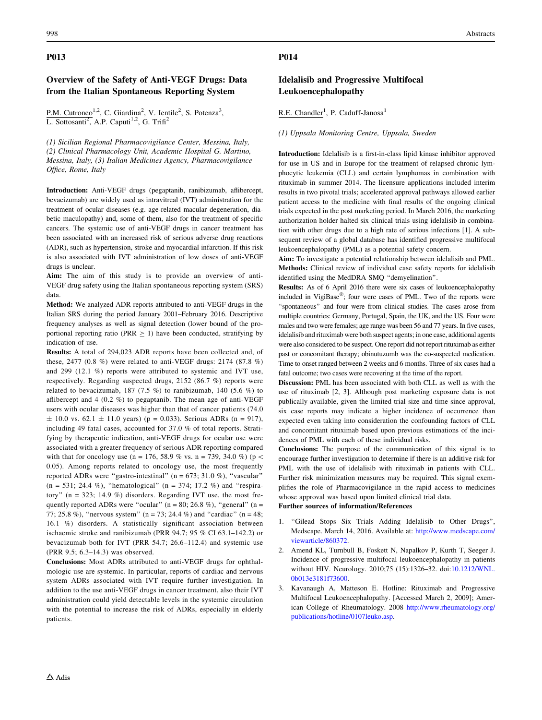## Overview of the Safety of Anti-VEGF Drugs: Data from the Italian Spontaneous Reporting System

P.M. Cutroneo<sup>1,2</sup>, C. Giardina<sup>2</sup>, V. Ientile<sup>2</sup>, S. Potenza<sup>3</sup>, L. Sottosanti<sup>2</sup>, A.P. Caputi<sup>1,2</sup>, G. Trifi<sup>2</sup>

(1) Sicilian Regional Pharmacovigilance Center, Messina, Italy, (2) Clinical Pharmacology Unit, Academic Hospital G. Martino, Messina, Italy, (3) Italian Medicines Agency, Pharmacovigilance Office, Rome, Italy

Introduction: Anti-VEGF drugs (pegaptanib, ranibizumab, aflibercept, bevacizumab) are widely used as intravitreal (IVT) administration for the treatment of ocular diseases (e.g. age-related macular degeneration, diabetic maculopathy) and, some of them, also for the treatment of specific cancers. The systemic use of anti-VEGF drugs in cancer treatment has been associated with an increased risk of serious adverse drug reactions (ADR), such as hypertension, stroke and myocardial infarction. If this risk is also associated with IVT administration of low doses of anti-VEGF drugs is unclear.

Aim: The aim of this study is to provide an overview of anti-VEGF drug safety using the Italian spontaneous reporting system (SRS) data.

Method: We analyzed ADR reports attributed to anti-VEGF drugs in the Italian SRS during the period January 2001–February 2016. Descriptive frequency analyses as well as signal detection (lower bound of the proportional reporting ratio (PRR  $\geq$  1) have been conducted, stratifying by indication of use.

Results: A total of 294,023 ADR reports have been collected and, of these, 2477 (0.8 %) were related to anti-VEGF drugs: 2174 (87.8 %) and 299 (12.1 %) reports were attributed to systemic and IVT use, respectively. Regarding suspected drugs, 2152 (86.7 %) reports were related to bevacizumab, 187 (7.5 %) to ranibizumab, 140 (5.6 %) to aflibercept and 4 (0.2 %) to pegaptanib. The mean age of anti-VEGF users with ocular diseases was higher than that of cancer patients (74.0  $\pm$  10.0 vs. 62.1  $\pm$  11.0 years) (p = 0.033). Serious ADRs (n = 917), including 49 fatal cases, accounted for 37.0 % of total reports. Stratifying by therapeutic indication, anti-VEGF drugs for ocular use were associated with a greater frequency of serious ADR reporting compared with that for oncology use (n = 176, 58.9 % vs. n = 739, 34.0 %) (p < 0.05). Among reports related to oncology use, the most frequently reported ADRs were ''gastro-intestinal'' (n = 673; 31.0 %), ''vascular''  $(n = 531; 24.4 \%)$ , "hematological"  $(n = 374; 17.2 \%)$  and "respiratory'' (n = 323; 14.9 %) disorders. Regarding IVT use, the most frequently reported ADRs were "ocular" ( $n = 80$ ; 26.8 %), "general" ( $n =$ 77; 25.8 %), "nervous system" (n = 73; 24.4 %) and "cardiac" (n = 48; 16.1 %) disorders. A statistically significant association between ischaemic stroke and ranibizumab (PRR 94.7; 95 % CI 63.1–142.2) or bevacizumab both for IVT (PRR 54.7; 26.6–112.4) and systemic use (PRR 9.5; 6.3–14.3) was observed.

Conclusions: Most ADRs attributed to anti-VEGF drugs for ophthalmologic use are systemic. In particular, reports of cardiac and nervous system ADRs associated with IVT require further investigation. In addition to the use anti-VEGF drugs in cancer treatment, also their IVT administration could yield detectable levels in the systemic circulation with the potential to increase the risk of ADRs, especially in elderly patients.

#### P014

## Idelalisib and Progressive Multifocal Leukoencephalopathy

## R.E. Chandler<sup>1</sup>, P. Caduff-Janosa<sup>1</sup>

#### (1) Uppsala Monitoring Centre, Uppsala, Sweden

Introduction: Idelalisib is a first-in-class lipid kinase inhibitor approved for use in US and in Europe for the treatment of relapsed chronic lymphocytic leukemia (CLL) and certain lymphomas in combination with rituximab in summer 2014. The licensure applications included interim results in two pivotal trials; accelerated approval pathways allowed earlier patient access to the medicine with final results of the ongoing clinical trials expected in the post marketing period. In March 2016, the marketing authorization holder halted six clinical trials using idelalisib in combination with other drugs due to a high rate of serious infections [1]. A subsequent review of a global database has identified progressive multifocal leukoencephalopathy (PML) as a potential safety concern.

Aim: To investigate a potential relationship between idelalisib and PML. Methods: Clinical review of individual case safety reports for idelalisib identified using the MedDRA SMQ ''demyelination''.

Results: As of 6 April 2016 there were six cases of leukoencephalopathy included in VigiBase®; four were cases of PML. Two of the reports were ''spontaneous'' and four were from clinical studies. The cases arose from multiple countries: Germany, Portugal, Spain, the UK, and the US. Four were males and two were females; age range was been 56 and 77 years. In five cases, idelalisib and rituximab were both suspect agents; in one case, additional agents were also considered to be suspect. One report did not report rituximab as either past or concomitant therapy; obinutuzumb was the co-suspected medication. Time to onset ranged between 2 weeks and 6 months. Three of six cases had a fatal outcome; two cases were recovering at the time of the report.

Discussion: PML has been associated with both CLL as well as with the use of rituximab [2, 3]. Although post marketing exposure data is not publically available, given the limited trial size and time since approval, six case reports may indicate a higher incidence of occurrence than expected even taking into consideration the confounding factors of CLL and concomitant rituximab based upon previous estimations of the incidences of PML with each of these individual risks.

Conclusions: The purpose of the communication of this signal is to encourage further investigation to determine if there is an additive risk for PML with the use of idelalisib with rituximab in patients with CLL. Further risk minimization measures may be required. This signal exemplifies the role of Pharmacovigilance in the rapid access to medicines whose approval was based upon limited clinical trial data.

- 1. ''Gilead Stops Six Trials Adding Idelalisib to Other Drugs'', Medscape. March 14, 2016. Available at: [http://www.medscape.com/](http://www.medscape.com/viewarticle/860372) [viewarticle/860372.](http://www.medscape.com/viewarticle/860372)
- 2. Amend KL, Turnbull B, Foskett N, Napalkov P, Kurth T, Seeger J. Incidence of progressive multifocal leukoencephalopathy in patients without HIV. Neurology. 2010;75 (15):1326–32. doi[:10.1212/WNL.](http://dx.doi.org/10.1212/WNL.0b013e3181f73600) [0b013e3181f73600.](http://dx.doi.org/10.1212/WNL.0b013e3181f73600)
- 3. Kavanaugh A, Matteson E. Hotline: Rituximab and Progressive Multifocal Leukoencephalopathy. [Accessed March 2, 2009]; American College of Rheumatology. 2008 [http://www.rheumatology.org/](http://www.rheumatology.org/publications/hotline/0107leuko.asp) [publications/hotline/0107leuko.asp.](http://www.rheumatology.org/publications/hotline/0107leuko.asp)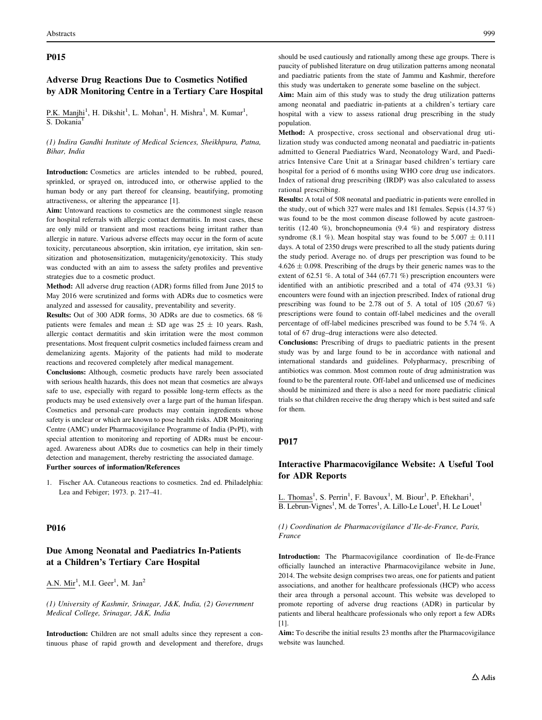## Adverse Drug Reactions Due to Cosmetics Notified by ADR Monitoring Centre in a Tertiary Care Hospital

P.K. Manjhi<sup>1</sup>, H. Dikshit<sup>1</sup>, L. Mohan<sup>1</sup>, H. Mishra<sup>1</sup>, M. Kumar<sup>1</sup>, S. Dokania

(1) Indira Gandhi Institute of Medical Sciences, Sheikhpura, Patna, Bihar, India

Introduction: Cosmetics are articles intended to be rubbed, poured, sprinkled, or sprayed on, introduced into, or otherwise applied to the human body or any part thereof for cleansing, beautifying, promoting attractiveness, or altering the appearance [1].

Aim: Untoward reactions to cosmetics are the commonest single reason for hospital referrals with allergic contact dermatitis. In most cases, these are only mild or transient and most reactions being irritant rather than allergic in nature. Various adverse effects may occur in the form of acute toxicity, percutaneous absorption, skin irritation, eye irritation, skin sensitization and photosensitization, mutagenicity/genotoxicity. This study was conducted with an aim to assess the safety profiles and preventive strategies due to a cosmetic product.

Method: All adverse drug reaction (ADR) forms filled from June 2015 to May 2016 were scrutinized and forms with ADRs due to cosmetics were analyzed and assessed for causality, preventability and severity.

Results: Out of 300 ADR forms, 30 ADRs are due to cosmetics. 68 % patients were females and mean  $\pm$  SD age was 25  $\pm$  10 years. Rash, allergic contact dermatitis and skin irritation were the most common presentations. Most frequent culprit cosmetics included fairness cream and demelanizing agents. Majority of the patients had mild to moderate reactions and recovered completely after medical management.

Conclusions: Although, cosmetic products have rarely been associated with serious health hazards, this does not mean that cosmetics are always safe to use, especially with regard to possible long-term effects as the products may be used extensively over a large part of the human lifespan. Cosmetics and personal-care products may contain ingredients whose safety is unclear or which are known to pose health risks. ADR Monitoring Centre (AMC) under Pharmacovigilance Programme of India (PvPI), with special attention to monitoring and reporting of ADRs must be encouraged. Awareness about ADRs due to cosmetics can help in their timely detection and management, thereby restricting the associated damage. Further sources of information/References

1. Fischer AA. Cutaneous reactions to cosmetics. 2nd ed. Philadelphia: Lea and Febiger; 1973. p. 217–41.

#### P016

## Due Among Neonatal and Paediatrics In-Patients at a Children's Tertiary Care Hospital

A.N.  $Mir<sup>1</sup>$ , M.I.  $Geer<sup>1</sup>$ , M. Jan<sup>2</sup>

(1) University of Kashmir, Srinagar, J&K, India, (2) Government Medical College, Srinagar, J&K, India

Introduction: Children are not small adults since they represent a continuous phase of rapid growth and development and therefore, drugs

should be used cautiously and rationally among these age groups. There is paucity of published literature on drug utilization patterns among neonatal and paediatric patients from the state of Jammu and Kashmir, therefore this study was undertaken to generate some baseline on the subject.

Aim: Main aim of this study was to study the drug utilization patterns among neonatal and paediatric in-patients at a children's tertiary care hospital with a view to assess rational drug prescribing in the study population.

Method: A prospective, cross sectional and observational drug utilization study was conducted among neonatal and paediatric in-patients admitted to General Paediatrics Ward, Neonatology Ward, and Paediatrics Intensive Care Unit at a Srinagar based children's tertiary care hospital for a period of 6 months using WHO core drug use indicators. Index of rational drug prescribing (IRDP) was also calculated to assess rational prescribing.

Results: A total of 508 neonatal and paediatric in-patients were enrolled in the study, out of which 327 were males and 181 females. Sepsis (14.37 %) was found to be the most common disease followed by acute gastroenteritis (12.40 %), bronchopneumonia (9.4 %) and respiratory distress syndrome (8.1 %). Mean hospital stay was found to be  $5.007 \pm 0.111$ days. A total of 2350 drugs were prescribed to all the study patients during the study period. Average no. of drugs per prescription was found to be  $4.626 \pm 0.098$ . Prescribing of the drugs by their generic names was to the extent of 62.51 %. A total of 344 (67.71 %) prescription encounters were identified with an antibiotic prescribed and a total of 474 (93.31 %) encounters were found with an injection prescribed. Index of rational drug prescribing was found to be 2.78 out of 5. A total of 105 (20.67 %) prescriptions were found to contain off-label medicines and the overall percentage of off-label medicines prescribed was found to be 5.74 %. A total of 67 drug–drug interactions were also detected.

Conclusions: Prescribing of drugs to paediatric patients in the present study was by and large found to be in accordance with national and international standards and guidelines. Polypharmacy, prescribing of antibiotics was common. Most common route of drug administration was found to be the parenteral route. Off-label and unlicensed use of medicines should be minimized and there is also a need for more paediatric clinical trials so that children receive the drug therapy which is best suited and safe for them.

#### P017

## Interactive Pharmacovigilance Website: A Useful Tool for ADR Reports

L. Thomas<sup>1</sup>, S. Perrin<sup>1</sup>, F. Bavoux<sup>1</sup>, M. Biour<sup>1</sup>, P. Eftekhari<sup>1</sup>, B. Lebrun-Vignes<sup>1</sup>, M. de Torres<sup>1</sup>, A. Lillo-Le Louet<sup>1</sup>, H. Le Louet<sup>1</sup>

(1) Coordination de Pharmacovigilance d'Ile-de-France, Paris, France

Introduction: The Pharmacovigilance coordination of Ile-de-France officially launched an interactive Pharmacovigilance website in June, 2014. The website design comprises two areas, one for patients and patient associations, and another for healthcare professionals (HCP) who access their area through a personal account. This website was developed to promote reporting of adverse drug reactions (ADR) in particular by patients and liberal healthcare professionals who only report a few ADRs [1].

Aim: To describe the initial results 23 months after the Pharmacovigilance website was launched.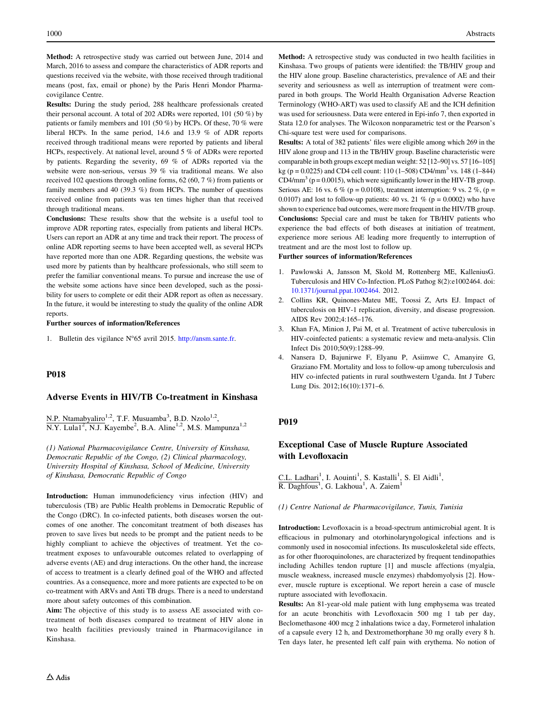Method: A retrospective study was carried out between June, 2014 and March, 2016 to assess and compare the characteristics of ADR reports and questions received via the website, with those received through traditional means (post, fax, email or phone) by the Paris Henri Mondor Pharmacovigilance Centre.

Results: During the study period, 288 healthcare professionals created their personal account. A total of 202 ADRs were reported, 101 (50 %) by patients or family members and 101 (50 %) by HCPs. Of these, 70 % were liberal HCPs. In the same period, 14.6 and 13.9 % of ADR reports received through traditional means were reported by patients and liberal HCPs, respectively. At national level, around 5 % of ADRs were reported by patients. Regarding the severity, 69 % of ADRs reported via the website were non-serious, versus 39 % via traditional means. We also received 102 questions through online forms, 62 (60, 7 %) from patients or family members and 40 (39.3 %) from HCPs. The number of questions received online from patients was ten times higher than that received through traditional means.

Conclusions: These results show that the website is a useful tool to improve ADR reporting rates, especially from patients and liberal HCPs. Users can report an ADR at any time and track their report. The process of online ADR reporting seems to have been accepted well, as several HCPs have reported more than one ADR. Regarding questions, the website was used more by patients than by healthcare professionals, who still seem to prefer the familiar conventional means. To pursue and increase the use of the website some actions have since been developed, such as the possibility for users to complete or edit their ADR report as often as necessary. In the future, it would be interesting to study the quality of the online ADR reports.

#### Further sources of information/References

1. Bulletin des vigilance N°65 avril 2015. <http://ansm.sante.fr>.

#### P018

## Adverse Events in HIV/TB Co-treatment in Kinshasa

N.P. Ntamabyaliro<sup>1,2</sup>, T.F. Musuamba<sup>3</sup>, B.D. Nzolo<sup>1,2</sup>, N.Y. Lula1<sup>2</sup>, N.J. Kayembe<sup>2</sup>, B.A. Aline<sup>1,2</sup>, M.S. Mampunza<sup>1,2</sup>

(1) National Pharmacovigilance Centre, University of Kinshasa, Democratic Republic of the Congo, (2) Clinical pharmacology, University Hospital of Kinshasa, School of Medicine, University of Kinshasa, Democratic Republic of Congo

Introduction: Human immunodeficiency virus infection (HIV) and tuberculosis (TB) are Public Health problems in Democratic Republic of the Congo (DRC). In co-infected patients, both diseases worsen the outcomes of one another. The concomitant treatment of both diseases has proven to save lives but needs to be prompt and the patient needs to be highly compliant to achieve the objectives of treatment. Yet the cotreatment exposes to unfavourable outcomes related to overlapping of adverse events (AE) and drug interactions. On the other hand, the increase of access to treatment is a clearly defined goal of the WHO and affected countries. As a consequence, more and more patients are expected to be on co-treatment with ARVs and Anti TB drugs. There is a need to understand more about safety outcomes of this combination.

Aim: The objective of this study is to assess AE associated with cotreatment of both diseases compared to treatment of HIV alone in two health facilities previously trained in Pharmacovigilance in Kinshasa.

Method: A retrospective study was conducted in two health facilities in Kinshasa. Two groups of patients were identified: the TB/HIV group and the HIV alone group. Baseline characteristics, prevalence of AE and their severity and seriousness as well as interruption of treatment were compared in both groups. The World Health Organisation Adverse Reaction Terminology (WHO-ART) was used to classify AE and the ICH definition was used for seriousness. Data were entered in Epi-info 7, then exported in Stata 12.0 for analyses. The Wilcoxon nonparametric test or the Pearson's Chi-square test were used for comparisons.

Results: A total of 382 patients' files were eligible among which 269 in the HIV alone group and 113 in the TB/HIV group. Baseline characteristic were comparable in both groups except median weight: 52 [12–90] vs. 57 [16–105] kg (p = 0.0225) and CD4 cell count: 110 (1–508) CD4/mm<sup>3</sup> vs. 148 (1–844) CD4/mm<sup>3</sup> ( $p = 0.0015$ ), which were significantly lower in the HIV-TB group. Serious AE: 16 vs. 6 % (p = 0.0108), treatment interruption: 9 vs. 2 %, (p = 0.0107) and lost to follow-up patients: 40 vs. 21 % ( $p = 0.0002$ ) who have shown to experience bad outcomes, were more frequent in the HIV/TB group. Conclusions: Special care and must be taken for TB/HIV patients who experience the bad effects of both diseases at initiation of treatment, experience more serious AE leading more frequently to interruption of treatment and are the most lost to follow up.

#### Further sources of information/References

- 1. Pawlowski A, Jansson M, Skold M, Rottenberg ME, KalleniusG. Tuberculosis and HIV Co-Infection. PLoS Pathog 8(2):e1002464. doi: [10.1371/journal.ppat.1002464](http://dx.doi.org/10.1371/journal.ppat.1002464). 2012.
- 2. Collins KR, Quinones-Mateu ME, Toossi Z, Arts EJ. Impact of tuberculosis on HIV-1 replication, diversity, and disease progression. AIDS Rev 2002;4:165–176.
- 3. Khan FA, Minion J, Pai M, et al. Treatment of active tuberculosis in HIV-coinfected patients: a systematic review and meta-analysis. Clin Infect Dis 2010;50(9):1288–99.
- 4. Nansera D, Bajunirwe F, Elyanu P, Asiimwe C, Amanyire G, Graziano FM. Mortality and loss to follow-up among tuberculosis and HIV co-infected patients in rural southwestern Uganda. Int J Tuberc Lung Dis. 2012;16(10):1371–6.

#### P019

## Exceptional Case of Muscle Rupture Associated with Levofloxacin

C.L. Ladhari<sup>1</sup>, I. Aouinti<sup>1</sup>, S. Kastalli<sup>1</sup>, S. El Aidli<sup>1</sup>, R. Daghfous<sup>1</sup>, G. Lakhoua<sup>1</sup>, A. Zaiem<sup>1</sup>

#### (1) Centre National de Pharmacovigilance, Tunis, Tunisia

Introduction: Levofloxacin is a broad-spectrum antimicrobial agent. It is efficacious in pulmonary and otorhinolaryngological infections and is commonly used in nosocomial infections. Its musculoskeletal side effects, as for other fluoroquinolones, are characterized by frequent tendinopathies including Achilles tendon rupture [1] and muscle affections (myalgia, muscle weakness, increased muscle enzymes) rhabdomyolysis [2]. However, muscle rupture is exceptional. We report herein a case of muscle rupture associated with levofloxacin.

Results: An 81-year-old male patient with lung emphysema was treated for an acute bronchitis with Levofloxacin 500 mg 1 tab per day, Beclomethasone 400 mcg 2 inhalations twice a day, Formeterol inhalation of a capsule every 12 h, and Dextromethorphane 30 mg orally every 8 h. Ten days later, he presented left calf pain with erythema. No notion of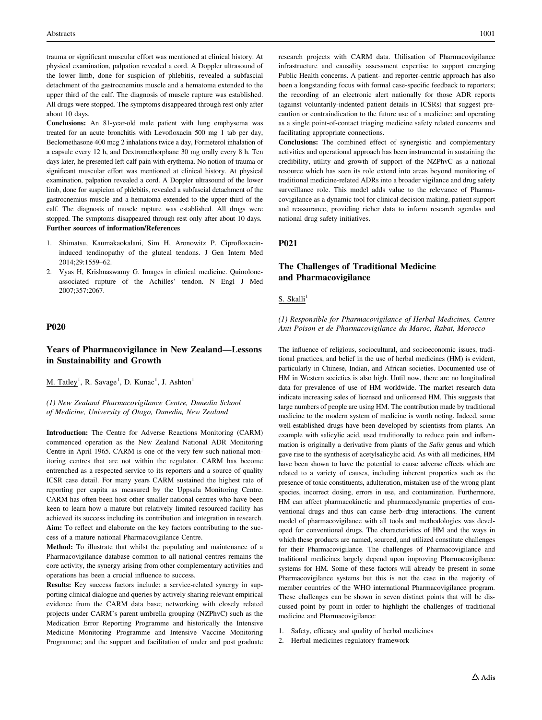trauma or significant muscular effort was mentioned at clinical history. At physical examination, palpation revealed a cord. A Doppler ultrasound of the lower limb, done for suspicion of phlebitis, revealed a subfascial detachment of the gastrocnemius muscle and a hematoma extended to the upper third of the calf. The diagnosis of muscle rupture was established. All drugs were stopped. The symptoms disappeared through rest only after about 10 days.

Conclusions: An 81-year-old male patient with lung emphysema was treated for an acute bronchitis with Levofloxacin 500 mg 1 tab per day, Beclomethasone 400 mcg 2 inhalations twice a day, Formeterol inhalation of a capsule every 12 h, and Dextromethorphane 30 mg orally every 8 h. Ten days later, he presented left calf pain with erythema. No notion of trauma or significant muscular effort was mentioned at clinical history. At physical examination, palpation revealed a cord. A Doppler ultrasound of the lower limb, done for suspicion of phlebitis, revealed a subfascial detachment of the gastrocnemius muscle and a hematoma extended to the upper third of the calf. The diagnosis of muscle rupture was established. All drugs were stopped. The symptoms disappeared through rest only after about 10 days. Further sources of information/References

- 1. Shimatsu, Kaumakaokalani, Sim H, Aronowitz P. Ciprofloxacininduced tendinopathy of the gluteal tendons. J Gen Intern Med 2014;29:1559–62.
- 2. Vyas H, Krishnaswamy G. Images in clinical medicine. Quinoloneassociated rupture of the Achilles' tendon. N Engl J Med 2007;357:2067.

## P020

## Years of Pharmacovigilance in New Zealand—Lessons in Sustainability and Growth

M. Tatley<sup>1</sup>, R. Savage<sup>1</sup>, D. Kunac<sup>1</sup>, J. Ashton<sup>1</sup>

(1) New Zealand Pharmacovigilance Centre, Dunedin School of Medicine, University of Otago, Dunedin, New Zealand

Introduction: The Centre for Adverse Reactions Monitoring (CARM) commenced operation as the New Zealand National ADR Monitoring Centre in April 1965. CARM is one of the very few such national monitoring centres that are not within the regulator. CARM has become entrenched as a respected service to its reporters and a source of quality ICSR case detail. For many years CARM sustained the highest rate of reporting per capita as measured by the Uppsala Monitoring Centre. CARM has often been host other smaller national centres who have been keen to learn how a mature but relatively limited resourced facility has achieved its success including its contribution and integration in research. Aim: To reflect and elaborate on the key factors contributing to the success of a mature national Pharmacovigilance Centre.

Method: To illustrate that whilst the populating and maintenance of a Pharmacovigilance database common to all national centres remains the core activity, the synergy arising from other complementary activities and operations has been a crucial influence to success.

Results: Key success factors include: a service-related synergy in supporting clinical dialogue and queries by actively sharing relevant empirical evidence from the CARM data base; networking with closely related projects under CARM's parent umbrella grouping (NZPhvC) such as the Medication Error Reporting Programme and historically the Intensive Medicine Monitoring Programme and Intensive Vaccine Monitoring Programme; and the support and facilitation of under and post graduate research projects with CARM data. Utilisation of Pharmacovigilance infrastructure and causality assessment expertise to support emerging Public Health concerns. A patient- and reporter-centric approach has also been a longstanding focus with formal case-specific feedback to reporters; the recording of an electronic alert nationally for those ADR reports (against voluntarily-indented patient details in ICSRs) that suggest precaution or contraindication to the future use of a medicine; and operating as a single point-of-contact triaging medicine safety related concerns and facilitating appropriate connections.

Conclusions: The combined effect of synergistic and complementary activities and operational approach has been instrumental in sustaining the credibility, utility and growth of support of the NZPhvC as a national resource which has seen its role extend into areas beyond monitoring of traditional medicine-related ADRs into a broader vigilance and drug safety surveillance role. This model adds value to the relevance of Pharmacovigilance as a dynamic tool for clinical decision making, patient support and reassurance, providing richer data to inform research agendas and national drug safety initiatives.

## P021

## The Challenges of Traditional Medicine and Pharmacovigilance

#### S. Skalli<sup>1</sup>

#### (1) Responsible for Pharmacovigilance of Herbal Medicines, Centre Anti Poison et de Pharmacovigilance du Maroc, Rabat, Morocco

The influence of religious, sociocultural, and socioeconomic issues, traditional practices, and belief in the use of herbal medicines (HM) is evident, particularly in Chinese, Indian, and African societies. Documented use of HM in Western societies is also high. Until now, there are no longitudinal data for prevalence of use of HM worldwide. The market research data indicate increasing sales of licensed and unlicensed HM. This suggests that large numbers of people are using HM. The contribution made by traditional medicine to the modern system of medicine is worth noting. Indeed, some well-established drugs have been developed by scientists from plants. An example with salicylic acid, used traditionally to reduce pain and inflammation is originally a derivative from plants of the Salix genus and which gave rise to the synthesis of acetylsalicylic acid. As with all medicines, HM have been shown to have the potential to cause adverse effects which are related to a variety of causes, including inherent properties such as the presence of toxic constituents, adulteration, mistaken use of the wrong plant species, incorrect dosing, errors in use, and contamination. Furthermore, HM can affect pharmacokinetic and pharmacodynamic properties of conventional drugs and thus can cause herb–drug interactions. The current model of pharmacovigilance with all tools and methodologies was developed for conventional drugs. The characteristics of HM and the ways in which these products are named, sourced, and utilized constitute challenges for their Pharmacovigilance. The challenges of Pharmacovigilance and traditional medicines largely depend upon improving Pharmacovigilance systems for HM. Some of these factors will already be present in some Pharmacovigilance systems but this is not the case in the majority of member countries of the WHO international Pharmacovigilance program. These challenges can be shown in seven distinct points that will be discussed point by point in order to highlight the challenges of traditional medicine and Pharmacovigilance:

- 1. Safety, efficacy and quality of herbal medicines
- 2. Herbal medicines regulatory framework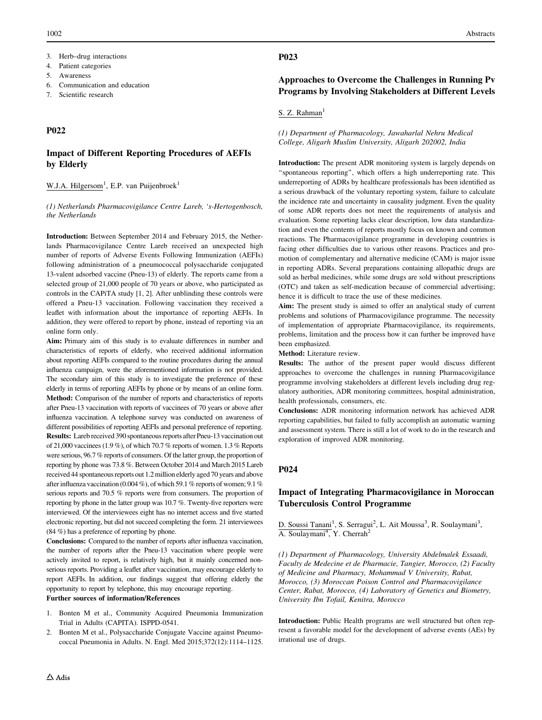- 3. Herb–drug interactions
- 4. Patient categories
- 5. Awareness
- 6. Communication and education
- 7. Scientific research

## Impact of Different Reporting Procedures of AEFIs by Elderly

## W.J.A. Hilgersom<sup>1</sup>, E.P. van Puijenbroek<sup>1</sup>

(1) Netherlands Pharmacovigilance Centre Lareb, 's-Hertogenbosch, the Netherlands

Introduction: Between September 2014 and February 2015, the Netherlands Pharmacovigilance Centre Lareb received an unexpected high number of reports of Adverse Events Following Immunization (AEFIs) following administration of a pneumococcal polysaccharide conjugated 13-valent adsorbed vaccine (Pneu-13) of elderly. The reports came from a selected group of 21,000 people of 70 years or above, who participated as controls in the CAPiTA study [1, 2]. After unblinding these controls were offered a Pneu-13 vaccination. Following vaccination they received a leaflet with information about the importance of reporting AEFIs. In addition, they were offered to report by phone, instead of reporting via an online form only.

Aim: Primary aim of this study is to evaluate differences in number and characteristics of reports of elderly, who received additional information about reporting AEFIs compared to the routine procedures during the annual influenza campaign, were the aforementioned information is not provided. The secondary aim of this study is to investigate the preference of these elderly in terms of reporting AEFIs by phone or by means of an online form. Method: Comparison of the number of reports and characteristics of reports after Pneu-13 vaccination with reports of vaccinees of 70 years or above after influenza vaccination. A telephone survey was conducted on awareness of different possibilities of reporting AEFIs and personal preference of reporting. Results: Lareb received 390 spontaneous reports after Pneu-13 vaccination out of 21,000 vaccinees (1.9 %), of which 70.7 % reports of women. 1.3 % Reports were serious, 96.7 % reports of consumers. Of the latter group, the proportion of reporting by phone was 73.8 %. Between October 2014 and March 2015 Lareb received 44 spontaneous reports out 1.2million elderly aged 70 years and above after influenza vaccination (0.004 %), of which 59.1 % reports of women; 9.1 % serious reports and 70.5 % reports were from consumers. The proportion of reporting by phone in the latter group was 10.7 %. Twenty-five reporters were interviewed. Of the interviewees eight has no internet access and five started electronic reporting, but did not succeed completing the form. 21 interviewees (84 %) has a preference of reporting by phone.

Conclusions: Compared to the number of reports after influenza vaccination, the number of reports after the Pneu-13 vaccination where people were actively invited to report, is relatively high, but it mainly concerned nonserious reports. Providing a leaflet after vaccination, may encourage elderly to report AEFIs. In addition, our findings suggest that offering elderly the opportunity to report by telephone, this may encourage reporting.

#### Further sources of information/References

- 1. Bonten M et al., Community Acquired Pneumonia Immunization Trial in Adults (CAPITA). ISPPD-0541.
- 2. Bonten M et al., Polysaccharide Conjugate Vaccine against Pneumococcal Pneumonia in Adults. N. Engl. Med 2015;372(12):1114–1125.

#### P023

## Approaches to Overcome the Challenges in Running Pv Programs by Involving Stakeholders at Different Levels

#### S. Z. Rahman $<sup>1</sup>$ </sup>

#### (1) Department of Pharmacology, Jawaharlal Nehru Medical College, Aligarh Muslim University, Aligarh 202002, India

Introduction: The present ADR monitoring system is largely depends on ''spontaneous reporting'', which offers a high underreporting rate. This underreporting of ADRs by healthcare professionals has been identified as a serious drawback of the voluntary reporting system, failure to calculate the incidence rate and uncertainty in causality judgment. Even the quality of some ADR reports does not meet the requirements of analysis and evaluation. Some reporting lacks clear description, low data standardization and even the contents of reports mostly focus on known and common reactions. The Pharmacovigilance programme in developing countries is facing other difficulties due to various other reasons. Practices and promotion of complementary and alternative medicine (CAM) is major issue in reporting ADRs. Several preparations containing allopathic drugs are sold as herbal medicines, while some drugs are sold without prescriptions (OTC) and taken as self-medication because of commercial advertising; hence it is difficult to trace the use of these medicines.

Aim: The present study is aimed to offer an analytical study of current problems and solutions of Pharmacovigilance programme. The necessity of implementation of appropriate Pharmacovigilance, its requirements, problems, limitation and the process how it can further be improved have been emphasized.

Method: Literature review.

Results: The author of the present paper would discuss different approaches to overcome the challenges in running Pharmacovigilance programme involving stakeholders at different levels including drug regulatory authorities, ADR monitoring committees, hospital administration, health professionals, consumers, etc.

Conclusions: ADR monitoring information network has achieved ADR reporting capabilities, but failed to fully accomplish an automatic warning and assessment system. There is still a lot of work to do in the research and exploration of improved ADR monitoring.

## P024

## Impact of Integrating Pharmacovigilance in Moroccan Tuberculosis Control Programme

D. Soussi Tanani<sup>1</sup>, S. Serragui<sup>2</sup>, L. Ait Moussa<sup>3</sup>, R. Soulaymani<sup>3</sup>, A. Soulaymani<sup>4</sup>, Y. Cherrah<sup>2</sup>

(1) Department of Pharmacology, University Abdelmalek Essaadi, Faculty de Medecine et de Pharmacie, Tangier, Morocco, (2) Faculty of Medicine and Pharmacy, Mohammad V University, Rabat, Morocco, (3) Moroccan Poison Control and Pharmacovigilance Center, Rabat, Morocco, (4) Laboratory of Genetics and Biometry, University Ibn Tofail, Kenitra, Morocco

Introduction: Public Health programs are well structured but often represent a favorable model for the development of adverse events (AEs) by irrational use of drugs.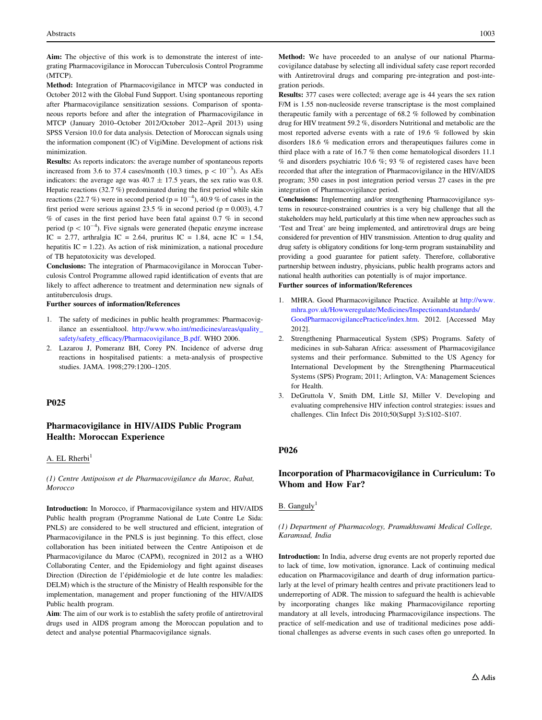Aim: The objective of this work is to demonstrate the interest of integrating Pharmacovigilance in Moroccan Tuberculosis Control Programme (MTCP).

Method: Integration of Pharmacovigilance in MTCP was conducted in October 2012 with the Global Fund Support. Using spontaneous reporting after Pharmacovigilance sensitization sessions. Comparison of spontaneous reports before and after the integration of Pharmacovigilance in MTCP (January 2010–October 2012/October 2012–April 2013) using SPSS Version 10.0 for data analysis. Detection of Moroccan signals using the information component (IC) of VigiMine. Development of actions risk minimization.

Results: As reports indicators: the average number of spontaneous reports increased from 3.6 to 37.4 cases/month (10.3 times,  $p < 10^{-3}$ ). As AEs indicators: the average age was  $40.7 \pm 17.5$  years, the sex ratio was 0.8. Hepatic reactions (32.7 %) predominated during the first period while skin reactions (22.7 %) were in second period ( $p = 10^{-4}$ ), 40.9 % of cases in the first period were serious against 23.5 % in second period ( $p = 0.003$ ), 4.7 % of cases in the first period have been fatal against 0.7 % in second period ( $p < 10^{-4}$ ). Five signals were generated (hepatic enzyme increase IC = 2.77, arthralgia IC = 2.64, pruritus IC = 1.84, acne IC = 1.54, hepatitis IC =  $1.22$ ). As action of risk minimization, a national procedure of TB hepatotoxicity was developed.

Conclusions: The integration of Pharmacovigilance in Moroccan Tuberculosis Control Programme allowed rapid identification of events that are likely to affect adherence to treatment and determination new signals of antituberculosis drugs.

#### Further sources of information/References

- 1. The safety of medicines in public health programmes: Pharmacovigilance an essentialtool. [http://www.who.int/medicines/areas/quality\\_](http://www.who.int/medicines/areas/quality_safety/safety_efficacy/Pharmacovigilance_B.pdf) [safety/safety\\_efficacy/Pharmacovigilance\\_B.pdf.](http://www.who.int/medicines/areas/quality_safety/safety_efficacy/Pharmacovigilance_B.pdf) WHO 2006.
- 2. Lazarou J, Pomeranz BH, Corey PN. Incidence of adverse drug reactions in hospitalised patients: a meta-analysis of prospective studies. JAMA. 1998;279:1200–1205.

#### P025

## Pharmacovigilance in HIV/AIDS Public Program Health: Moroccan Experience

#### A. EL Rherbi $<sup>1</sup>$ </sup>

(1) Centre Antipoison et de Pharmacovigilance du Maroc, Rabat, Morocco

Introduction: In Morocco, if Pharmacovigilance system and HIV/AIDS Public health program (Programme National de Lute Contre Le Sida: PNLS) are considered to be well structured and efficient, integration of Pharmacovigilance in the PNLS is just beginning. To this effect, close collaboration has been initiated between the Centre Antipoison et de Pharmacovigilance du Maroc (CAPM), recognized in 2012 as a WHO Collaborating Center, and the Epidemiology and fight against diseases Direction (Direction de l'épidémiologie et de lute contre les maladies: DELM) which is the structure of the Ministry of Health responsible for the implementation, management and proper functioning of the HIV/AIDS Public health program.

Aim: The aim of our work is to establish the safety profile of antiretroviral drugs used in AIDS program among the Moroccan population and to detect and analyse potential Pharmacovigilance signals.

Method: We have proceeded to an analyse of our national Pharmacovigilance database by selecting all individual safety case report recorded with Antiretroviral drugs and comparing pre-integration and post-integration periods.

Results: 377 cases were collected; average age is 44 years the sex ration F/M is 1.55 non-nucleoside reverse transcriptase is the most complained therapeutic family with a percentage of 68.2 % followed by combination drug for HIV treatment 59.2 %, disorders Nutritional and metabolic are the most reported adverse events with a rate of 19.6 % followed by skin disorders 18.6 % medication errors and therapeutiques failures come in third place with a rate of 16.7 % then come hematological disorders 11.1  $%$  and disorders psychiatric 10.6 %; 93 % of registered cases have been recorded that after the integration of Pharmacovigilance in the HIV/AIDS program; 350 cases in post integration period versus 27 cases in the pre integration of Pharmacovigilance period.

Conclusions: Implementing and/or strengthening Pharmacovigilance systems in resource-constrained countries is a very big challenge that all the stakeholders may held, particularly at this time when new approaches such as 'Test and Treat' are being implemented, and antiretroviral drugs are being considered for prevention of HIV transmission. Attention to drug quality and drug safety is obligatory conditions for long-term program sustainability and providing a good guarantee for patient safety. Therefore, collaborative partnership between industry, physicians, public health programs actors and national health authorities can potentially is of major importance. Further sources of information/References

## 1. MHRA. Good Pharmacovigilance Practice. Available at [http://www.](http://www.mhra.gov.uk/Howweregulate/Medicines/Inspectionandstandards/GoodPharmacovigilancePractice/index.htm) [mhra.gov.uk/Howweregulate/Medicines/Inspectionandstandards/](http://www.mhra.gov.uk/Howweregulate/Medicines/Inspectionandstandards/GoodPharmacovigilancePractice/index.htm) [GoodPharmacovigilancePractice/index.htm.](http://www.mhra.gov.uk/Howweregulate/Medicines/Inspectionandstandards/GoodPharmacovigilancePractice/index.htm) 2012. [Accessed May 2012].

- 2. Strengthening Pharmaceutical System (SPS) Programs. Safety of medicines in sub-Saharan Africa: assessment of Pharmacovigilance systems and their performance. Submitted to the US Agency for International Development by the Strengthening Pharmaceutical Systems (SPS) Program; 2011; Arlington, VA: Management Sciences for Health.
- 3. DeGruttola V, Smith DM, Little SJ, Miller V. Developing and evaluating comprehensive HIV infection control strategies: issues and challenges. Clin Infect Dis 2010;50(Suppl 3):S102–S107.

#### P026

## Incorporation of Pharmacovigilance in Curriculum: To Whom and How Far?

#### $B.$  Ganguly<sup>1</sup>

#### (1) Department of Pharmacology, Pramukhswami Medical College, Karamsad, India

Introduction: In India, adverse drug events are not properly reported due to lack of time, low motivation, ignorance. Lack of continuing medical education on Pharmacovigilance and dearth of drug information particularly at the level of primary health centres and private practitioners lead to underreporting of ADR. The mission to safeguard the health is achievable by incorporating changes like making Pharmacovigilance reporting mandatory at all levels, introducing Pharmacovigilance inspections. The practice of self-medication and use of traditional medicines pose additional challenges as adverse events in such cases often go unreported. In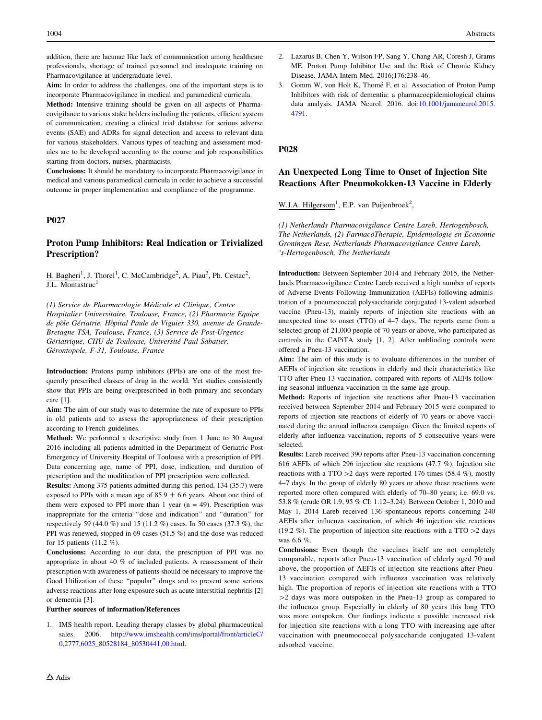addition, there are lacunae like lack of communication among healthcare professionals, shortage of trained personnel and inadequate training on Pharmacovigilance at undergraduate level.

Aim: In order to address the challenges, one of the important steps is to incorporate Pharmacovigilance in medical and paramedical curricula.

Method: Intensive training should be given on all aspects of Pharmacovigilance to various stake holders including the patients, efficient system of communication, creating a clinical trial database for serious adverse events (SAE) and ADRs for signal detection and access to relevant data for various stakeholders. Various types of teaching and assessment modules are to be developed according to the course and job responsibilities starting from doctors, nurses, pharmacists.

Conclusions: It should be mandatory to incorporate Pharmacovigilance in medical and various paramedical curricula in order to achieve a successful outcome in proper implementation and compliance of the programme.

#### P027

## Proton Pump Inhibitors: Real Indication or Trivialized Prescription?

H. Bagheri<sup>1</sup>, J. Thorel<sup>1</sup>, C. McCambridge<sup>2</sup>, A. Piau<sup>3</sup>, Ph. Cestac<sup>2</sup>, J.L. Montastruc

 $(1)$  Service de Pharmacologie Médicale et Clinique, Centre Hospitalier Universitaire, Toulouse, France, (2) Pharmacie Equipe de pôle Gériatrie, Hôpital Paule de Viguier 330, avenue de Grande-Bretagne TSA, Toulouse, France, (3) Service de Post-Urgence Gériatrique, CHU de Toulouse, Université Paul Sabatier, Gérontopole, F-31, Toulouse, France

Introduction: Protons pump inhibitors (PPIs) are one of the most frequently prescribed classes of drug in the world. Yet studies consistently show that PPIs are being overprescribed in both primary and secondary care [1].

Aim: The aim of our study was to determine the rate of exposure to PPIs in old patients and to assess the appropriateness of their prescription according to French guidelines.

Method: We performed a descriptive study from 1 June to 30 August 2016 including all patients admitted in the Department of Geriatric Post Emergency of University Hospital of Toulouse with a prescription of PPI. Data concerning age, name of PPI, dose, indication, and duration of prescription and the modification of PPI prescription were collected.

Results: Among 375 patients admitted during this period, 134 (35.7) were exposed to PPIs with a mean age of  $85.9 \pm 6.6$  years. About one third of them were exposed to PPI more than 1 year  $(n = 49)$ . Prescription was inappropriate for the criteria ''dose and indication'' and ''duration'' for respectively 59 (44.0 %) and 15 (11.2 %) cases. In 50 cases (37.3 %), the PPI was renewed, stopped in 69 cases (51.5 %) and the dose was reduced for 15 patients (11.2 %).

Conclusions: According to our data, the prescription of PPI was no appropriate in about 40 % of included patients. A reassessment of their prescription with awareness of patients should be necessary to improve the Good Utilization of these ''popular'' drugs and to prevent some serious adverse reactions after long exposure such as acute interstitial nephritis [2] or dementia [3].

#### Further sources of information/References

1. IMS health report. Leading therapy classes by global pharmaceutical sales. 2006. [http://www.imshealth.com/ims/portal/front/articleC/](http://www.imshealth.com/ims/portal/front/articleC/0%2c2777%2c6025_80528184_80530441%2c00.html) [0,2777,6025\\_80528184\\_80530441,00.html.](http://www.imshealth.com/ims/portal/front/articleC/0%2c2777%2c6025_80528184_80530441%2c00.html)

- 2. Lazarus B, Chen Y, Wilson FP, Sang Y, Chang AR, Coresh J, Grams ME. Proton Pump Inhibitor Use and the Risk of Chronic Kidney Disease. JAMA Intern Med. 2016;176:238–46.
- 3. Gomm W, von Holt K, Thomé F, et al. Association of Proton Pump Inhibitors with risk of dementia: a pharmacoepidemiological claims data analysis. JAMA Neurol. 2016. doi[:10.1001/jamaneurol.2015.](http://dx.doi.org/10.1001/jamaneurol.2015.4791) [4791.](http://dx.doi.org/10.1001/jamaneurol.2015.4791)

#### P028

## An Unexpected Long Time to Onset of Injection Site Reactions After Pneumokokken-13 Vaccine in Elderly

W.J.A. Hilgersom<sup>1</sup>, E.P. van Puijenbroek<sup>2</sup>,

(1) Netherlands Pharmacovigilance Centre Lareb, Hertogenbosch, The Netherlands, (2) FarmacoTherapie, Epidemiologie en Economie Groningen Rese, Netherlands Pharmacovigilance Centre Lareb, 's-Hertogenbosch, The Netherlands

Introduction: Between September 2014 and February 2015, the Netherlands Pharmacovigilance Centre Lareb received a high number of reports of Adverse Events Following Immunization (AEFIs) following administration of a pneumococcal polysaccharide conjugated 13-valent adsorbed vaccine (Pneu-13), mainly reports of injection site reactions with an unexpected time to onset (TTO) of 4–7 days. The reports came from a selected group of 21,000 people of 70 years or above, who participated as controls in the CAPiTA study [1, 2]. After unblinding controls were offered a Pneu-13 vaccination.

Aim: The aim of this study is to evaluate differences in the number of AEFIs of injection site reactions in elderly and their characteristics like TTO after Pneu-13 vaccination, compared with reports of AEFIs following seasonal influenza vaccination in the same age group.

Method: Reports of injection site reactions after Pneu-13 vaccination received between September 2014 and February 2015 were compared to reports of injection site reactions of elderly of 70 years or above vaccinated during the annual influenza campaign. Given the limited reports of elderly after influenza vaccination, reports of 5 consecutive years were selected.

Results: Lareb received 390 reports after Pneu-13 vaccination concerning 616 AEFIs of which 296 injection site reactions (47.7 %). Injection site reactions with a TTO  $>2$  days were reported 176 times (58.4 %), mostly 4–7 days. In the group of elderly 80 years or above these reactions were reported more often compared with elderly of 70–80 years; i.e. 69.0 vs. 53.8 % (crude OR 1.9, 95 % CI: 1.12–3.24). Between October 1, 2010 and May 1, 2014 Lareb received 136 spontaneous reports concerning 240 AEFIs after influenza vaccination, of which 46 injection site reactions (19.2 %). The proportion of injection site reactions with a  $TTO > 2$  days was 6.6 %.

Conclusions: Even though the vaccines itself are not completely comparable, reports after Pneu-13 vaccination of elderly aged 70 and above, the proportion of AEFIs of injection site reactions after Pneu-13 vaccination compared with influenza vaccination was relatively high. The proportion of reports of injection site reactions with a TTO  $>2$  days was more outspoken in the Pneu-13 group as compared to the influenza group. Especially in elderly of 80 years this long TTO was more outspoken. Our findings indicate a possible increased risk for injection site reactions with a long TTO with increasing age after vaccination with pneumococcal polysaccharide conjugated 13-valent adsorbed vaccine.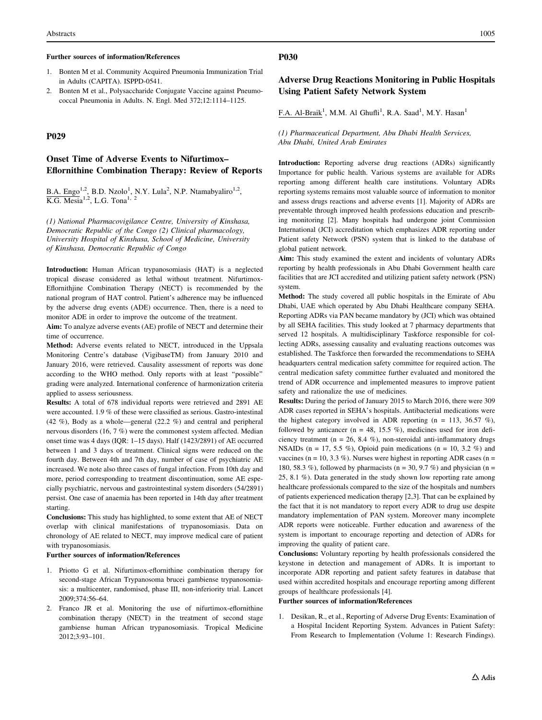#### Further sources of information/References

- 1. Bonten M et al. Community Acquired Pneumonia Immunization Trial in Adults (CAPITA). ISPPD-0541.
- 2. Bonten M et al., Polysaccharide Conjugate Vaccine against Pneumococcal Pneumonia in Adults. N. Engl. Med 372;12:1114–1125.

#### P029

## Onset Time of Adverse Events to Nifurtimox– Eflornithine Combination Therapy: Review of Reports

B.A. Engo<sup>1,2</sup>, B.D. Nzolo<sup>1</sup>, N.Y. Lula<sup>2</sup>, N.P. Ntamabyaliro<sup>1,2</sup>, K.G. Mesia<sup>1,2</sup>, L.G. Tona<sup>1, 2</sup>

(1) National Pharmacovigilance Centre, University of Kinshasa, Democratic Republic of the Congo (2) Clinical pharmacology, University Hospital of Kinshasa, School of Medicine, University of Kinshasa, Democratic Republic of Congo

Introduction: Human African trypanosomiasis (HAT) is a neglected tropical disease considered as lethal without treatment. Nifurtimox-Eflornithjine Combination Therapy (NECT) is recommended by the national program of HAT control. Patient's adherence may be influenced by the adverse drug events (ADE) occurrence. Then, there is a need to monitor ADE in order to improve the outcome of the treatment.

Aim: To analyze adverse events (AE) profile of NECT and determine their time of occurrence.

Method: Adverse events related to NECT, introduced in the Uppsala Monitoring Centre's database (VigibaseTM) from January 2010 and January 2016, were retrieved. Causality assessment of reports was done according to the WHO method. Only reports with at least ''possible'' grading were analyzed. International conference of harmonization criteria applied to assess seriousness.

Results: A total of 678 individual reports were retrieved and 2891 AE were accounted. 1.9 % of these were classified as serious. Gastro-intestinal (42 %), Body as a whole—general (22.2 %) and central and peripheral nervous disorders (16, 7 %) were the commonest system affected. Median onset time was 4 days (IQR: 1–15 days). Half (1423/2891) of AE occurred between 1 and 3 days of treatment. Clinical signs were reduced on the fourth day. Between 4th and 7th day, number of case of psychiatric AE increased. We note also three cases of fungal infection. From 10th day and more, period corresponding to treatment discontinuation, some AE especially psychiatric, nervous and gastrointestinal system disorders (54/2891) persist. One case of anaemia has been reported in 14th day after treatment starting.

Conclusions: This study has highlighted, to some extent that AE of NECT overlap with clinical manifestations of trypanosomiasis. Data on chronology of AE related to NECT, may improve medical care of patient with trypanosomiasis.

#### Further sources of information/References

- 1. Priotto G et al. Nifurtimox-eflornithine combination therapy for second-stage African Trypanosoma brucei gambiense trypanosomiasis: a multicenter, randomised, phase III, non-inferiority trial. Lancet 2009;374:56–64.
- 2. Franco JR et al. Monitoring the use of nifurtimox-eflornithine combination therapy (NECT) in the treatment of second stage gambiense human African trypanosomiasis. Tropical Medicine 2012;3:93–101.

#### P030

## Adverse Drug Reactions Monitoring in Public Hospitals Using Patient Safety Network System

F.A. Al-Braik<sup>1</sup>, M.M. Al Ghufli<sup>1</sup>, R.A. Saad<sup>1</sup>, M.Y. Hasan<sup>1</sup>

(1) Pharmaceutical Department, Abu Dhabi Health Services, Abu Dhabi, United Arab Emirates

Introduction: Reporting adverse drug reactions (ADRs) significantly Importance for public health. Various systems are available for ADRs reporting among different health care institutions. Voluntary ADRs reporting systems remains most valuable source of information to monitor and assess drugs reactions and adverse events [1]. Majority of ADRs are preventable through improved health professions education and prescribing monitoring [2]. Many hospitals had undergone joint Commission International (JCI) accreditation which emphasizes ADR reporting under Patient safety Network (PSN) system that is linked to the database of global patient network.

Aim: This study examined the extent and incidents of voluntary ADRs reporting by health professionals in Abu Dhabi Government health care facilities that are JCI accredited and utilizing patient safety network (PSN) system.

Method: The study covered all public hospitals in the Emirate of Abu Dhabi, UAE which operated by Abu Dhabi Healthcare company SEHA. Reporting ADRs via PAN became mandatory by (JCI) which was obtained by all SEHA facilities. This study looked at 7 pharmacy departments that served 12 hospitals. A multidisciplinary Taskforce responsible for collecting ADRs, assessing causality and evaluating reactions outcomes was established. The Taskforce then forwarded the recommendations to SEHA headquarters central medication safety committee for required action. The central medication safety committee further evaluated and monitored the trend of ADR occurrence and implemented measures to improve patient safety and rationalize the use of medicines.

Results: During the period of January 2015 to March 2016, there were 309 ADR cases reported in SEHA's hospitals. Antibacterial medications were the highest category involved in ADR reporting  $(n = 113, 36.57 \%)$ , followed by anticancer ( $n = 48$ , 15.5 %), medicines used for iron deficiency treatment (n = 26, 8.4 %), non-steroidal anti-inflammatory drugs NSAIDs ( $n = 17, 5.5\%$ ), Opioid pain medications ( $n = 10, 3.2\%$ ) and vaccines (n = 10, 3.3 %). Nurses were highest in reporting ADR cases (n = 180, 58.3 %), followed by pharmacists ( $n = 30, 9.7$ %) and physician ( $n =$ 25, 8.1 %). Data generated in the study shown low reporting rate among healthcare professionals compared to the size of the hospitals and numbers of patients experienced medication therapy [2,3]. That can be explained by the fact that it is not mandatory to report every ADR to drug use despite mandatory implementation of PAN system. Moreover many incomplete ADR reports were noticeable. Further education and awareness of the system is important to encourage reporting and detection of ADRs for improving the quality of patient care.

Conclusions: Voluntary reporting by health professionals considered the keystone in detection and management of ADRs. It is important to incorporate ADR reporting and patient safety features in database that used within accredited hospitals and encourage reporting among different groups of healthcare professionals [4].

#### Further sources of information/References

1. Desikan, R., et al., Reporting of Adverse Drug Events: Examination of a Hospital Incident Reporting System. Advances in Patient Safety: From Research to Implementation (Volume 1: Research Findings).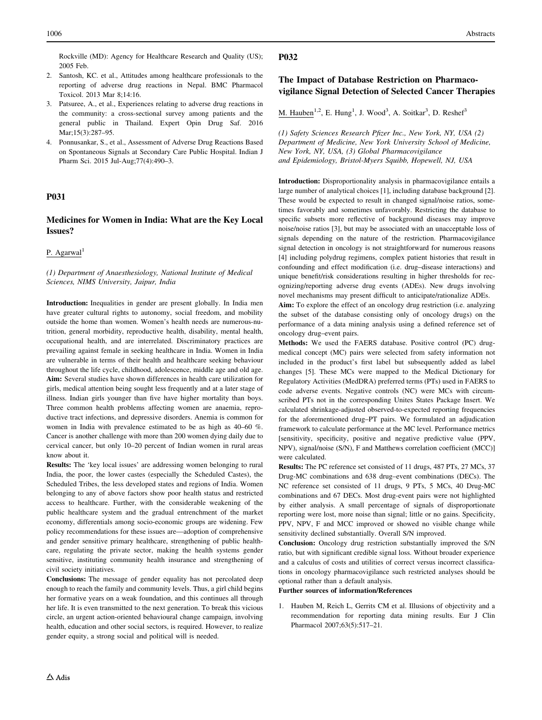Rockville (MD): Agency for Healthcare Research and Quality (US); 2005 Feb.

- 2. Santosh, KC. et al., Attitudes among healthcare professionals to the reporting of adverse drug reactions in Nepal. BMC Pharmacol Toxicol. 2013 Mar 8;14:16.
- 3. Patsuree, A., et al., Experiences relating to adverse drug reactions in the community: a cross-sectional survey among patients and the general public in Thailand. Expert Opin Drug Saf. 2016 Mar;15(3):287-95.
- 4. Ponnusankar, S., et al., Assessment of Adverse Drug Reactions Based on Spontaneous Signals at Secondary Care Public Hospital. Indian J Pharm Sci. 2015 Jul-Aug;77(4):490–3.

#### P031

## Medicines for Women in India: What are the Key Local Issues?

P. Agarwal<sup>1</sup>

(1) Department of Anaesthesiology, National Institute of Medical Sciences, NIMS University, Jaipur, India

Introduction: Inequalities in gender are present globally. In India men have greater cultural rights to autonomy, social freedom, and mobility outside the home than women. Women's health needs are numerous-nutrition, general morbidity, reproductive health, disability, mental health, occupational health, and are interrelated. Discriminatory practices are prevailing against female in seeking healthcare in India. Women in India are vulnerable in terms of their health and healthcare seeking behaviour throughout the life cycle, childhood, adolescence, middle age and old age. Aim: Several studies have shown differences in health care utilization for girls, medical attention being sought less frequently and at a later stage of illness. Indian girls younger than five have higher mortality than boys. Three common health problems affecting women are anaemia, reproductive tract infections, and depressive disorders. Anemia is common for women in India with prevalence estimated to be as high as 40–60 %. Cancer is another challenge with more than 200 women dying daily due to cervical cancer, but only 10–20 percent of Indian women in rural areas know about it.

Results: The 'key local issues' are addressing women belonging to rural India, the poor, the lower castes (especially the Scheduled Castes), the Scheduled Tribes, the less developed states and regions of India. Women belonging to any of above factors show poor health status and restricted access to healthcare. Further, with the considerable weakening of the public healthcare system and the gradual entrenchment of the market economy, differentials among socio-economic groups are widening. Few policy recommendations for these issues are—adoption of comprehensive and gender sensitive primary healthcare, strengthening of public healthcare, regulating the private sector, making the health systems gender sensitive, instituting community health insurance and strengthening of civil society initiatives.

Conclusions: The message of gender equality has not percolated deep enough to reach the family and community levels. Thus, a girl child begins her formative years on a weak foundation, and this continues all through her life. It is even transmitted to the next generation. To break this vicious circle, an urgent action-oriented behavioural change campaign, involving health, education and other social sectors, is required. However, to realize gender equity, a strong social and political will is needed.

#### P032

## The Impact of Database Restriction on Pharmacovigilance Signal Detection of Selected Cancer Therapies

M. Hauben<sup>1,2</sup>, E. Hung<sup>1</sup>, J. Wood<sup>3</sup>, A. Soitkar<sup>3</sup>, D. Reshef<sup>3</sup>

(1) Safety Sciences Research Pfizer Inc., New York, NY, USA (2) Department of Medicine, New York University School of Medicine, New York, NY, USA, (3) Global Pharmacovigilance and Epidemiology, Bristol-Myers Squibb, Hopewell, NJ, USA

Introduction: Disproportionality analysis in pharmacovigilance entails a large number of analytical choices [1], including database background [2]. These would be expected to result in changed signal/noise ratios, sometimes favorably and sometimes unfavorably. Restricting the database to specific subsets more reflective of background diseases may improve noise/noise ratios [3], but may be associated with an unacceptable loss of signals depending on the nature of the restriction. Pharmacovigilance signal detection in oncology is not straightforward for numerous reasons [4] including polydrug regimens, complex patient histories that result in confounding and effect modification (i.e. drug–disease interactions) and unique benefit/risk considerations resulting in higher thresholds for recognizing/reporting adverse drug events (ADEs). New drugs involving novel mechanisms may present difficult to anticipate/rationalize ADEs.

Aim: To explore the effect of an oncology drug restriction (i.e. analyzing the subset of the database consisting only of oncology drugs) on the performance of a data mining analysis using a defined reference set of oncology drug–event pairs.

Methods: We used the FAERS database. Positive control (PC) drugmedical concept (MC) pairs were selected from safety information not included in the product's first label but subsequently added as label changes [5]. These MCs were mapped to the Medical Dictionary for Regulatory Activities (MedDRA) preferred terms (PTs) used in FAERS to code adverse events. Negative controls (NC) were MCs with circumscribed PTs not in the corresponding Unites States Package Insert. We calculated shrinkage-adjusted observed-to-expected reporting frequencies for the aforementioned drug–PT pairs. We formulated an adjudication framework to calculate performance at the MC level. Performance metrics [sensitivity, specificity, positive and negative predictive value (PPV, NPV), signal/noise (S/N), F and Matthews correlation coefficient (MCC)] were calculated.

Results: The PC reference set consisted of 11 drugs, 487 PTs, 27 MCs, 37 Drug-MC combinations and 638 drug–event combinations (DECs). The NC reference set consisted of 11 drugs, 9 PTs, 5 MCs, 40 Drug-MC combinations and 67 DECs. Most drug-event pairs were not highlighted by either analysis. A small percentage of signals of disproportionate reporting were lost, more noise than signal; little or no gains. Specificity, PPV, NPV, F and MCC improved or showed no visible change while sensitivity declined substantially. Overall S/N improved.

Conclusion: Oncology drug restriction substantially improved the S/N ratio, but with significant credible signal loss. Without broader experience and a calculus of costs and utilities of correct versus incorrect classifications in oncology pharmacovigilance such restricted analyses should be optional rather than a default analysis.

#### Further sources of information/References

1. Hauben M, Reich L, Gerrits CM et al. Illusions of objectivity and a recommendation for reporting data mining results. Eur J Clin Pharmacol 2007;63(5):517–21.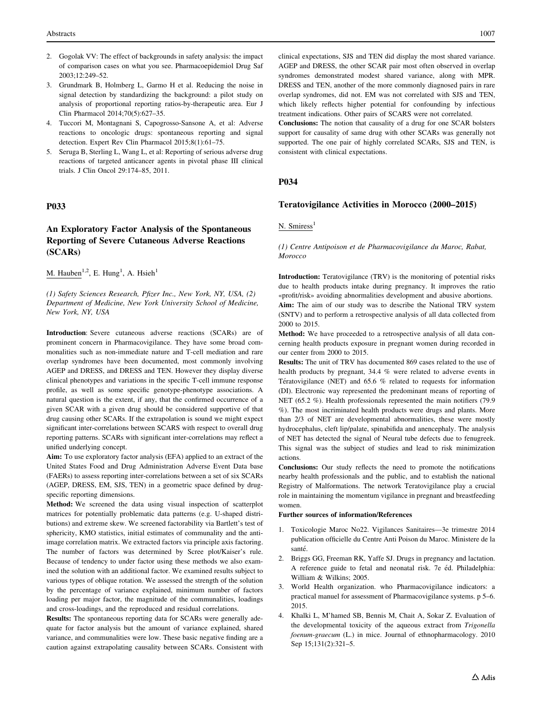- 2. Gogolak VV: The effect of backgrounds in safety analysis: the impact of comparison cases on what you see. Pharmacoepidemiol Drug Saf 2003;12:249–52.
- 3. Grundmark B, Holmberg L, Garmo H et al. Reducing the noise in signal detection by standardizing the background: a pilot study on analysis of proportional reporting ratios-by-therapeutic area. Eur J Clin Pharmacol 2014;70(5):627–35.
- 4. Tuccori M, Montagnani S, Capogrosso-Sansone A, et al: Adverse reactions to oncologic drugs: spontaneous reporting and signal detection. Expert Rev Clin Pharmacol 2015;8(1):61–75.
- 5. Seruga B, Sterling L, Wang L, et al: Reporting of serious adverse drug reactions of targeted anticancer agents in pivotal phase III clinical trials. J Clin Oncol 29:174–85, 2011.

## An Exploratory Factor Analysis of the Spontaneous Reporting of Severe Cutaneous Adverse Reactions (SCARs)

M. Hauben<sup>1,2</sup>, E. Hung<sup>1</sup>, A. Hsieh<sup>1</sup>

(1) Safety Sciences Research, Pfizer Inc., New York, NY, USA, (2) Department of Medicine, New York University School of Medicine, New York, NY, USA

Introduction: Severe cutaneous adverse reactions (SCARs) are of prominent concern in Pharmacovigilance. They have some broad commonalities such as non-immediate nature and T-cell mediation and rare overlap syndromes have been documented, most commonly involving AGEP and DRESS, and DRESS and TEN. However they display diverse clinical phenotypes and variations in the specific T-cell immune response profile, as well as some specific genotype-phenotype associations. A natural question is the extent, if any, that the confirmed occurrence of a given SCAR with a given drug should be considered supportive of that drug causing other SCARs. If the extrapolation is sound we might expect significant inter-correlations between SCARS with respect to overall drug reporting patterns. SCARs with significant inter-correlations may reflect a unified underlying concept.

Aim: To use exploratory factor analysis (EFA) applied to an extract of the United States Food and Drug Administration Adverse Event Data base (FAERs) to assess reporting inter-correlations between a set of six SCARs (AGEP, DRESS, EM, SJS, TEN) in a geometric space defined by drugspecific reporting dimensions.

Method: We screened the data using visual inspection of scatterplot matrices for potentially problematic data patterns (e.g. U-shaped distributions) and extreme skew. We screened factorability via Bartlett's test of sphericity, KMO statistics, initial estimates of communality and the antiimage correlation matrix. We extracted factors via principle axis factoring. The number of factors was determined by Scree plot/Kaiser's rule. Because of tendency to under factor using these methods we also examined the solution with an additional factor. We examined results subject to various types of oblique rotation. We assessed the strength of the solution by the percentage of variance explained, minimum number of factors loading per major factor, the magnitude of the communalities, loadings and cross-loadings, and the reproduced and residual correlations.

Results: The spontaneous reporting data for SCARs were generally adequate for factor analysis but the amount of variance explained, shared variance, and communalities were low. These basic negative finding are a caution against extrapolating causality between SCARs. Consistent with clinical expectations, SJS and TEN did display the most shared variance. AGEP and DRESS, the other SCAR pair most often observed in overlap syndromes demonstrated modest shared variance, along with MPR. DRESS and TEN, another of the more commonly diagnosed pairs in rare overlap syndromes, did not. EM was not correlated with SJS and TEN, which likely reflects higher potential for confounding by infectious treatment indications. Other pairs of SCARS were not correlated.

Conclusions: The notion that causality of a drug for one SCAR bolsters support for causality of same drug with other SCARs was generally not supported. The one pair of highly correlated SCARs, SJS and TEN, is consistent with clinical expectations.

#### P034

#### Teratovigilance Activities in Morocco (2000–2015)

## N. Smiress<sup>1</sup>

(1) Centre Antipoison et de Pharmacovigilance du Maroc, Rabat, **Morocco** 

Introduction: Teratovigilance (TRV) is the monitoring of potential risks due to health products intake during pregnancy. It improves the ratio «profit/risk» avoiding abnormalities development and abusive abortions. Aim: The aim of our study was to describe the National TRV system (SNTV) and to perform a retrospective analysis of all data collected from 2000 to 2015.

Method: We have proceeded to a retrospective analysis of all data concerning health products exposure in pregnant women during recorded in our center from 2000 to 2015.

Results: The unit of TRV has documented 869 cases related to the use of health products by pregnant, 34.4 % were related to adverse events in Tératovigilance (NET) and 65.6  $%$  related to requests for information (DI). Electronic way represented the predominant means of reporting of NET (65.2 %). Health professionals represented the main notifiers (79.9 %). The most incriminated health products were drugs and plants. More than 2/3 of NET are developmental abnormalities, these were mostly hydrocephalus, cleft lip/palate, spinabifida and anencephaly. The analysis of NET has detected the signal of Neural tube defects due to fenugreek. This signal was the subject of studies and lead to risk minimization actions.

Conclusions: Our study reflects the need to promote the notifications nearby health professionals and the public, and to establish the national Registry of Malformations. The network Teratovigilance play a crucial role in maintaining the momentum vigilance in pregnant and breastfeeding women.

- 1. Toxicologie Maroc No22. Vigilances Sanitaires—3e trimestre 2014 publication officielle du Centre Anti Poison du Maroc. Ministere de la santé.
- 2. Briggs GG, Freeman RK, Yaffe SJ. Drugs in pregnancy and lactation. A reference guide to fetal and neonatal risk. 7e éd. Philadelphia: William & Wilkins; 2005.
- 3. World Health organization. who Pharmacovigilance indicators: a practical manuel for assessment of Pharmacovigilance systems. p 5–6. 2015.
- 4. Khalki L, M'hamed SB, Bennis M, Chait A, Sokar Z. Evaluation of the developmental toxicity of the aqueous extract from Trigonella foenum-graecum (L.) in mice. Journal of ethnopharmacology. 2010 Sep 15;131(2):321–5.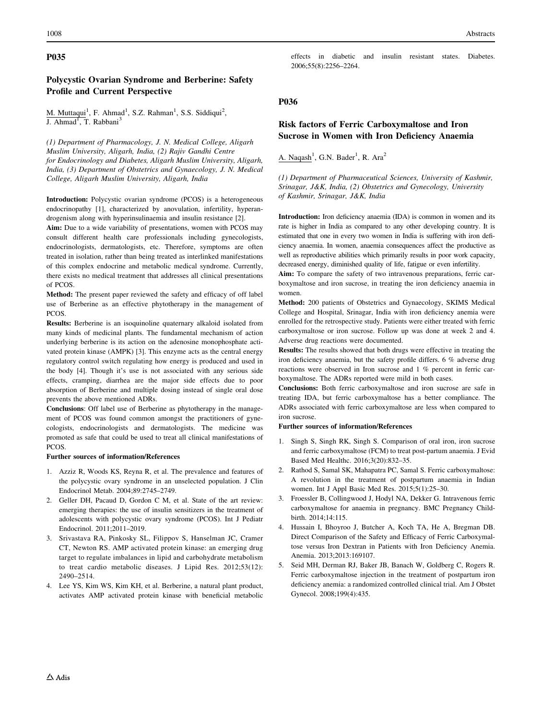## Polycystic Ovarian Syndrome and Berberine: Safety Profile and Current Perspective

M. Muttaqui<sup>1</sup>, F. Ahmad<sup>1</sup>, S.Z. Rahman<sup>1</sup>, S.S. Siddiqui<sup>2</sup>, J. Ahmad<sup>1</sup>, T. Rabbani<sup>3</sup>

(1) Department of Pharmacology, J. N. Medical College, Aligarh Muslim University, Aligarh, India, (2) Rajiv Gandhi Centre for Endocrinology and Diabetes, Aligarh Muslim University, Aligarh, India, (3) Department of Obstetrics and Gynaecology, J. N. Medical College, Aligarh Muslim University, Aligarh, India

Introduction: Polycystic ovarian syndrome (PCOS) is a heterogeneous endocrinopathy [1], characterized by anovulation, infertility, hyperandrogenism along with hyperinsulinaemia and insulin resistance [2].

Aim: Due to a wide variability of presentations, women with PCOS may consult different health care professionals including gynecologists, endocrinologists, dermatologists, etc. Therefore, symptoms are often treated in isolation, rather than being treated as interlinked manifestations of this complex endocrine and metabolic medical syndrome. Currently, there exists no medical treatment that addresses all clinical presentations of PCOS.

Method: The present paper reviewed the safety and efficacy of off label use of Berberine as an effective phytotherapy in the management of PCOS.

Results: Berberine is an isoquinoline quaternary alkaloid isolated from many kinds of medicinal plants. The fundamental mechanism of action underlying berberine is its action on the adenosine monophosphate activated protein kinase (AMPK) [3]. This enzyme acts as the central energy regulatory control switch regulating how energy is produced and used in the body [4]. Though it's use is not associated with any serious side effects, cramping, diarrhea are the major side effects due to poor absorption of Berberine and multiple dosing instead of single oral dose prevents the above mentioned ADRs.

Conclusions: Off label use of Berberine as phytotherapy in the management of PCOS was found common amongst the practitioners of gynecologists, endocrinologists and dermatologists. The medicine was promoted as safe that could be used to treat all clinical manifestations of PCOS.

## Further sources of information/References

- 1. Azziz R, Woods KS, Reyna R, et al. The prevalence and features of the polycystic ovary syndrome in an unselected population. J Clin Endocrinol Metab. 2004;89:2745–2749.
- 2. Geller DH, Pacaud D, Gordon C M, et al. State of the art review: emerging therapies: the use of insulin sensitizers in the treatment of adolescents with polycystic ovary syndrome (PCOS). Int J Pediatr Endocrinol. 2011;2011–2019.
- 3. Srivastava RA, Pinkosky SL, Filippov S, Hanselman JC, Cramer CT, Newton RS. AMP activated protein kinase: an emerging drug target to regulate imbalances in lipid and carbohydrate metabolism to treat cardio metabolic diseases. J Lipid Res. 2012;53(12): 2490–2514.
- 4. Lee YS, Kim WS, Kim KH, et al. Berberine, a natural plant product, activates AMP activated protein kinase with beneficial metabolic

effects in diabetic and insulin resistant states. Diabetes. 2006;55(8):2256–2264.

## P036

## Risk factors of Ferric Carboxymaltose and Iron Sucrose in Women with Iron Deficiency Anaemia

## A. Naqash<sup>1</sup>, G.N. Bader<sup>1</sup>, R. Ara<sup>2</sup>

(1) Department of Pharmaceutical Sciences, University of Kashmir, Srinagar, J&K, India, (2) Obstetrics and Gynecology, University of Kashmir, Srinagar, J&K, India

Introduction: Iron deficiency anaemia (IDA) is common in women and its rate is higher in India as compared to any other developing country. It is estimated that one in every two women in India is suffering with iron deficiency anaemia. In women, anaemia consequences affect the productive as well as reproductive abilities which primarily results in poor work capacity, decreased energy, diminished quality of life, fatigue or even infertility.

Aim: To compare the safety of two intravenous preparations, ferric carboxymaltose and iron sucrose, in treating the iron deficiency anaemia in women.

Method: 200 patients of Obstetrics and Gynaecology, SKIMS Medical College and Hospital, Srinagar, India with iron deficiency anemia were enrolled for the retrospective study. Patients were either treated with ferric carboxymaltose or iron sucrose. Follow up was done at week 2 and 4. Adverse drug reactions were documented.

Results: The results showed that both drugs were effective in treating the iron deficiency anaemia, but the safety profile differs. 6 % adverse drug reactions were observed in Iron sucrose and 1 % percent in ferric carboxymaltose. The ADRs reported were mild in both cases.

Conclusions: Both ferric carboxymaltose and iron sucrose are safe in treating IDA, but ferric carboxymaltose has a better compliance. The ADRs associated with ferric carboxymaltose are less when compared to iron sucrose.

- 1. Singh S, Singh RK, Singh S. Comparison of oral iron, iron sucrose and ferric carboxymaltose (FCM) to treat post-partum anaemia. J Evid Based Med Healthc. 2016;3(20):832–35.
- 2. Rathod S, Samal SK, Mahapatra PC, Samal S. Ferric carboxymaltose: A revolution in the treatment of postpartum anaemia in Indian women. Int J Appl Basic Med Res. 2015;5(1):25–30.
- 3. Froessler B, Collingwood J, Hodyl NA, Dekker G. Intravenous ferric carboxymaltose for anaemia in pregnancy. BMC Pregnancy Childbirth. 2014;14:115.
- 4. Hussain I, Bhoyroo J, Butcher A, Koch TA, He A, Bregman DB. Direct Comparison of the Safety and Efficacy of Ferric Carboxymaltose versus Iron Dextran in Patients with Iron Deficiency Anemia. Anemia. 2013;2013:169107.
- 5. Seid MH, Derman RJ, Baker JB, Banach W, Goldberg C, Rogers R. Ferric carboxymaltose injection in the treatment of postpartum iron deficiency anemia: a randomized controlled clinical trial. Am J Obstet Gynecol. 2008;199(4):435.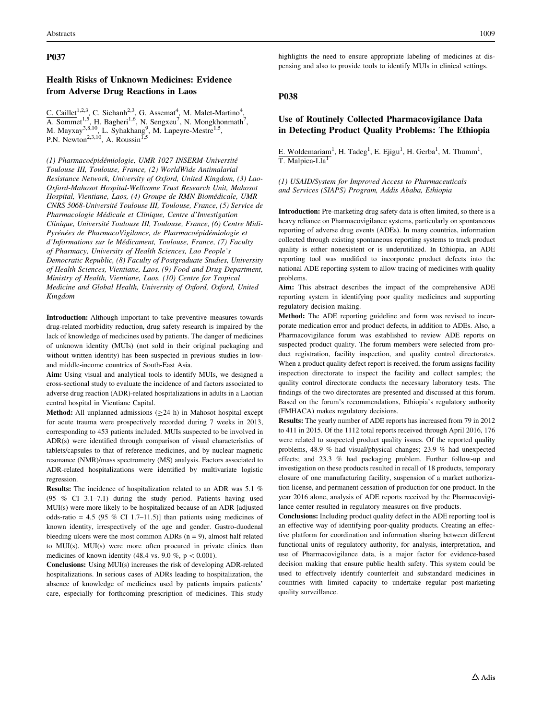## Health Risks of Unknown Medicines: Evidence from Adverse Drug Reactions in Laos

C. Caillet<sup>1,2,3</sup>, C. Sichanh<sup>2,3</sup>, G. Assemat<sup>4</sup>, M. Malet-Martino<sup>4</sup>, A. Sommet<sup>1,5</sup>, H. Bagheri<sup>1,6</sup>, N. Sengxeu<sup>7</sup>, N. Mongkhonmath<sup>7</sup>, M. Mayxay<sup>3,8,10</sup>, L. Syhakhang<sup>9</sup>, M. Lapeyre-Mestre<sup>1,5</sup>, P.N. Newton<sup>2,3,10</sup>, A. Roussin<sup>1,5</sup>

(1) Pharmacoépidémiologie, UMR 1027 INSERM-Université Toulouse III, Toulouse, France, (2) WorldWide Antimalarial Resistance Network, University of Oxford, United Kingdom, (3) Lao-Oxford-Mahosot Hospital-Wellcome Trust Research Unit, Mahosot Hospital, Vientiane, Laos, (4) Groupe de RMN Biomédicale, UMR CNRS 5068-Universite´ Toulouse III, Toulouse, France, (5) Service de Pharmacologie Médicale et Clinique, Centre d'Investigation Clinique, Université Toulouse III, Toulouse, France, (6) Centre Midi-Pyrénées de PharmacoVigilance, de Pharmacoépidémiologie et d'Informations sur le Médicament, Toulouse, France, (7) Faculty of Pharmacy, University of Health Sciences, Lao People's Democratic Republic, (8) Faculty of Postgraduate Studies, University of Health Sciences, Vientiane, Laos, (9) Food and Drug Department, Ministry of Health, Vientiane, Laos, (10) Centre for Tropical Medicine and Global Health, University of Oxford, Oxford, United Kingdom

Introduction: Although important to take preventive measures towards drug-related morbidity reduction, drug safety research is impaired by the lack of knowledge of medicines used by patients. The danger of medicines of unknown identity (MUIs) (not sold in their original packaging and without written identity) has been suspected in previous studies in lowand middle-income countries of South-East Asia.

Aim: Using visual and analytical tools to identify MUIs, we designed a cross-sectional study to evaluate the incidence of and factors associated to adverse drug reaction (ADR)-related hospitalizations in adults in a Laotian central hospital in Vientiane Capital.

Method: All unplanned admissions  $(\geq 24$  h) in Mahosot hospital except for acute trauma were prospectively recorded during 7 weeks in 2013, corresponding to 453 patients included. MUIs suspected to be involved in ADR(s) were identified through comparison of visual characteristics of tablets/capsules to that of reference medicines, and by nuclear magnetic resonance (NMR)/mass spectrometry (MS) analysis. Factors associated to ADR-related hospitalizations were identified by multivariate logistic regression.

Results: The incidence of hospitalization related to an ADR was 5.1 % (95 % CI 3.1–7.1) during the study period. Patients having used MUI(s) were more likely to be hospitalized because of an ADR [adjusted odds-ratio = 4.5 (95 % CI 1.7–11.5)] than patients using medicines of known identity, irrespectively of the age and gender. Gastro-duodenal bleeding ulcers were the most common ADRs  $(n = 9)$ , almost half related to MUI(s). MUI(s) were more often procured in private clinics than medicines of known identity (48.4 vs. 9.0 %,  $p < 0.001$ ).

Conclusions: Using MUI(s) increases the risk of developing ADR-related hospitalizations. In serious cases of ADRs leading to hospitalization, the absence of knowledge of medicines used by patients impairs patients' care, especially for forthcoming prescription of medicines. This study highlights the need to ensure appropriate labeling of medicines at dispensing and also to provide tools to identify MUIs in clinical settings.

#### P038

## Use of Routinely Collected Pharmacovigilance Data in Detecting Product Quality Problems: The Ethiopia

E. Woldemariam<sup>1</sup>, H. Tadeg<sup>1</sup>, E. Ejigu<sup>1</sup>, H. Gerba<sup>1</sup>, M. Thumm<sup>1</sup>, T. Malpica-Lla<sup>1</sup>

(1) USAID/System for Improved Access to Pharmaceuticals and Services (SIAPS) Program, Addis Ababa, Ethiopia

Introduction: Pre-marketing drug safety data is often limited, so there is a heavy reliance on Pharmacovigilance systems, particularly on spontaneous reporting of adverse drug events (ADEs). In many countries, information collected through existing spontaneous reporting systems to track product quality is either nonexistent or is underutilized. In Ethiopia, an ADE reporting tool was modified to incorporate product defects into the national ADE reporting system to allow tracing of medicines with quality problems.

Aim: This abstract describes the impact of the comprehensive ADE reporting system in identifying poor quality medicines and supporting regulatory decision making.

Method: The ADE reporting guideline and form was revised to incorporate medication error and product defects, in addition to ADEs. Also, a Pharmacovigilance forum was established to review ADE reports on suspected product quality. The forum members were selected from product registration, facility inspection, and quality control directorates. When a product quality defect report is received, the forum assigns facility inspection directorate to inspect the facility and collect samples; the quality control directorate conducts the necessary laboratory tests. The findings of the two directorates are presented and discussed at this forum. Based on the forum's recommendations, Ethiopia's regulatory authority (FMHACA) makes regulatory decisions.

Results: The yearly number of ADE reports has increased from 79 in 2012 to 411 in 2015. Of the 1112 total reports received through April 2016, 176 were related to suspected product quality issues. Of the reported quality problems, 48.9 % had visual/physical changes; 23.9 % had unexpected effects; and 23.3 % had packaging problem. Further follow-up and investigation on these products resulted in recall of 18 products, temporary closure of one manufacturing facility, suspension of a market authorization license, and permanent cessation of production for one product. In the year 2016 alone, analysis of ADE reports received by the Pharmacovigilance center resulted in regulatory measures on five products.

Conclusions: Including product quality defect in the ADE reporting tool is an effective way of identifying poor-quality products. Creating an effective platform for coordination and information sharing between different functional units of regulatory authority, for analysis, interpretation, and use of Pharmacovigilance data, is a major factor for evidence-based decision making that ensure public health safety. This system could be used to effectively identify counterfeit and substandard medicines in countries with limited capacity to undertake regular post-marketing quality surveillance.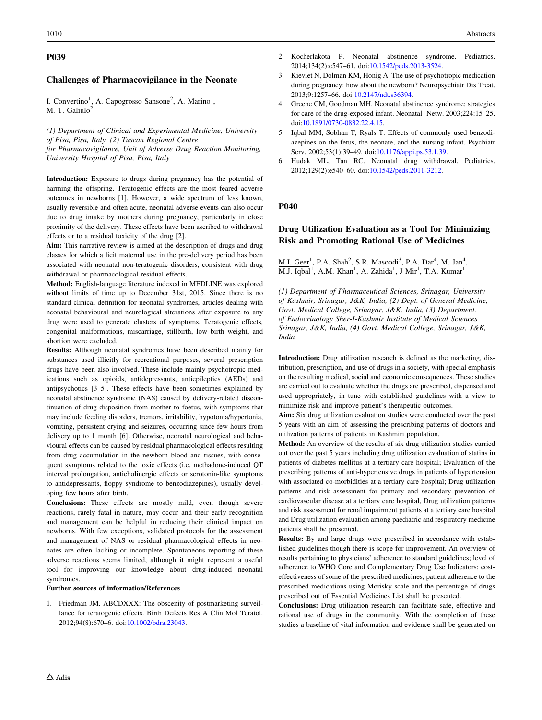## Challenges of Pharmacovigilance in the Neonate

I. Convertino<sup>1</sup>, A. Capogrosso Sansone<sup>2</sup>, A. Marino<sup>1</sup>, M. T. Galiulo

(1) Department of Clinical and Experimental Medicine, University of Pisa, Pisa, Italy, (2) Tuscan Regional Centre for Pharmacovigilance, Unit of Adverse Drug Reaction Monitoring, University Hospital of Pisa, Pisa, Italy

Introduction: Exposure to drugs during pregnancy has the potential of harming the offspring. Teratogenic effects are the most feared adverse outcomes in newborns [1]. However, a wide spectrum of less known, usually reversible and often acute, neonatal adverse events can also occur due to drug intake by mothers during pregnancy, particularly in close proximity of the delivery. These effects have been ascribed to withdrawal effects or to a residual toxicity of the drug [2].

Aim: This narrative review is aimed at the description of drugs and drug classes for which a licit maternal use in the pre-delivery period has been associated with neonatal non-teratogenic disorders, consistent with drug withdrawal or pharmacological residual effects.

Method: English-language literature indexed in MEDLINE was explored without limits of time up to December 31st, 2015. Since there is no standard clinical definition for neonatal syndromes, articles dealing with neonatal behavioural and neurological alterations after exposure to any drug were used to generate clusters of symptoms. Teratogenic effects, congenital malformations, miscarriage, stillbirth, low birth weight, and abortion were excluded.

Results: Although neonatal syndromes have been described mainly for substances used illicitly for recreational purposes, several prescription drugs have been also involved. These include mainly psychotropic medications such as opioids, antidepressants, antiepileptics (AEDs) and antipsychotics [3–5]. These effects have been sometimes explained by neonatal abstinence syndrome (NAS) caused by delivery-related discontinuation of drug disposition from mother to foetus, with symptoms that may include feeding disorders, tremors, irritability, hypotonia/hypertonia, vomiting, persistent crying and seizures, occurring since few hours from delivery up to 1 month [6]. Otherwise, neonatal neurological and behavioural effects can be caused by residual pharmacological effects resulting from drug accumulation in the newborn blood and tissues, with consequent symptoms related to the toxic effects (i.e. methadone-induced QT interval prolongation, anticholinergic effects or serotonin-like symptoms to antidepressants, floppy syndrome to benzodiazepines), usually developing few hours after birth.

Conclusions: These effects are mostly mild, even though severe reactions, rarely fatal in nature, may occur and their early recognition and management can be helpful in reducing their clinical impact on newborns. With few exceptions, validated protocols for the assessment and management of NAS or residual pharmacological effects in neonates are often lacking or incomplete. Spontaneous reporting of these adverse reactions seems limited, although it might represent a useful tool for improving our knowledge about drug-induced neonatal syndromes.

#### Further sources of information/References

1. Friedman JM. ABCDXXX: The obscenity of postmarketing surveillance for teratogenic effects. Birth Defects Res A Clin Mol Teratol. 2012;94(8):670–6. doi[:10.1002/bdra.23043.](http://dx.doi.org/10.1002/bdra.23043)

- 2. Kocherlakota P. Neonatal abstinence syndrome. Pediatrics. 2014;134(2):e547–61. doi[:10.1542/peds.2013-3524](http://dx.doi.org/10.1542/peds.2013-3524).
- 3. Kieviet N, Dolman KM, Honig A. The use of psychotropic medication during pregnancy: how about the newborn? Neuropsychiatr Dis Treat. 2013;9:1257–66. doi[:10.2147/ndt.s36394](http://dx.doi.org/10.2147/ndt.s36394).
- 4. Greene CM, Goodman MH. Neonatal abstinence syndrome: strategies for care of the drug-exposed infant. Neonatal Netw. 2003;224:15–25. doi[:10.1891/0730-0832.22.4.15.](http://dx.doi.org/10.1891/0730-0832.22.4.15)
- 5. Iqbal MM, Sobhan T, Ryals T. Effects of commonly used benzodiazepines on the fetus, the neonate, and the nursing infant. Psychiatr Serv. 2002;53(1):39–49. doi:[10.1176/appi.ps.53.1.39](http://dx.doi.org/10.1176/appi.ps.53.1.39).
- 6. Hudak ML, Tan RC. Neonatal drug withdrawal. Pediatrics. 2012;129(2):e540–60. doi[:10.1542/peds.2011-3212](http://dx.doi.org/10.1542/peds.2011-3212).

#### P040

## Drug Utilization Evaluation as a Tool for Minimizing Risk and Promoting Rational Use of Medicines

M.I. Geer<sup>1</sup>, P.A. Shah<sup>2</sup>, S.R. Masoodi<sup>3</sup>, P.A. Dar<sup>4</sup>, M. Jan<sup>4</sup>,  $\overline{M.J. Iqbal}^1$ , A.M. Khan<sup>1</sup>, A. Zahida<sup>1</sup>, J Mir<sup>1</sup>, T.A. Kumar<sup>1</sup>

(1) Department of Pharmaceutical Sciences, Srinagar, University of Kashmir, Srinagar, J&K, India, (2) Dept. of General Medicine, Govt. Medical College, Srinagar, J&K, India, (3) Department. of Endocrinology Sher-I-Kashmir Institute of Medical Sciences Srinagar, J&K, India, (4) Govt. Medical College, Srinagar, J&K, India

Introduction: Drug utilization research is defined as the marketing, distribution, prescription, and use of drugs in a society, with special emphasis on the resulting medical, social and economic consequences. These studies are carried out to evaluate whether the drugs are prescribed, dispensed and used appropriately, in tune with established guidelines with a view to minimize risk and improve patient's therapeutic outcomes.

Aim: Six drug utilization evaluation studies were conducted over the past 5 years with an aim of assessing the prescribing patterns of doctors and utilization patterns of patients in Kashmiri population.

Method: An overview of the results of six drug utilization studies carried out over the past 5 years including drug utilization evaluation of statins in patients of diabetes mellitus at a tertiary care hospital; Evaluation of the prescribing patterns of anti-hypertensive drugs in patients of hypertension with associated co-morbidities at a tertiary care hospital; Drug utilization patterns and risk assessment for primary and secondary prevention of cardiovascular disease at a tertiary care hospital, Drug utilization patterns and risk assessment for renal impairment patients at a tertiary care hospital and Drug utilization evaluation among paediatric and respiratory medicine patients shall be presented.

Results: By and large drugs were prescribed in accordance with established guidelines though there is scope for improvement. An overview of results pertaining to physicians' adherence to standard guidelines; level of adherence to WHO Core and Complementary Drug Use Indicators; costeffectiveness of some of the prescribed medicines; patient adherence to the prescribed medications using Morisky scale and the percentage of drugs prescribed out of Essential Medicines List shall be presented.

Conclusions: Drug utilization research can facilitate safe, effective and rational use of drugs in the community. With the completion of these studies a baseline of vital information and evidence shall be generated on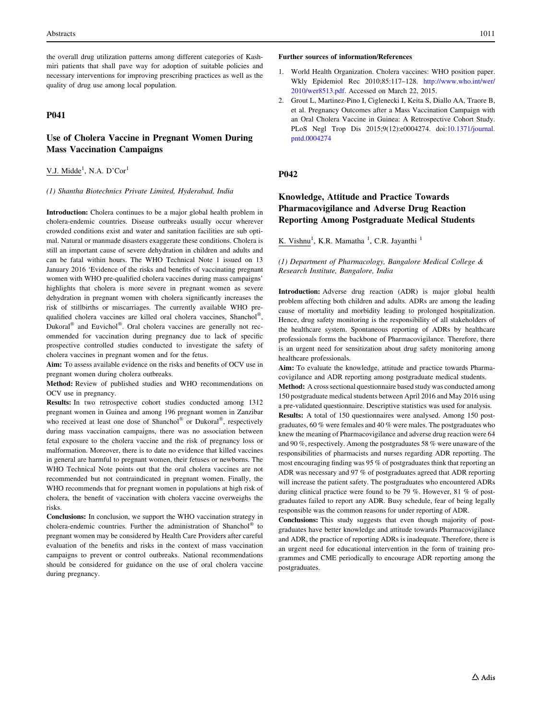the overall drug utilization patterns among different categories of Kashmiri patients that shall pave way for adoption of suitable policies and necessary interventions for improving prescribing practices as well as the quality of drug use among local population.

## P041

## Use of Cholera Vaccine in Pregnant Women During Mass Vaccination Campaigns

V.J. Midde<sup>1</sup>, N.A. D'Cor<sup>1</sup>

#### (1) Shantha Biotechnics Private Limited, Hyderabad, India

Introduction: Cholera continues to be a major global health problem in cholera-endemic countries. Disease outbreaks usually occur wherever crowded conditions exist and water and sanitation facilities are sub optimal. Natural or manmade disasters exaggerate these conditions. Cholera is still an important cause of severe dehydration in children and adults and can be fatal within hours. The WHO Technical Note 1 issued on 13 January 2016 'Evidence of the risks and benefits of vaccinating pregnant women with WHO pre-qualified cholera vaccines during mass campaigns' highlights that cholera is more severe in pregnant women as severe dehydration in pregnant women with cholera significantly increases the risk of stillbirths or miscarriages. The currently available WHO prequalified cholera vaccines are killed oral cholera vaccines, Shanchol®, Dukoral® and Euvichol®. Oral cholera vaccines are generally not recommended for vaccination during pregnancy due to lack of specific prospective controlled studies conducted to investigate the safety of cholera vaccines in pregnant women and for the fetus.

Aim: To assess available evidence on the risks and benefits of OCV use in pregnant women during cholera outbreaks.

Method: Review of published studies and WHO recommendations on OCV use in pregnancy.

Results: In two retrospective cohort studies conducted among 1312 pregnant women in Guinea and among 196 pregnant women in Zanzibar who received at least one dose of Shanchol® or Dukoral®, respectively during mass vaccination campaigns, there was no association between fetal exposure to the cholera vaccine and the risk of pregnancy loss or malformation. Moreover, there is to date no evidence that killed vaccines in general are harmful to pregnant women, their fetuses or newborns. The WHO Technical Note points out that the oral cholera vaccines are not recommended but not contraindicated in pregnant women. Finally, the WHO recommends that for pregnant women in populations at high risk of cholera, the benefit of vaccination with cholera vaccine overweighs the risks.

Conclusions: In conclusion, we support the WHO vaccination strategy in cholera-endemic countries. Further the administration of Shanchol® to pregnant women may be considered by Health Care Providers after careful evaluation of the benefits and risks in the context of mass vaccination campaigns to prevent or control outbreaks. National recommendations should be considered for guidance on the use of oral cholera vaccine during pregnancy.

#### Further sources of information/References

- 1. World Health Organization. Cholera vaccines: WHO position paper. Wkly Epidemiol Rec 2010;85:117–128. [http://www.who.int/wer/](http://www.who.int/wer/2010/wer8513.pdf) [2010/wer8513.pdf.](http://www.who.int/wer/2010/wer8513.pdf) Accessed on March 22, 2015.
- 2. Grout L, Martinez-Pino I, Ciglenecki I, Keita S, Diallo AA, Traore B, et al. Pregnancy Outcomes after a Mass Vaccination Campaign with an Oral Cholera Vaccine in Guinea: A Retrospective Cohort Study. PLoS Negl Trop Dis 2015;9(12):e0004274. doi:[10.1371/journal.](http://dx.doi.org/10.1371/journal.pntd.0004274) [pntd.0004274](http://dx.doi.org/10.1371/journal.pntd.0004274)

#### P042

## Knowledge, Attitude and Practice Towards Pharmacovigilance and Adverse Drug Reaction Reporting Among Postgraduate Medical Students

K. Vishnu<sup>1</sup>, K.R. Mamatha<sup>1</sup>, C.R. Jayanthi<sup>1</sup>

(1) Department of Pharmacology, Bangalore Medical College & Research Institute, Bangalore, India

Introduction: Adverse drug reaction (ADR) is major global health problem affecting both children and adults. ADRs are among the leading cause of mortality and morbidity leading to prolonged hospitalization. Hence, drug safety monitoring is the responsibility of all stakeholders of the healthcare system. Spontaneous reporting of ADRs by healthcare professionals forms the backbone of Pharmacovigilance. Therefore, there is an urgent need for sensitization about drug safety monitoring among healthcare professionals.

Aim: To evaluate the knowledge, attitude and practice towards Pharmacovigilance and ADR reporting among postgraduate medical students.

Method: A cross sectional questionnaire based study was conducted among 150 postgraduate medical students between April 2016 and May 2016 using a pre-validated questionnaire. Descriptive statistics was used for analysis. Results: A total of 150 questionnaires were analysed. Among 150 postgraduates, 60 % were females and 40 % were males. The postgraduates who knew the meaning of Pharmacovigilance and adverse drug reaction were 64 and 90 %, respectively. Among the postgraduates 58 % were unaware of the responsibilities of pharmacists and nurses regarding ADR reporting. The most encouraging finding was 95 % of postgraduates think that reporting an ADR was necessary and 97 % of postgraduates agreed that ADR reporting will increase the patient safety. The postgraduates who encountered ADRs during clinical practice were found to be 79 %. However, 81 % of postgraduates failed to report any ADR. Busy schedule, fear of being legally responsible was the common reasons for under reporting of ADR.

Conclusions: This study suggests that even though majority of postgraduates have better knowledge and attitude towards Pharmacovigilance and ADR, the practice of reporting ADRs is inadequate. Therefore, there is an urgent need for educational intervention in the form of training programmes and CME periodically to encourage ADR reporting among the postgraduates.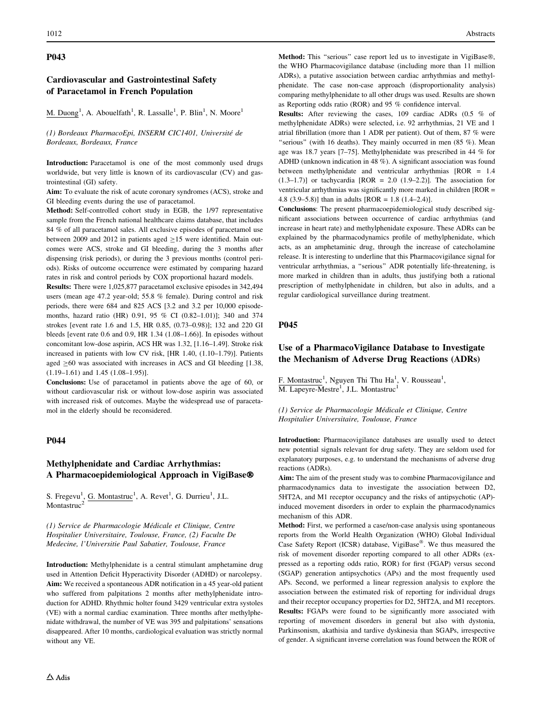## Cardiovascular and Gastrointestinal Safety of Paracetamol in French Population

M. Duong<sup>1</sup>, A. Abouelfath<sup>1</sup>, R. Lassalle<sup>1</sup>, P. Blin<sup>1</sup>, N. Moore<sup>1</sup>

## (1) Bordeaux PharmacoEpi, INSERM CIC1401, Université de Bordeaux, Bordeaux, France

Introduction: Paracetamol is one of the most commonly used drugs worldwide, but very little is known of its cardiovascular (CV) and gastrointestinal (GI) safety.

Aim: To evaluate the risk of acute coronary syndromes (ACS), stroke and GI bleeding events during the use of paracetamol.

Method: Self-controlled cohort study in EGB, the 1/97 representative sample from the French national healthcare claims database, that includes 84 % of all paracetamol sales. All exclusive episodes of paracetamol use between 2009 and 2012 in patients aged  $\geq$ 15 were identified. Main outcomes were ACS, stroke and GI bleeding, during the 3 months after dispensing (risk periods), or during the 3 previous months (control periods). Risks of outcome occurrence were estimated by comparing hazard rates in risk and control periods by COX proportional hazard models.

Results: There were 1,025,877 paracetamol exclusive episodes in 342,494 users (mean age 47.2 year-old; 55.8 % female). During control and risk periods, there were 684 and 825 ACS [3.2 and 3.2 per 10,000 episodemonths, hazard ratio (HR) 0.91, 95 % CI (0.82–1.01)]; 340 and 374 strokes [event rate 1.6 and 1.5, HR 0.85, (0.73–0.98)]; 132 and 220 GI bleeds [event rate 0.6 and 0.9, HR 1.34 (1.08–1.66)]. In episodes without concomitant low-dose aspirin, ACS HR was 1.32, [1.16–1.49]. Stroke risk increased in patients with low CV risk, [HR 1.40, (1.10–1.79)]. Patients aged  $\geq 60$  was associated with increases in ACS and GI bleeding [1.38, (1.19–1.61) and 1.45 (1.08–1.95)].

Conclusions: Use of paracetamol in patients above the age of 60, or without cardiovascular risk or without low-dose aspirin was associated with increased risk of outcomes. Maybe the widespread use of paracetamol in the elderly should be reconsidered.

#### P044

## Methylphenidate and Cardiac Arrhythmias: A Pharmacoepidemiological Approach in VigiBase®

S. Fregevu<sup>1</sup>, G. Montastruc<sup>1</sup>, A. Revet<sup>1</sup>, G. Durrieu<sup>1</sup>, J.L.<br>Montastruc<sup>2</sup>

 $(1)$  Service de Pharmacologie Médicale et Clinique, Centre Hospitalier Universitaire, Toulouse, France, (2) Faculte De Medecine, l'Universitie Paul Sabatier, Toulouse, France

Introduction: Methylphenidate is a central stimulant amphetamine drug used in Attention Deficit Hyperactivity Disorder (ADHD) or narcolepsy. Aim: We received a spontaneous ADR notification in a 45 year-old patient who suffered from palpitations 2 months after methylphenidate introduction for ADHD. Rhythmic holter found 3429 ventricular extra systoles (VE) with a normal cardiac examination. Three months after methylphenidate withdrawal, the number of VE was 395 and palpitations' sensations disappeared. After 10 months, cardiological evaluation was strictly normal without any VE.

Method: This "serious" case report led us to investigate in VigiBase®, the WHO Pharmacovigilance database (including more than 11 million ADRs), a putative association between cardiac arrhythmias and methylphenidate. The case non-case approach (disproportionality analysis) comparing methylphenidate to all other drugs was used. Results are shown as Reporting odds ratio (ROR) and 95 % confidence interval.

Results: After reviewing the cases, 109 cardiac ADRs (0.5 % of methylphenidate ADRs) were selected, i.e. 92 arrhythmias, 21 VE and 1 atrial fibrillation (more than 1 ADR per patient). Out of them, 87 % were "serious" (with 16 deaths). They mainly occurred in men  $(85\%)$ . Mean age was 18.7 years [7–75]. Methylphenidate was prescribed in 44 % for ADHD (unknown indication in 48 %). A significant association was found between methylphenidate and ventricular arrhythmias [ROR = 1.4  $(1.3-1.7)$ ] or tachycardia  $[ROR = 2.0 (1.9-2.2)]$ . The association for ventricular arrhythmias was significantly more marked in children [ROR = 4.8 (3.9–5.8)] than in adults  $[ROR = 1.8 (1.4–2.4)].$ 

Conclusions: The present pharmacoepidemiological study described significant associations between occurrence of cardiac arrhythmias (and increase in heart rate) and methylphenidate exposure. These ADRs can be explained by the pharmacodynamics profile of methylphenidate, which acts, as an amphetaminic drug, through the increase of catecholamine release. It is interesting to underline that this Pharmacovigilance signal for ventricular arrhythmias, a ''serious'' ADR potentially life-threatening, is more marked in children than in adults, thus justifying both a rational prescription of methylphenidate in children, but also in adults, and a regular cardiological surveillance during treatment.

#### P045

## Use of a PharmacoVigilance Database to Investigate the Mechanism of Adverse Drug Reactions (ADRs)

F. Montastruc<sup>1</sup>, Nguyen Thi Thu Ha<sup>1</sup>, V. Rousseau<sup>1</sup>, M. Lapeyre-Mestre<sup>1</sup>, J.L. Montastruc<sup>1</sup>

(1) Service de Pharmacologie Médicale et Clinique, Centre Hospitalier Universitaire, Toulouse, France

Introduction: Pharmacovigilance databases are usually used to detect new potential signals relevant for drug safety. They are seldom used for explanatory purposes, e.g. to understand the mechanisms of adverse drug reactions (ADRs).

Aim: The aim of the present study was to combine Pharmacovigilance and pharmacodynamics data to investigate the association between D2, 5HT2A, and M1 receptor occupancy and the risks of antipsychotic (AP) induced movement disorders in order to explain the pharmacodynamics mechanism of this ADR.

Method: First, we performed a case/non-case analysis using spontaneous reports from the World Health Organization (WHO) Global Individual Case Safety Report (ICSR) database, VigiBase®. We thus measured the risk of movement disorder reporting compared to all other ADRs (expressed as a reporting odds ratio, ROR) for first (FGAP) versus second (SGAP) generation antipsychotics (APs) and the most frequently used APs. Second, we performed a linear regression analysis to explore the association between the estimated risk of reporting for individual drugs and their receptor occupancy properties for D2, 5HT2A, and M1 receptors. Results: FGAPs were found to be significantly more associated with reporting of movement disorders in general but also with dystonia, Parkinsonism, akathisia and tardive dyskinesia than SGAPs, irrespective of gender. A significant inverse correlation was found between the ROR of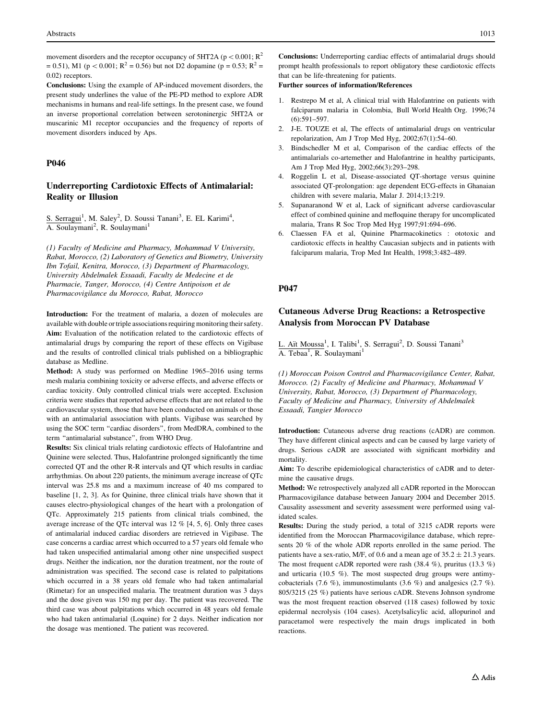movement disorders and the receptor occupancy of 5HT2A ( $p < 0.001$ ; R<sup>2</sup>  $= 0.51$ ), M1 (p < 0.001; R<sup>2</sup> = 0.56) but not D2 dopamine (p = 0.53; R<sup>2</sup> = 0.02) receptors.

Conclusions: Using the example of AP-induced movement disorders, the present study underlines the value of the PE-PD method to explore ADR mechanisms in humans and real-life settings. In the present case, we found an inverse proportional correlation between serotoninergic 5HT2A or muscarinic M1 receptor occupancies and the frequency of reports of movement disorders induced by Aps.

#### P046

## Underreporting Cardiotoxic Effects of Antimalarial: Reality or Illusion

S. Serragui<sup>1</sup>, M. Saley<sup>2</sup>, D. Soussi Tanani<sup>3</sup>, E. EL Karimi<sup>4</sup>, A. Soulaymani<sup>2</sup>, R. Soulaymani<sup>1</sup>

(1) Faculty of Medicine and Pharmacy, Mohammad V University, Rabat, Morocco, (2) Laboratory of Genetics and Biometry, University Ibn Tofail, Kenitra, Morocco, (3) Department of Pharmacology, University Abdelmalek Essaadi, Faculty de Medecine et de Pharmacie, Tanger, Morocco, (4) Centre Antipoison et de Pharmacovigilance du Morocco, Rabat, Morocco

Introduction: For the treatment of malaria, a dozen of molecules are available with double or triple associations requiring monitoring their safety. Aim: Evaluation of the notification related to the cardiotoxic effects of antimalarial drugs by comparing the report of these effects on Vigibase and the results of controlled clinical trials published on a bibliographic database as Medline.

Method: A study was performed on Medline 1965–2016 using terms mesh malaria combining toxicity or adverse effects, and adverse effects or cardiac toxicity. Only controlled clinical trials were accepted. Exclusion criteria were studies that reported adverse effects that are not related to the cardiovascular system, those that have been conducted on animals or those with an antimalarial association with plants. Vigibase was searched by using the SOC term "cardiac disorders", from MedDRA, combined to the term ''antimalarial substance'', from WHO Drug.

Results: Six clinical trials relating cardiotoxic effects of Halofantrine and Quinine were selected. Thus, Halofantrine prolonged significantly the time corrected QT and the other R-R intervals and QT which results in cardiac arrhythmias. On about 220 patients, the minimum average increase of QTc interval was 25.8 ms and a maximum increase of 40 ms compared to baseline [1, 2, 3]. As for Quinine, three clinical trials have shown that it causes electro-physiological changes of the heart with a prolongation of QTc. Approximately 215 patients from clinical trials combined, the average increase of the QTc interval was 12 % [4, 5, 6]. Only three cases of antimalarial induced cardiac disorders are retrieved in Vigibase. The case concerns a cardiac arrest which occurred to a 57 years old female who had taken unspecified antimalarial among other nine unspecified suspect drugs. Neither the indication, nor the duration treatment, nor the route of administration was specified. The second case is related to palpitations which occurred in a 38 years old female who had taken antimalarial (Rimetar) for an unspecified malaria. The treatment duration was 3 days and the dose given was 150 mg per day. The patient was recovered. The third case was about palpitations which occurred in 48 years old female who had taken antimalarial (Loquine) for 2 days. Neither indication nor the dosage was mentioned. The patient was recovered.

Conclusions: Underreporting cardiac effects of antimalarial drugs should prompt health professionals to report obligatory these cardiotoxic effects that can be life-threatening for patients.

## Further sources of information/References

- 1. Restrepo M et al, A clinical trial with Halofantrine on patients with falciparum malaria in Colombia, Bull World Health Org. 1996;74 (6):591–597.
- 2. J-E. TOUZE et al, The effects of antimalarial drugs on ventricular repolarization, Am J Trop Med Hyg, 2002;67(1):54–60.
- 3. Bindschedler M et al, Comparison of the cardiac effects of the antimalarials co-artemether and Halofantrine in healthy participants, Am J Trop Med Hyg, 2002;66(3):293–298.
- 4. Roggelin L et al, Disease-associated QT-shortage versus quinine associated QT-prolongation: age dependent ECG-effects in Ghanaian children with severe malaria, Malar J. 2014;13:219.
- 5. Supanaranond W et al, Lack of significant adverse cardiovascular effect of combined quinine and mefloquine therapy for uncomplicated malaria, Trans R Soc Trop Med Hyg 1997;91:694–696.
- 6. Claessen FA et al, Quinine Pharmacokinetics : ototoxic and cardiotoxic effects in healthy Caucasian subjects and in patients with falciparum malaria, Trop Med Int Health, 1998;3:482–489.

#### P047

## Cutaneous Adverse Drug Reactions: a Retrospective Analysis from Moroccan PV Database

L. Aït Moussa<sup>1</sup>, I. Talibi<sup>1</sup>, S. Serragui<sup>2</sup>, D. Soussi Tanani<sup>3</sup> A. Tebaa<sup>1</sup>, R. Soulaymani<sup>1</sup>

(1) Moroccan Poison Control and Pharmacovigilance Center, Rabat, Morocco. (2) Faculty of Medicine and Pharmacy, Mohammad V University, Rabat, Morocco, (3) Department of Pharmacology, Faculty of Medicine and Pharmacy, University of Abdelmalek Essaadi, Tangier Morocco

Introduction: Cutaneous adverse drug reactions (cADR) are common. They have different clinical aspects and can be caused by large variety of drugs. Serious cADR are associated with significant morbidity and mortality.

Aim: To describe epidemiological characteristics of cADR and to determine the causative drugs.

Method: We retrospectively analyzed all cADR reported in the Moroccan Pharmacovigilance database between January 2004 and December 2015. Causality assessment and severity assessment were performed using validated scales.

Results: During the study period, a total of 3215 cADR reports were identified from the Moroccan Pharmacovigilance database, which represents 20 % of the whole ADR reports enrolled in the same period. The patients have a sex-ratio, M/F, of 0.6 and a mean age of  $35.2 \pm 21.3$  years. The most frequent cADR reported were rash (38.4 %), pruritus (13.3 %) and urticaria (10.5 %). The most suspected drug groups were antimycobacterials (7.6 %), immunostimulants (3.6 %) and analgesics (2.7 %). 805/3215 (25 %) patients have serious cADR. Stevens Johnson syndrome was the most frequent reaction observed (118 cases) followed by toxic epidermal necrolysis (104 cases). Acetylsalicylic acid, allopurinol and paracetamol were respectively the main drugs implicated in both reactions.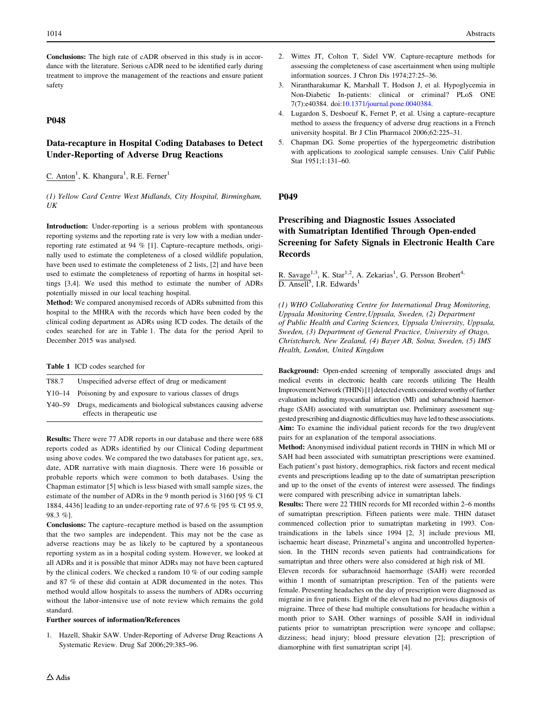Conclusions: The high rate of cADR observed in this study is in accordance with the literature. Serious cADR need to be identified early during treatment to improve the management of the reactions and ensure patient safety

## P048

## Data-recapture in Hospital Coding Databases to Detect Under-Reporting of Adverse Drug Reactions

C. Anton<sup>1</sup>, K. Khangura<sup>1</sup>, R.E. Ferner<sup>1</sup>

(1) Yellow Card Centre West Midlands, City Hospital, Birmingham, UK

Introduction: Under-reporting is a serious problem with spontaneous reporting systems and the reporting rate is very low with a median underreporting rate estimated at 94 % [1]. Capture–recapture methods, originally used to estimate the completeness of a closed wildlife population, have been used to estimate the completeness of 2 lists, [2] and have been used to estimate the completeness of reporting of harms in hospital settings [3,4]. We used this method to estimate the number of ADRs potentially missed in our local teaching hospital.

Method: We compared anonymised records of ADRs submitted from this hospital to the MHRA with the records which have been coded by the clinical coding department as ADRs using ICD codes. The details of the codes searched for are in Table 1. The data for the period April to December 2015 was analysed.

| <b>Table 1</b> ICD codes searched for |  |
|---------------------------------------|--|
|---------------------------------------|--|

| T88.7  | Unspecified adverse effect of drug or medicament                                           |
|--------|--------------------------------------------------------------------------------------------|
|        | Y10–14 Poisoning by and exposure to various classes of drugs                               |
| Y40–59 | Drugs, medicaments and biological substances causing adverse<br>effects in therapeutic use |

Results: There were 77 ADR reports in our database and there were 688 reports coded as ADRs identified by our Clinical Coding department using above codes. We compared the two databases for patient age, sex, date, ADR narrative with main diagnosis. There were 16 possible or probable reports which were common to both databases. Using the Chapman estimator [5] which is less biased with small sample sizes, the estimate of the number of ADRs in the 9 month period is 3160 [95 % CI 1884, 4436] leading to an under-reporting rate of 97.6 % [95 % CI 95.9, 98.3 %].

Conclusions: The capture–recapture method is based on the assumption that the two samples are independent. This may not be the case as adverse reactions may be as likely to be captured by a spontaneous reporting system as in a hospital coding system. However, we looked at all ADRs and it is possible that minor ADRs may not have been captured by the clinical coders. We checked a random 10 % of our coding sample and 87 % of these did contain at ADR documented in the notes. This method would allow hospitals to assess the numbers of ADRs occurring without the labor-intensive use of note review which remains the gold standard.

#### Further sources of information/References

1. Hazell, Shakir SAW. Under-Reporting of Adverse Drug Reactions A Systematic Review. Drug Saf 2006;29:385–96.

- 2. Wittes JT, Colton T, Sidel VW. Capture-recapture methods for assessing the completeness of case ascertainment when using multiple information sources. J Chron Dis 1974;27:25–36.
- 3. Nirantharakumar K, Marshall T, Hodson J, et al. Hypoglycemia in Non-Diabetic In-patients: clinical or criminal? PLoS ONE 7(7):e40384. doi[:10.1371/journal.pone.0040384.](http://dx.doi.org/10.1371/journal.pone.0040384)
- 4. Lugardon S, Desboeuf K, Fernet P, et al. Using a capture–recapture method to assess the frequency of adverse drug reactions in a French university hospital. Br J Clin Pharmacol 2006;62:225–31.
- 5. Chapman DG. Some properties of the hypergeometric distribution with applications to zoological sample censuses. Univ Calif Public Stat 1951;1:131–60.

#### P049

## Prescribing and Diagnostic Issues Associated with Sumatriptan Identified Through Open-ended Screening for Safety Signals in Electronic Health Care Records

R. Savage<sup>1,3</sup>, K. Star<sup>1,2</sup>, A. Zekarias<sup>1</sup>, G. Persson Brobert<sup>4,</sup> D. Ansell<sup>5</sup>, I.R. Edwards<sup>1</sup>

(1) WHO Collaborating Centre for International Drug Monitoring, Uppsala Monitoring Centre,Uppsala, Sweden, (2) Department of Public Health and Caring Sciences, Uppsala University, Uppsala, Sweden, (3) Department of General Practice, University of Otago, Christchurch, New Zealand, (4) Bayer AB, Solna, Sweden, (5) IMS Health, London, United Kingdom

Background: Open-ended screening of temporally associated drugs and medical events in electronic health care records utilizing The Health Improvement Network (THIN) [1] detected events considered worthy of further evaluation including myocardial infarction (MI) and subarachnoid haemorrhage (SAH) associated with sumatriptan use. Preliminary assessment suggested prescribing and diagnostic difficulties may have led to these associations. Aim: To examine the individual patient records for the two drug/event pairs for an explanation of the temporal associations.

Method: Anonymised individual patient records in THIN in which MI or SAH had been associated with sumatriptan prescriptions were examined. Each patient's past history, demographics, risk factors and recent medical events and prescriptions leading up to the date of sumatriptan prescription and up to the onset of the events of interest were assessed. The findings were compared with prescribing advice in sumatriptan labels.

Results: There were 22 THIN records for MI recorded within 2–6 months of sumatriptan prescription. Fifteen patients were male. THIN dataset commenced collection prior to sumatriptan marketing in 1993. Contraindications in the labels since 1994 [2, 3] include previous MI, ischaemic heart disease, Prinzmetal's angina and uncontrolled hypertension. In the THIN records seven patients had contraindications for sumatriptan and three others were also considered at high risk of MI.

Eleven records for subarachnoid haemorrhage (SAH) were recorded within 1 month of sumatriptan prescription. Ten of the patients were female. Presenting headaches on the day of prescription were diagnosed as migraine in five patients. Eight of the eleven had no previous diagnosis of migraine. Three of these had multiple consultations for headache within a month prior to SAH. Other warnings of possible SAH in individual patients prior to sumatriptan prescription were syncope and collapse; dizziness; head injury; blood pressure elevation [2]; prescription of diamorphine with first sumatriptan script [4].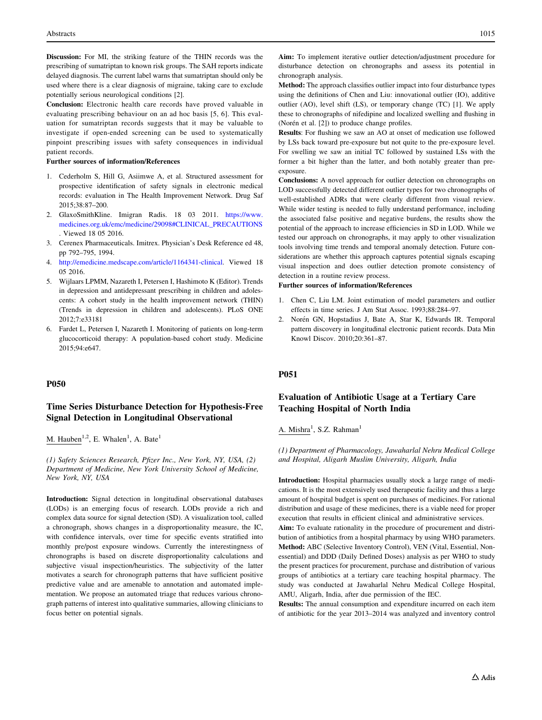Discussion: For MI, the striking feature of the THIN records was the prescribing of sumatriptan to known risk groups. The SAH reports indicate delayed diagnosis. The current label warns that sumatriptan should only be used where there is a clear diagnosis of migraine, taking care to exclude potentially serious neurological conditions [2].

Conclusion: Electronic health care records have proved valuable in evaluating prescribing behaviour on an ad hoc basis [5, 6]. This evaluation for sumatriptan records suggests that it may be valuable to investigate if open-ended screening can be used to systematically pinpoint prescribing issues with safety consequences in individual patient records.

#### Further sources of information/References

- 1. Cederholm S, Hill G, Asiimwe A, et al. Structured assessment for prospective identification of safety signals in electronic medical records: evaluation in The Health Improvement Network. Drug Saf 2015;38:87–200.
- 2. GlaxoSmithKline. Imigran Radis. 18 03 2011. [https://www.](https://www.medicines.org.uk/emc/medicine/29098%23CLINICAL_PRECAUTIONS) [medicines.org.uk/emc/medicine/29098#CLINICAL\\_PRECAUTIONS](https://www.medicines.org.uk/emc/medicine/29098%23CLINICAL_PRECAUTIONS) . Viewed 18 05 2016.
- 3. Cerenex Pharmaceuticals. Imitrex. Physician's Desk Reference ed 48, pp 792–795, 1994.
- 4. [http://emedicine.medscape.com/article/1164341-clinical.](http://emedicine.medscape.com/article/1164341-clinical) Viewed 18 05 2016.
- 5. Wijlaars LPMM, Nazareth I, Petersen I, Hashimoto K (Editor). Trends in depression and antidepressant prescribing in children and adolescents: A cohort study in the health improvement network (THIN) (Trends in depression in children and adolescents). PLoS ONE 2012;7:e33181
- 6. Fardet L, Petersen I, Nazareth I. Monitoring of patients on long-term glucocorticoid therapy: A population-based cohort study. Medicine 2015;94:e647.

#### P050

## Time Series Disturbance Detection for Hypothesis-Free Signal Detection in Longitudinal Observational

M. Hauben<sup>1,2</sup>, E. Whalen<sup>1</sup>, A. Bate<sup>1</sup>

(1) Safety Sciences Research, Pfizer Inc., New York, NY, USA, (2) Department of Medicine, New York University School of Medicine, New York, NY, USA

Introduction: Signal detection in longitudinal observational databases (LODs) is an emerging focus of research. LODs provide a rich and complex data source for signal detection (SD). A visualization tool, called a chronograph, shows changes in a disproportionality measure, the IC, with confidence intervals, over time for specific events stratified into monthly pre/post exposure windows. Currently the interestingness of chronographs is based on discrete disproportionality calculations and subjective visual inspection/heuristics. The subjectivity of the latter motivates a search for chronograph patterns that have sufficient positive predictive value and are amenable to annotation and automated implementation. We propose an automated triage that reduces various chronograph patterns of interest into qualitative summaries, allowing clinicians to focus better on potential signals.

Aim: To implement iterative outlier detection/adjustment procedure for disturbance detection on chronographs and assess its potential in chronograph analysis.

Method: The approach classifies outlier impact into four disturbance types using the definitions of Chen and Liu: innovational outlier (IO), additive outlier (AO), level shift (LS), or temporary change (TC) [1]. We apply these to chronographs of nifedipine and localized swelling and flushing in (Norén et al. [2]) to produce change profiles.

Results: For flushing we saw an AO at onset of medication use followed by LSs back toward pre-exposure but not quite to the pre-exposure level. For swelling we saw an initial TC followed by sustained LSs with the former a bit higher than the latter, and both notably greater than preexposure.

Conclusions: A novel approach for outlier detection on chronographs on LOD successfully detected different outlier types for two chronographs of well-established ADRs that were clearly different from visual review. While wider testing is needed to fully understand performance, including the associated false positive and negative burdens, the results show the potential of the approach to increase efficiencies in SD in LOD. While we tested our approach on chronographs, it may apply to other visualization tools involving time trends and temporal anomaly detection. Future considerations are whether this approach captures potential signals escaping visual inspection and does outlier detection promote consistency of detection in a routine review process.

#### Further sources of information/References

- 1. Chen C, Liu LM. Joint estimation of model parameters and outlier effects in time series. J Am Stat Assoc. 1993;88:284–97.
- 2. Norén GN, Hopstadius J, Bate A, Star K, Edwards IR. Temporal pattern discovery in longitudinal electronic patient records. Data Min Knowl Discov. 2010;20:361–87.

#### P051

## Evaluation of Antibiotic Usage at a Tertiary Care Teaching Hospital of North India

A. Mishra<sup>1</sup>, S.Z. Rahman<sup>1</sup>

(1) Department of Pharmacology, Jawaharlal Nehru Medical College and Hospital, Aligarh Muslim University, Aligarh, India

Introduction: Hospital pharmacies usually stock a large range of medications. It is the most extensively used therapeutic facility and thus a large amount of hospital budget is spent on purchases of medicines. For rational distribution and usage of these medicines, there is a viable need for proper execution that results in efficient clinical and administrative services.

Aim: To evaluate rationality in the procedure of procurement and distribution of antibiotics from a hospital pharmacy by using WHO parameters. Method: ABC (Selective Inventory Control), VEN (Vital, Essential, Nonessential) and DDD (Daily Defined Doses) analysis as per WHO to study the present practices for procurement, purchase and distribution of various groups of antibiotics at a tertiary care teaching hospital pharmacy. The study was conducted at Jawaharlal Nehru Medical College Hospital, AMU, Aligarh, India, after due permission of the IEC.

Results: The annual consumption and expenditure incurred on each item of antibiotic for the year 2013–2014 was analyzed and inventory control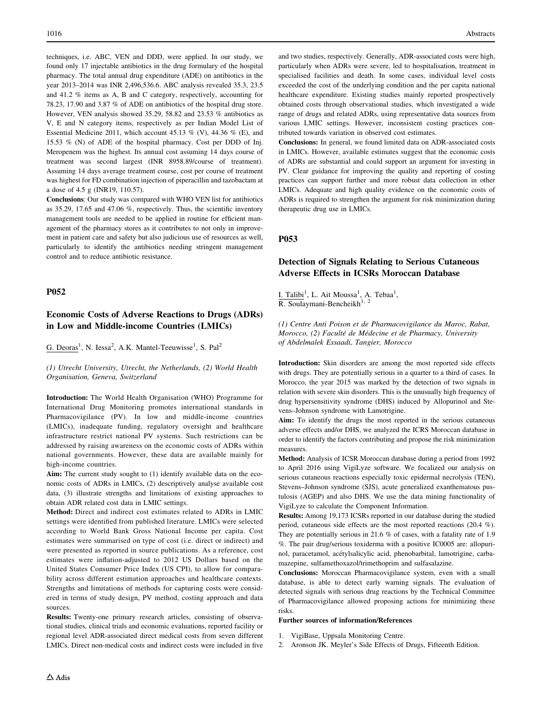techniques, i.e. ABC, VEN and DDD, were applied. In our study, we found only 17 injectable antibiotics in the drug formulary of the hospital pharmacy. The total annual drug expenditure (ADE) on antibiotics in the year 2013–2014 was INR 2,496,536.6. ABC analysis revealed 35.3, 23.5 and 41.2 % items as A, B and C category, respectively, accounting for 78.23, 17.90 and 3.87 % of ADE on antibiotics of the hospital drug store. However, VEN analysis showed 35.29, 58.82 and 23.53 % antibiotics as V, E and N category items, respectively as per Indian Model List of Essential Medicine 2011, which account 45.13 % (V), 44.36 % (E), and 15.53 % (N) of ADE of the hospital pharmacy. Cost per DDD of Inj. Meropenem was the highest. Its annual cost assuming 14 days course of treatment was second largest (INR 8958.89/course of treatment). Assuming 14 days average treatment course, cost per course of treatment was highest for FD combination injection of piperacillin and tazobactam at a dose of 4.5 g (INR19, 110.57).

Conclusions: Our study was compared with WHO VEN list for antibiotics as 35.29, 17.65 and 47.06 %, respectively. Thus, the scientific inventory management tools are needed to be applied in routine for efficient management of the pharmacy stores as it contributes to not only in improvement in patient care and safety but also judicious use of resources as well, particularly to identify the antibiotics needing stringent management control and to reduce antibiotic resistance.

## P052

## Economic Costs of Adverse Reactions to Drugs (ADRs) in Low and Middle-income Countries (LMICs)

G. Deoras<sup>1</sup>, N. Iessa<sup>2</sup>, A.K. Mantel-Teeuwisse<sup>1</sup>, S. Pal<sup>2</sup>

(1) Utrecht University, Utrecht, the Netherlands, (2) World Health Organisation, Geneva, Switzerland

Introduction: The World Health Organisation (WHO) Programme for International Drug Monitoring promotes international standards in Pharmacovigilance (PV). In low and middle-income countries (LMICs), inadequate funding, regulatory oversight and healthcare infrastructure restrict national PV systems. Such restrictions can be addressed by raising awareness on the economic costs of ADRs within national governments. However, these data are available mainly for high-income countries.

Aim: The current study sought to (1) identify available data on the economic costs of ADRs in LMICs, (2) descriptively analyse available cost data, (3) illustrate strengths and limitations of existing approaches to obtain ADR related cost data in LMIC settings.

Method: Direct and indirect cost estimates related to ADRs in LMIC settings were identified from published literature. LMICs were selected according to World Bank Gross National Income per capita. Cost estimates were summarised on type of cost (i.e. direct or indirect) and were presented as reported in source publications. As a reference, cost estimates were inflation-adjusted to 2012 US Dollars based on the United States Consumer Price Index (US CPI), to allow for comparability across different estimation approaches and healthcare contexts. Strengths and limitations of methods for capturing costs were considered in terms of study design, PV method, costing approach and data sources.

Results: Twenty-one primary research articles, consisting of observational studies, clinical trials and economic evaluations, reported facility or regional level ADR-associated direct medical costs from seven different LMICs. Direct non-medical costs and indirect costs were included in five

and two studies, respectively. Generally, ADR-associated costs were high, particularly when ADRs were severe, led to hospitalisation, treatment in specialised facilities and death. In some cases, individual level costs exceeded the cost of the underlying condition and the per capita national healthcare expenditure. Existing studies mainly reported prospectively obtained costs through observational studies, which investigated a wide range of drugs and related ADRs, using representative data sources from various LMIC settings. However, inconsistent costing practices contributed towards variation in observed cost estimates.

Conclusions: In general, we found limited data on ADR-associated costs in LMICs. However, available estimates suggest that the economic costs of ADRs are substantial and could support an argument for investing in PV. Clear guidance for improving the quality and reporting of costing practices can support further and more robust data collection in other LMICs. Adequate and high quality evidence on the economic costs of ADRs is required to strengthen the argument for risk minimization during therapeutic drug use in LMICs.

#### P053

## Detection of Signals Relating to Serious Cutaneous Adverse Effects in ICSRs Moroccan Database

I. Talibi<sup>1</sup>, L. Ait Moussa<sup>1</sup>, A. Tebaa<sup>1</sup>, R. Soulaymani-Bencheikh<sup>1, 2</sup>

(1) Centre Anti Poison et de Pharmacovigilance du Maroc, Rabat, Morocco, (2) Faculté de Médecine et de Pharmacy, University of Abdelmalek Essaadi, Tangier, Morocco

Introduction: Skin disorders are among the most reported side effects with drugs. They are potentially serious in a quarter to a third of cases. In Morocco, the year 2015 was marked by the detection of two signals in relation with severe skin disorders. This is the unusually high frequency of drug hypersensitivity syndrome (DHS) induced by Allopurinol and Stevens–Johnson syndrome with Lamotrigine.

Aim: To identify the drugs the most reported in the serious cutaneous adverse effects and/or DHS, we analyzed the ICRS Moroccan database in order to identify the factors contributing and propose the risk minimization measures.

Method: Analysis of ICSR Moroccan database during a period from 1992 to April 2016 using VigiLyze software. We focalized our analysis on serious cutaneous reactions especially toxic epidermal necrolysis (TEN), Stevens–Johnson syndrome (SJS), acute generalized exanthematous pustulosis (AGEP) and also DHS. We use the data mining functionality of VigiLyze to calculate the Component Information.

Results: Among 19,173 ICSRs reported in our database during the studied period, cutaneous side effects are the most reported reactions (20.4 %). They are potentially serious in 21.6 % of cases, with a fatality rate of 1.9 %. The pair drug/serious toxiderma with a positive IC0005 are: allopurinol, paracetamol, acétylsalicylic acid, phenobarbital, lamotrigine, carbamazepine, sulfamethoxazol/trimethoprim and sulfasalazine.

Conclusions: Moroccan Pharmacovigilance system, even with a small database, is able to detect early warning signals. The evaluation of detected signals with serious drug reactions by the Technical Committee of Pharmacovigilance allowed proposing actions for minimizing these risks.

- 1. VigiBase, Uppsala Monitoring Centre.
- 2. Aronson JK. Meyler's Side Effects of Drugs, Fifteenth Edition.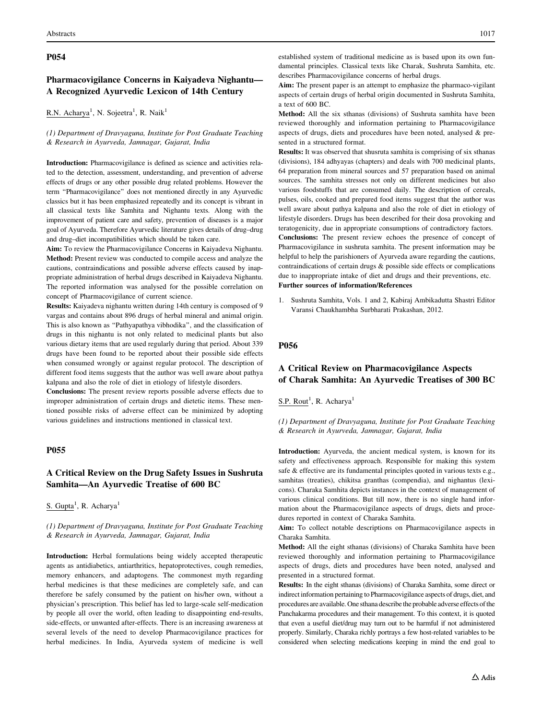## Pharmacovigilance Concerns in Kaiyadeva Nighantu— A Recognized Ayurvedic Lexicon of 14th Century

R.N. Acharya<sup>1</sup>, N. Sojeetra<sup>1</sup>, R. Naik<sup>1</sup>

#### (1) Department of Dravyaguna, Institute for Post Graduate Teaching & Research in Ayurveda, Jamnagar, Gujarat, India

Introduction: Pharmacovigilance is defined as science and activities related to the detection, assessment, understanding, and prevention of adverse effects of drugs or any other possible drug related problems. However the term ''Pharmacovigilance'' does not mentioned directly in any Ayurvedic classics but it has been emphasized repeatedly and its concept is vibrant in all classical texts like Samhita and Nighantu texts. Along with the improvement of patient care and safety, prevention of diseases is a major goal of Ayurveda. Therefore Ayurvedic literature gives details of drug–drug and drug–diet incompatibilities which should be taken care.

Aim: To review the Pharmacovigilance Concerns in Kaiyadeva Nighantu. Method: Present review was conducted to compile access and analyze the cautions, contraindications and possible adverse effects caused by inappropriate administration of herbal drugs described in Kaiyadeva Nighantu. The reported information was analysed for the possible correlation on concept of Pharmacovigilance of current science.

Results: Kaiyadeva nighantu written during 14th century is composed of 9 vargas and contains about 896 drugs of herbal mineral and animal origin. This is also known as ''Pathyapathya vibhodika'', and the classification of drugs in this nighantu is not only related to medicinal plants but also various dietary items that are used regularly during that period. About 339 drugs have been found to be reported about their possible side effects when consumed wrongly or against regular protocol. The description of different food items suggests that the author was well aware about pathya kalpana and also the role of diet in etiology of lifestyle disorders.

Conclusions: The present review reports possible adverse effects due to improper administration of certain drugs and dietetic items. These mentioned possible risks of adverse effect can be minimized by adopting various guidelines and instructions mentioned in classical text.

#### P055

## A Critical Review on the Drug Safety Issues in Sushruta Samhita—An Ayurvedic Treatise of 600 BC

S. Gupta<sup>1</sup>, R. Acharya<sup>1</sup>

(1) Department of Dravyaguna, Institute for Post Graduate Teaching & Research in Ayurveda, Jamnagar, Gujarat, India

Introduction: Herbal formulations being widely accepted therapeutic agents as antidiabetics, antiarthritics, hepatoprotectives, cough remedies, memory enhancers, and adaptogens. The commonest myth regarding herbal medicines is that these medicines are completely safe, and can therefore be safely consumed by the patient on his/her own, without a physician's prescription. This belief has led to large-scale self-medication by people all over the world, often leading to disappointing end-results, side-effects, or unwanted after-effects. There is an increasing awareness at several levels of the need to develop Pharmacovigilance practices for herbal medicines. In India, Ayurveda system of medicine is well established system of traditional medicine as is based upon its own fundamental principles. Classical texts like Charak, Sushruta Samhita, etc. describes Pharmacovigilance concerns of herbal drugs.

Aim: The present paper is an attempt to emphasize the pharmaco-vigilant aspects of certain drugs of herbal origin documented in Sushruta Samhita, a text of 600 BC.

Method: All the six sthanas (divisions) of Sushruta samhita have been reviewed thoroughly and information pertaining to Pharmacovigilance aspects of drugs, diets and procedures have been noted, analysed & presented in a structured format.

Results: It was observed that shusruta samhita is comprising of six sthanas (divisions), 184 adhyayas (chapters) and deals with 700 medicinal plants, 64 preparation from mineral sources and 57 preparation based on animal sources. The samhita stresses not only on different medicines but also various foodstuffs that are consumed daily. The description of cereals, pulses, oils, cooked and prepared food items suggest that the author was well aware about pathya kalpana and also the role of diet in etiology of lifestyle disorders. Drugs has been described for their dosa provoking and teratogenicity, due in appropriate consumptions of contradictory factors.

Conclusions: The present review echoes the presence of concept of Pharmacovigilance in sushruta samhita. The present information may be helpful to help the parishioners of Ayurveda aware regarding the cautions, contraindications of certain drugs & possible side effects or complications due to inappropriate intake of diet and drugs and their preventions, etc. Further sources of information/References

1. Sushruta Samhita, Vols. 1 and 2, Kabiraj Ambikadutta Shastri Editor Varansi Chaukhambha Surbharati Prakashan, 2012.

#### P056

## A Critical Review on Pharmacovigilance Aspects of Charak Samhita: An Ayurvedic Treatises of 300 BC

S.P. Rout<sup>1</sup>, R. Acharya<sup>1</sup>

(1) Department of Dravyaguna, Institute for Post Graduate Teaching & Research in Ayurveda, Jamnagar, Gujarat, India

Introduction: Ayurveda, the ancient medical system, is known for its safety and effectiveness approach. Responsible for making this system safe & effective are its fundamental principles quoted in various texts e.g., samhitas (treaties), chikitsa granthas (compendia), and nighantus (lexicons). Charaka Samhita depicts instances in the context of management of various clinical conditions. But till now, there is no single hand information about the Pharmacovigilance aspects of drugs, diets and procedures reported in context of Charaka Samhita.

Aim: To collect notable descriptions on Pharmacovigilance aspects in Charaka Samhita.

Method: All the eight sthanas (divisions) of Charaka Samhita have been reviewed thoroughly and information pertaining to Pharmacovigilance aspects of drugs, diets and procedures have been noted, analysed and presented in a structured format.

Results: In the eight sthanas (divisions) of Charaka Samhita, some direct or indirect information pertaining to Pharmacovigilance aspects of drugs, diet, and procedures are available. One sthana describe the probable adverse effects of the Panchakarma procedures and their management. To this context, it is quoted that even a useful diet/drug may turn out to be harmful if not administered properly. Similarly, Charaka richly portrays a few host-related variables to be considered when selecting medications keeping in mind the end goal to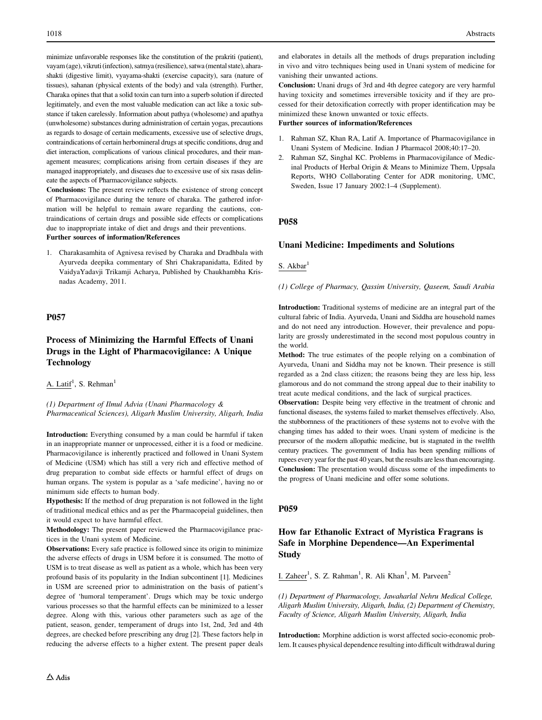minimize unfavorable responses like the constitution of the prakriti (patient), vayam (age), vikruti (infection), satmya (resilience), satwa (mental state), aharashakti (digestive limit), vyayama-shakti (exercise capacity), sara (nature of tissues), sahanan (physical extents of the body) and vala (strength). Further, Charaka opines that that a solid toxin can turn into a superb solution if directed legitimately, and even the most valuable medication can act like a toxic substance if taken carelessly. Information about pathya (wholesome) and apathya (unwholesome) substances during administration of certain yogas, precautions as regards to dosage of certain medicaments, excessive use of selective drugs, contraindications of certain herbomineral drugs at specific conditions, drug and diet interaction, complications of various clinical procedures, and their management measures; complications arising from certain diseases if they are managed inappropriately, and diseases due to excessive use of six rasas delineate the aspects of Pharmacovigilance subjects.

Conclusions: The present review reflects the existence of strong concept of Pharmacovigilance during the tenure of charaka. The gathered information will be helpful to remain aware regarding the cautions, contraindications of certain drugs and possible side effects or complications due to inappropriate intake of diet and drugs and their preventions.

#### Further sources of information/References

1. Charakasamhita of Agnivesa revised by Charaka and Dradhbala with Ayurveda deepika commentary of Shri Chakrapanidatta, Edited by VaidyaYadavji Trikamji Acharya, Published by Chaukhambha Krisnadas Academy, 2011.

## P057

## Process of Minimizing the Harmful Effects of Unani Drugs in the Light of Pharmacovigilance: A Unique Technology

A. Latif<sup>1</sup>, S. Rehman<sup>1</sup>

(1) Department of Ilmul Advia (Unani Pharmacology & Pharmaceutical Sciences), Aligarh Muslim University, Aligarh, India

Introduction: Everything consumed by a man could be harmful if taken in an inappropriate manner or unprocessed, either it is a food or medicine. Pharmacovigilance is inherently practiced and followed in Unani System of Medicine (USM) which has still a very rich and effective method of drug preparation to combat side effects or harmful effect of drugs on human organs. The system is popular as a 'safe medicine', having no or minimum side effects to human body.

Hypothesis: If the method of drug preparation is not followed in the light of traditional medical ethics and as per the Pharmacopeial guidelines, then it would expect to have harmful effect.

Methodology: The present paper reviewed the Pharmacovigilance practices in the Unani system of Medicine.

Observations: Every safe practice is followed since its origin to minimize the adverse effects of drugs in USM before it is consumed. The motto of USM is to treat disease as well as patient as a whole, which has been very profound basis of its popularity in the Indian subcontinent [1]. Medicines in USM are screened prior to administration on the basis of patient's degree of 'humoral temperament'. Drugs which may be toxic undergo various processes so that the harmful effects can be minimized to a lesser degree. Along with this, various other parameters such as age of the patient, season, gender, temperament of drugs into 1st, 2nd, 3rd and 4th degrees, are checked before prescribing any drug [2]. These factors help in reducing the adverse effects to a higher extent. The present paper deals

and elaborates in details all the methods of drugs preparation including in vivo and vitro techniques being used in Unani system of medicine for vanishing their unwanted actions.

Conclusion: Unani drugs of 3rd and 4th degree category are very harmful having toxicity and sometimes irreversible toxicity and if they are processed for their detoxification correctly with proper identification may be minimized these known unwanted or toxic effects.

### Further sources of information/References

- 1. Rahman SZ, Khan RA, Latif A. Importance of Pharmacovigilance in Unani System of Medicine. Indian J Pharmacol 2008;40:17–20.
- 2. Rahman SZ, Singhal KC. Problems in Pharmacovigilance of Medicinal Products of Herbal Origin & Means to Minimize Them, Uppsala Reports, WHO Collaborating Center for ADR monitoring, UMC, Sweden, Issue 17 January 2002:1–4 (Supplement).

## P058

### Unani Medicine: Impediments and Solutions

#### S. Akbar<sup>1</sup>

#### (1) College of Pharmacy, Qassim University, Qaseem, Saudi Arabia

Introduction: Traditional systems of medicine are an integral part of the cultural fabric of India. Ayurveda, Unani and Siddha are household names and do not need any introduction. However, their prevalence and popularity are grossly underestimated in the second most populous country in the world.

Method: The true estimates of the people relying on a combination of Ayurveda, Unani and Siddha may not be known. Their presence is still regarded as a 2nd class citizen; the reasons being they are less hip, less glamorous and do not command the strong appeal due to their inability to treat acute medical conditions, and the lack of surgical practices.

Observation: Despite being very effective in the treatment of chronic and functional diseases, the systems failed to market themselves effectively. Also, the stubbornness of the practitioners of these systems not to evolve with the changing times has added to their woes. Unani system of medicine is the precursor of the modern allopathic medicine, but is stagnated in the twelfth century practices. The government of India has been spending millions of rupees every year for the past 40 years, but the results are less than encouraging. Conclusion: The presentation would discuss some of the impediments to the progress of Unani medicine and offer some solutions.

#### P059

## How far Ethanolic Extract of Myristica Fragrans is Safe in Morphine Dependence—An Experimental Study

I. Zaheer<sup>1</sup>, S. Z. Rahman<sup>1</sup>, R. Ali Khan<sup>1</sup>, M. Parveen<sup>2</sup>

(1) Department of Pharmacology, Jawaharlal Nehru Medical College, Aligarh Muslim University, Aligarh, India, (2) Department of Chemistry, Faculty of Science, Aligarh Muslim University, Aligarh, India

Introduction: Morphine addiction is worst affected socio-economic problem. It causes physical dependence resulting into difficult withdrawal during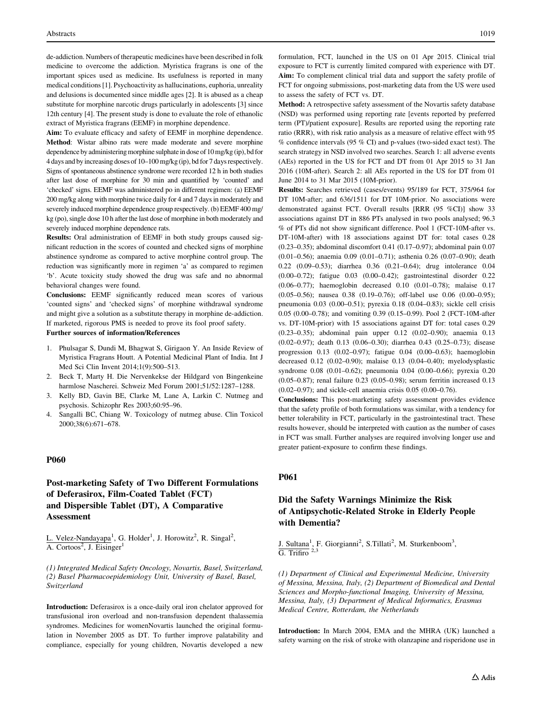de-addiction. Numbers of therapeutic medicines have been described in folk medicine to overcome the addiction. Myristica fragrans is one of the important spices used as medicine. Its usefulness is reported in many medical conditions [1]. Psychoactivity as hallucinations, euphoria, unreality and delusions is documented since middle ages [2]. It is abused as a cheap substitute for morphine narcotic drugs particularly in adolescents [3] since 12th century [4]. The present study is done to evaluate the role of ethanolic extract of Myristica fragrans (EEMF) in morphine dependence.

Aim: To evaluate efficacy and safety of EEMF in morphine dependence. Method: Wistar albino rats were made moderate and severe morphine dependence by administering morphine sulphate in dose of  $10 \text{ mg/kg}$  (ip), bd for 4 days and by increasing doses of 10–100 mg/kg (ip), bd for 7 days respectively. Signs of spontaneous abstinence syndrome were recorded 12 h in both studies after last dose of morphine for 30 min and quantified by 'counted' and 'checked' signs. EEMF was administered po in different regimen: (a) EEMF 200 mg/kg along with morphine twice daily for 4 and 7 days in moderately and severely induced morphine dependence group respectively. (b) EEMF 400 mg/ kg (po), single dose 10 h after the last dose of morphine in both moderately and severely induced morphine dependence rats.

Results: Oral administration of EEMF in both study groups caused significant reduction in the scores of counted and checked signs of morphine abstinence syndrome as compared to active morphine control group. The reduction was significantly more in regimen 'a' as compared to regimen 'b'. Acute toxicity study showed the drug was safe and no abnormal behavioral changes were found.

Conclusions: EEMF significantly reduced mean scores of various 'counted signs' and 'checked signs' of morphine withdrawal syndrome and might give a solution as a substitute therapy in morphine de-addiction. If marketed, rigorous PMS is needed to prove its fool proof safety. Further sources of information/References

- 1. Phulsagar S, Dundi M, Bhagwat S, Girigaon Y. An Inside Review of Myristica Fragrans Houtt. A Potential Medicinal Plant of India. Int J Med Sci Clin Invent 2014;1(9):500–513.
- 2. Beck T, Marty H. Die Nervenkekse der Hildgard von Bingenkeine harmlose Nascherei. Schweiz Med Forum 2001;51/52:1287–1288.
- 3. Kelly BD, Gavin BE, Clarke M, Lane A, Larkin C. Nutmeg and psychosis. Schizophr Res 2003;60:95–96.
- 4. Sangalli BC, Chiang W. Toxicology of nutmeg abuse. Clin Toxicol 2000;38(6):671–678.

#### P060

## Post-marketing Safety of Two Different Formulations of Deferasirox, Film-Coated Tablet (FCT) and Dispersible Tablet (DT), A Comparative Assessment

L. Velez-Nandayapa<sup>1</sup>, G. Holder<sup>1</sup>, J. Horowitz<sup>2</sup>, R. Singal<sup>2</sup>, A. Cortoos<sup>2</sup>, J. Eisinger<sup>1</sup>

(1) Integrated Medical Safety Oncology, Novartis, Basel, Switzerland, (2) Basel Pharmacoepidemiology Unit, University of Basel, Basel, Switzerland

Introduction: Deferasirox is a once-daily oral iron chelator approved for transfusional iron overload and non-transfusion dependent thalassemia syndromes. Medicines for womenNovartis launched the original formulation in November 2005 as DT. To further improve palatability and compliance, especially for young children, Novartis developed a new

formulation, FCT, launched in the US on 01 Apr 2015. Clinical trial exposure to FCT is currently limited compared with experience with DT. Aim: To complement clinical trial data and support the safety profile of FCT for ongoing submissions, post-marketing data from the US were used to assess the safety of FCT vs. DT.

Method: A retrospective safety assessment of the Novartis safety database (NSD) was performed using reporting rate [events reported by preferred term (PT)/patient exposure]. Results are reported using the reporting rate ratio (RRR), with risk ratio analysis as a measure of relative effect with 95 % confidence intervals (95 % CI) and p-values (two-sided exact test). The search strategy in NSD involved two searches. Search 1: all adverse events (AEs) reported in the US for FCT and DT from 01 Apr 2015 to 31 Jan 2016 (10M-after). Search 2: all AEs reported in the US for DT from 01 June 2014 to 31 Mar 2015 (10M-prior).

Results: Searches retrieved (cases/events) 95/189 for FCT, 375/964 for DT 10M-after; and 636/1511 for DT 10M-prior. No associations were demonstrated against FCT. Overall results [RRR (95 %CI)] show 33 associations against DT in 886 PTs analysed in two pools analysed; 96.3 % of PTs did not show significant difference. Pool 1 (FCT-10M-after vs. DT-10M-after) with 18 associations against DT for: total cases 0.28 (0.23–0.35); abdominal discomfort 0.41 (0.17–0.97); abdominal pain 0.07 (0.01–0.56); anaemia 0.09 (0.01–0.71); asthenia 0.26 (0.07–0.90); death 0.22 (0.09–0.53); diarrhea 0.36 (0.21–0.64); drug intolerance 0.04 (0.00–0.72); fatigue 0.03 (0.00–0.42); gastrointestinal disorder 0.22 (0.06–0.77); haemoglobin decreased 0.10 (0.01–0.78); malaise 0.17 (0.05–0.56); nausea 0.38 (0.19–0.76); off-label use 0.06 (0.00–0.95); pneumonia 0.03 (0.00–0.51); pyrexia 0.18 (0.04–0.83); sickle cell crisis 0.05 (0.00–0.78); and vomiting 0.39 (0.15–0.99). Pool 2 (FCT-10M-after vs. DT-10M-prior) with 15 associations against DT for: total cases 0.29 (0.23–0.35); abdominal pain upper 0.12 (0.02–0.90); anaemia 0.13 (0.02–0.97); death 0.13 (0.06–0.30); diarrhea 0.43 (0.25–0.73); disease progression 0.13 (0.02–0.97); fatigue 0.04 (0.00–0.63); haemoglobin decreased 0.12 (0.02–0.90); malaise 0.13 (0.04–0.40); myelodysplastic syndrome 0.08 (0.01–0.62); pneumonia 0.04 (0.00–0.66); pyrexia 0.20 (0.05–0.87); renal failure 0.23 (0.05–0.98); serum ferritin increased 0.13 (0.02–0.97); and sickle-cell anaemia crisis 0.05 (0.00–0.76).

Conclusions: This post-marketing safety assessment provides evidence that the safety profile of both formulations was similar, with a tendency for better tolerability in FCT, particularly in the gastrointestinal tract. These results however, should be interpreted with caution as the number of cases in FCT was small. Further analyses are required involving longer use and greater patient-exposure to confirm these findings.

## P061

## Did the Safety Warnings Minimize the Risk of Antipsychotic-Related Stroke in Elderly People with Dementia?

J. Sultana<sup>1</sup>, F. Giorgianni<sup>2</sup>, S.Tillati<sup>2</sup>, M. Sturkenboom<sup>3</sup>, G. Trifiro

(1) Department of Clinical and Experimental Medicine, University of Messina, Messina, Italy, (2) Department of Biomedical and Dental Sciences and Morpho-functional Imaging, University of Messina, Messina, Italy, (3) Department of Medical Informatics, Erasmus Medical Centre, Rotterdam, the Netherlands

Introduction: In March 2004, EMA and the MHRA (UK) launched a safety warning on the risk of stroke with olanzapine and risperidone use in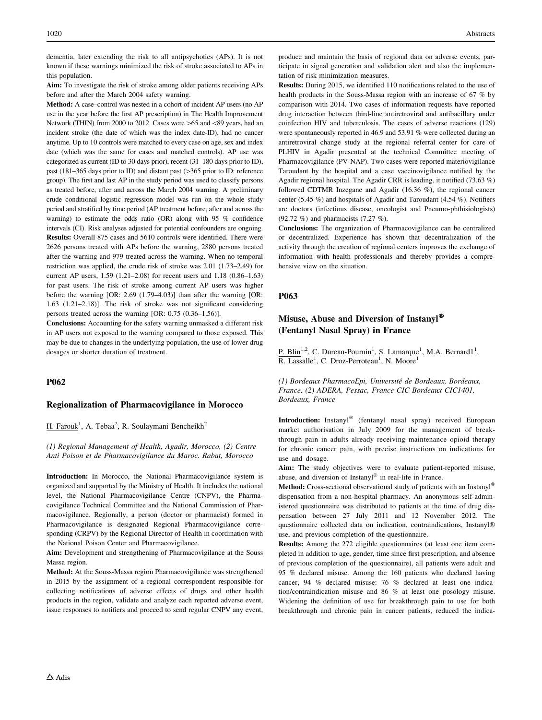dementia, later extending the risk to all antipsychotics (APs). It is not known if these warnings minimized the risk of stroke associated to APs in this population.

Aim: To investigate the risk of stroke among older patients receiving APs before and after the March 2004 safety warning.

Method: A case–control was nested in a cohort of incident AP users (no AP use in the year before the first AP prescription) in The Health Improvement Network (THIN) from 2000 to 2012. Cases were >65 and <89 years, had an incident stroke (the date of which was the index date-ID), had no cancer anytime. Up to 10 controls were matched to every case on age, sex and index date (which was the same for cases and matched controls). AP use was categorized as current (ID to 30 days prior), recent (31–180 days prior to ID), past (181–365 days prior to ID) and distant past ( $>$ 365 prior to ID: reference group). The first and last AP in the study period was used to classify persons as treated before, after and across the March 2004 warning. A preliminary crude conditional logistic regression model was run on the whole study period and stratified by time period (AP treatment before, after and across the warning) to estimate the odds ratio (OR) along with 95 % confidence intervals (CI). Risk analyses adjusted for potential confounders are ongoing. Results: Overall 875 cases and 5610 controls were identified. There were 2626 persons treated with APs before the warning, 2880 persons treated after the warning and 979 treated across the warning. When no temporal restriction was applied, the crude risk of stroke was 2.01 (1.73–2.49) for current AP users, 1.59 (1.21–2.08) for recent users and 1.18 (0.86–1.63) for past users. The risk of stroke among current AP users was higher before the warning [OR: 2.69 (1.79–4.03)] than after the warning [OR: 1.63 (1.21–2.18)]. The risk of stroke was not significant considering persons treated across the warning [OR: 0.75 (0.36–1.56)].

Conclusions: Accounting for the safety warning unmasked a different risk in AP users not exposed to the warning compared to those exposed. This may be due to changes in the underlying population, the use of lower drug dosages or shorter duration of treatment.

## P062

#### Regionalization of Pharmacovigilance in Morocco

H. Farouk<sup>1</sup>, A. Tebaa<sup>2</sup>, R. Soulaymani Bencheikh<sup>2</sup>

(1) Regional Management of Health, Agadir, Morocco, (2) Centre Anti Poison et de Pharmacovigilance du Maroc. Rabat, Morocco

Introduction: In Morocco, the National Pharmacovigilance system is organized and supported by the Ministry of Health. It includes the national level, the National Pharmacovigilance Centre (CNPV), the Pharmacovigilance Technical Committee and the National Commission of Pharmacovigilance. Regionally, a person (doctor or pharmacist) formed in Pharmacovigilance is designated Regional Pharmacovigilance corresponding (CRPV) by the Regional Director of Health in coordination with the National Poison Center and Pharmacovigilance.

Aim: Development and strengthening of Pharmacovigilance at the Souss Massa region.

Method: At the Souss-Massa region Pharmacovigilance was strengthened in 2015 by the assignment of a regional correspondent responsible for collecting notifications of adverse effects of drugs and other health products in the region, validate and analyze each reported adverse event, issue responses to notifiers and proceed to send regular CNPV any event, produce and maintain the basis of regional data on adverse events, participate in signal generation and validation alert and also the implementation of risk minimization measures.

Results: During 2015, we identified 110 notifications related to the use of health products in the Souss-Massa region with an increase of 67 % by comparison with 2014. Two cases of information requests have reported drug interaction between third-line antiretroviral and antibacillary under coinfection HIV and tuberculosis. The cases of adverse reactions (129) were spontaneously reported in 46.9 and 53.91 % were collected during an antiretroviral change study at the regional referral center for care of PLHIV in Agadir presented at the technical Committee meeting of Pharmacovigilance (PV-NAP). Two cases were reported materiovigilance Taroudant by the hospital and a case vaccinovigilance notified by the Agadir regional hospital. The Agadir CRR is leading, it notified (73.63 %) followed CDTMR Inzegane and Agadir (16.36 %), the regional cancer center (5.45 %) and hospitals of Agadir and Taroudant (4.54 %). Notifiers are doctors (infectious disease, oncologist and Pneumo-phthisiologists) (92.72 %) and pharmacists (7.27 %).

Conclusions: The organization of Pharmacovigilance can be centralized or decentralized. Experience has shown that decentralization of the activity through the creation of regional centers improves the exchange of information with health professionals and thereby provides a comprehensive view on the situation.

#### P063

## Misuse, Abuse and Diversion of Instanyl® (Fentanyl Nasal Spray) in France

P. Blin<sup>1,2</sup>, C. Dureau-Pournin<sup>1</sup>, S. Lamarque<sup>1</sup>, M.A. Bernard1<sup>1</sup>, R. Lassalle<sup>1</sup>, C. Droz-Perroteau<sup>1</sup>, N. Moore<sup>1</sup>

(1) Bordeaux PharmacoEpi, Universite´ de Bordeaux, Bordeaux, France, (2) ADERA, Pessac, France CIC Bordeaux CIC1401, Bordeaux, France

Introduction: Instanyl® (fentanyl nasal spray) received European market authorisation in July 2009 for the management of breakthrough pain in adults already receiving maintenance opioid therapy for chronic cancer pain, with precise instructions on indications for use and dosage.

Aim: The study objectives were to evaluate patient-reported misuse, abuse, and diversion of Instanyl® in real-life in France.

Method: Cross-sectional observational study of patients with an Instanyl® dispensation from a non-hospital pharmacy. An anonymous self-administered questionnaire was distributed to patients at the time of drug dispensation between 27 July 2011 and 12 November 2012. The questionnaire collected data on indication, contraindications, Instanyl® use, and previous completion of the questionnaire.

Results: Among the 272 eligible questionnaires (at least one item completed in addition to age, gender, time since first prescription, and absence of previous completion of the questionnaire), all patients were adult and 95 % declared misuse. Among the 160 patients who declared having cancer, 94 % declared misuse: 76 % declared at least one indication/contraindication misuse and 86 % at least one posology misuse. Widening the definition of use for breakthrough pain to use for both breakthrough and chronic pain in cancer patients, reduced the indica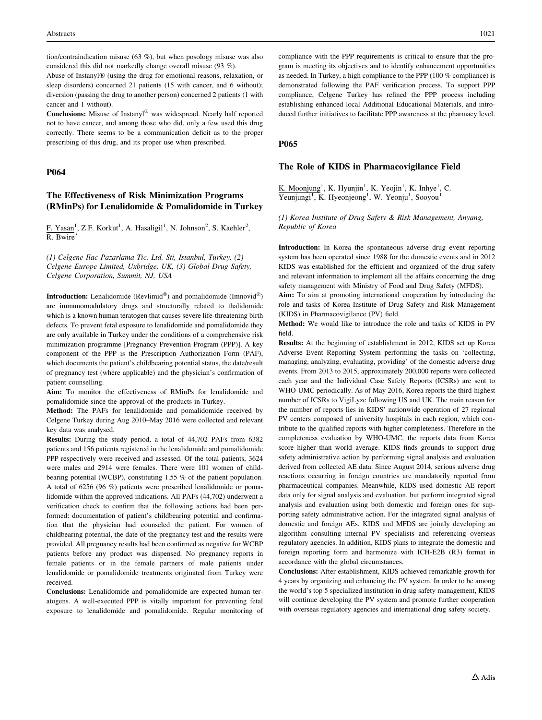tion/contraindication misuse (63 %), but when posology misuse was also considered this did not markedly change overall misuse (93 %).

Abuse of Instanyl® (using the drug for emotional reasons, relaxation, or sleep disorders) concerned 21 patients (15 with cancer, and 6 without); diversion (passing the drug to another person) concerned 2 patients (1 with cancer and 1 without).

Conclusions: Misuse of Instanyl® was widespread. Nearly half reported not to have cancer, and among those who did, only a few used this drug correctly. There seems to be a communication deficit as to the proper prescribing of this drug, and its proper use when prescribed.

#### P064

## The Effectiveness of Risk Minimization Programs (RMinPs) for Lenalidomide & Pomalidomide in Turkey

F. Yasan<sup>1</sup>, Z.F. Korkut<sup>1</sup>, A. Hasaligil<sup>1</sup>, N. Johnson<sup>2</sup>, S. Kaehler<sup>2</sup>, R. Bwire

(1) Celgene Ilac Pazarlama Tic. Ltd. Sti, Istanbul, Turkey, (2) Celgene Europe Limited, Uxbridge, UK, (3) Global Drug Safety, Celgene Corporation, Summit, NJ, USA

**Introduction:** Lenalidomide (Revlimid®) and pomalidomide (Imnovid®) are immunomodulatory drugs and structurally related to thalidomide which is a known human teratogen that causes severe life-threatening birth defects. To prevent fetal exposure to lenalidomide and pomalidomide they are only available in Turkey under the conditions of a comprehensive risk minimization programme [Pregnancy Prevention Program (PPP)]. A key component of the PPP is the Prescription Authorization Form (PAF), which documents the patient's childbearing potential status, the date/result of pregnancy test (where applicable) and the physician's confirmation of patient counselling.

Aim: To monitor the effectiveness of RMinPs for lenalidomide and pomalidomide since the approval of the products in Turkey.

Method: The PAFs for lenalidomide and pomalidomide received by Celgene Turkey during Aug 2010–May 2016 were collected and relevant key data was analysed.

Results: During the study period, a total of 44,702 PAFs from 6382 patients and 156 patients registered in the lenalidomide and pomalidomide PPP respectively were received and assessed. Of the total patients, 3624 were males and 2914 were females. There were 101 women of childbearing potential (WCBP), constituting 1.55 % of the patient population. A total of 6256 (96 %) patients were prescribed lenalidomide or pomalidomide within the approved indications. All PAFs (44,702) underwent a verification check to confirm that the following actions had been performed: documentation of patient's childbearing potential and confirmation that the physician had counseled the patient. For women of childbearing potential, the date of the pregnancy test and the results were provided. All pregnancy results had been confirmed as negative for WCBP patients before any product was dispensed. No pregnancy reports in female patients or in the female partners of male patients under lenalidomide or pomalidomide treatments originated from Turkey were received.

Conclusions: Lenalidomide and pomalidomide are expected human teratogens. A well-executed PPP is vitally important for preventing fetal exposure to lenalidomide and pomalidomide. Regular monitoring of compliance with the PPP requirements is critical to ensure that the program is meeting its objectives and to identify enhancement opportunities as needed. In Turkey, a high compliance to the PPP (100 % compliance) is demonstrated following the PAF verification process. To support PPP compliance, Celgene Turkey has refined the PPP process including establishing enhanced local Additional Educational Materials, and introduced further initiatives to facilitate PPP awareness at the pharmacy level.

#### P065

#### The Role of KIDS in Pharmacovigilance Field

K. Moonjung<sup>1</sup>, K. Hyunjin<sup>1</sup>, K. Yeojin<sup>1</sup>, K. Inhye<sup>1</sup>, C. Yeunjungi<sup>1</sup>, K. Hyeonjeong<sup>1</sup>, W. Yeonju<sup>1</sup>, Sooyou<sup>1</sup>

#### (1) Korea Institute of Drug Safety & Risk Management, Anyang, Republic of Korea

Introduction: In Korea the spontaneous adverse drug event reporting system has been operated since 1988 for the domestic events and in 2012 KIDS was established for the efficient and organized of the drug safety and relevant information to implement all the affairs concerning the drug safety management with Ministry of Food and Drug Safety (MFDS).

Aim: To aim at promoting international cooperation by introducing the role and tasks of Korea Institute of Drug Safety and Risk Management (KIDS) in Pharmacovigilance (PV) field.

Method: We would like to introduce the role and tasks of KIDS in PV field.

Results: At the beginning of establishment in 2012, KIDS set up Korea Adverse Event Reporting System performing the tasks on 'collecting, managing, analyzing, evaluating, providing' of the domestic adverse drug events. From 2013 to 2015, approximately 200,000 reports were collected each year and the Individual Case Safety Reports (ICSRs) are sent to WHO-UMC periodically. As of May 2016, Korea reports the third-highest number of ICSRs to VigiLyze following US and UK. The main reason for the number of reports lies in KIDS' nationwide operation of 27 regional PV centers composed of university hospitals in each region, which contribute to the qualified reports with higher completeness. Therefore in the completeness evaluation by WHO-UMC, the reports data from Korea score higher than world average. KIDS finds grounds to support drug safety administrative action by performing signal analysis and evaluation derived from collected AE data. Since August 2014, serious adverse drug reactions occurring in foreign countries are mandatorily reported from pharmaceutical companies. Meanwhile, KIDS used domestic AE report data only for signal analysis and evaluation, but perform integrated signal analysis and evaluation using both domestic and foreign ones for supporting safety administrative action. For the integrated signal analysis of domestic and foreign AEs, KIDS and MFDS are jointly developing an algorithm consulting internal PV specialists and referencing overseas regulatory agencies. In addition, KIDS plans to integrate the domestic and foreign reporting form and harmonize with ICH-E2B (R3) format in accordance with the global circumstances.

Conclusions: After establishment, KIDS achieved remarkable growth for 4 years by organizing and enhancing the PV system. In order to be among the world's top 5 specialized institution in drug safety management, KIDS will continue developing the PV system and promote further cooperation with overseas regulatory agencies and international drug safety society.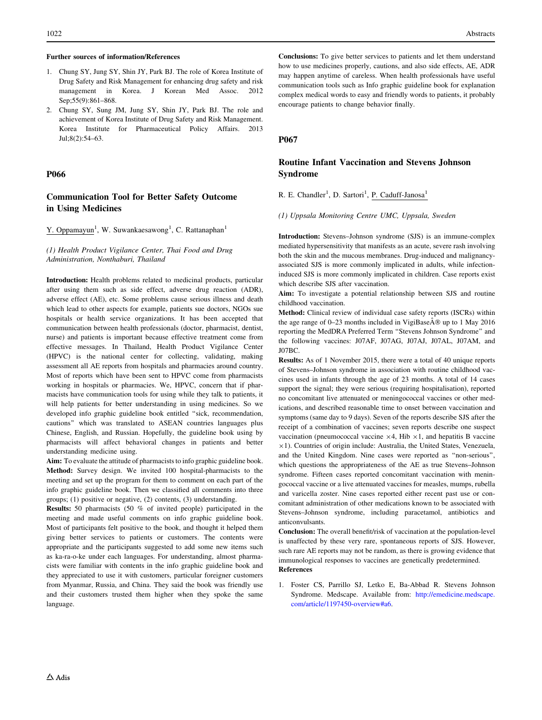#### Further sources of information/References

- 1. Chung SY, Jung SY, Shin JY, Park BJ. The role of Korea Institute of Drug Safety and Risk Management for enhancing drug safety and risk management in Korea. J Korean Med Assoc. 2012 Sep;55(9):861-868.
- 2. Chung SY, Sung JM, Jung SY, Shin JY, Park BJ. The role and achievement of Korea Institute of Drug Safety and Risk Management. Korea Institute for Pharmaceutical Policy Affairs. 2013 Jul;8(2):54–63.

## P066

## Communication Tool for Better Safety Outcome in Using Medicines

## Y. Oppamayun<sup>1</sup>, W. Suwankaesawong<sup>1</sup>, C. Rattanaphan<sup>1</sup>

(1) Health Product Vigilance Center, Thai Food and Drug Administration, Nonthaburi, Thailand

Introduction: Health problems related to medicinal products, particular after using them such as side effect, adverse drug reaction (ADR), adverse effect (AE), etc. Some problems cause serious illness and death which lead to other aspects for example, patients sue doctors, NGOs sue hospitals or health service organizations. It has been accepted that communication between health professionals (doctor, pharmacist, dentist, nurse) and patients is important because effective treatment come from effective messages. In Thailand, Health Product Vigilance Center (HPVC) is the national center for collecting, validating, making assessment all AE reports from hospitals and pharmacies around country. Most of reports which have been sent to HPVC come from pharmacists working in hospitals or pharmacies. We, HPVC, concern that if pharmacists have communication tools for using while they talk to patients, it will help patients for better understanding in using medicines. So we developed info graphic guideline book entitled ''sick, recommendation, cautions'' which was translated to ASEAN countries languages plus Chinese, English, and Russian. Hopefully, the guideline book using by pharmacists will affect behavioral changes in patients and better understanding medicine using.

Aim: To evaluate the attitude of pharmacists to info graphic guideline book. Method: Survey design. We invited 100 hospital-pharmacists to the meeting and set up the program for them to comment on each part of the info graphic guideline book. Then we classified all comments into three groups; (1) positive or negative, (2) contents, (3) understanding.

Results: 50 pharmacists (50 % of invited people) participated in the meeting and made useful comments on info graphic guideline book. Most of participants felt positive to the book, and thought it helped them giving better services to patients or customers. The contents were appropriate and the participants suggested to add some new items such as ka-ra-o-ke under each languages. For understanding, almost pharmacists were familiar with contents in the info graphic guideline book and they appreciated to use it with customers, particular foreigner customers from Myanmar, Russia, and China. They said the book was friendly use and their customers trusted them higher when they spoke the same language.

Conclusions: To give better services to patients and let them understand how to use medicines properly, cautions, and also side effects, AE, ADR may happen anytime of careless. When health professionals have useful communication tools such as Info graphic guideline book for explanation complex medical words to easy and friendly words to patients, it probably encourage patients to change behavior finally.

#### P067

## Routine Infant Vaccination and Stevens Johnson Syndrome

R. E. Chandler<sup>1</sup>, D. Sartori<sup>1</sup>, P. Caduff-Janosa<sup>1</sup>

(1) Uppsala Monitoring Centre UMC, Uppsala, Sweden

Introduction: Stevens–Johnson syndrome (SJS) is an immune-complex mediated hypersensitivity that manifests as an acute, severe rash involving both the skin and the mucous membranes. Drug-induced and malignancyassociated SJS is more commonly implicated in adults, while infectioninduced SJS is more commonly implicated in children. Case reports exist which describe SJS after vaccination.

Aim: To investigate a potential relationship between SJS and routine childhood vaccination.

Method: Clinical review of individual case safety reports (ISCRs) within the age range of 0–23 months included in VigiBase $\hat{A}$ ® up to 1 May 2016 reporting the MedDRA Preferred Term ''Stevens Johnson Syndrome'' and the following vaccines: J07AF, J07AG, J07AJ, J07AL, J07AM, and J07BC.

Results: As of 1 November 2015, there were a total of 40 unique reports of Stevens–Johnson syndrome in association with routine childhood vaccines used in infants through the age of 23 months. A total of 14 cases support the signal; they were serious (requiring hospitalisation), reported no concomitant live attenuated or meningococcal vaccines or other medications, and described reasonable time to onset between vaccination and symptoms (same day to 9 days). Seven of the reports describe SJS after the receipt of a combination of vaccines; seven reports describe one suspect vaccination (pneumococcal vaccine  $\times$ 4, Hib  $\times$ 1, and hepatitis B vaccine  $\times$ 1). Countries of origin include: Australia, the United States, Venezuela, and the United Kingdom. Nine cases were reported as ''non-serious'', which questions the appropriateness of the AE as true Stevens–Johnson syndrome. Fifteen cases reported concomitant vaccination with meningococcal vaccine or a live attenuated vaccines for measles, mumps, rubella and varicella zoster. Nine cases reported either recent past use or concomitant administration of other medications known to be associated with Stevens–Johnson syndrome, including paracetamol, antibiotics and anticonvulsants.

Conclusion: The overall benefit/risk of vaccination at the population-level is unaffected by these very rare, spontaneous reports of SJS. However, such rare AE reports may not be random, as there is growing evidence that immunological responses to vaccines are genetically predetermined. References

1. Foster CS, Parrillo SJ, Letko E, Ba-Abbad R. Stevens Johnson Syndrome. Medscape. Available from: [http://emedicine.medscape.](http://emedicine.medscape.com/article/1197450-overview%23a6) [com/article/1197450-overview#a6.](http://emedicine.medscape.com/article/1197450-overview%23a6)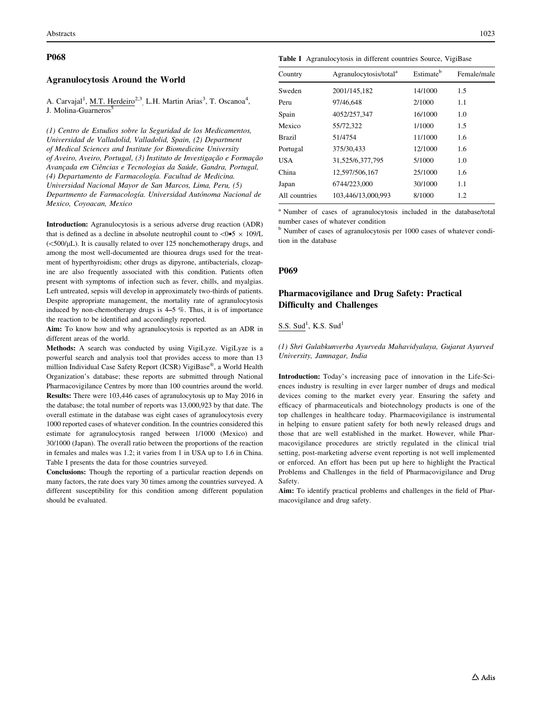#### Agranulocytosis Around the World

A. Carvajal<sup>1</sup>, M.T. Herdeiro<sup>2,3</sup>, L.H. Martin Arias<sup>3</sup>, T. Oscanoa<sup>4</sup>, J. Molina-Guarneros<sup>3</sup>

(1) Centro de Estudios sobre la Seguridad de los Medicamentos, Universidad de Valladolid, Valladolid, Spain, (2) Department of Medical Sciences and Institute for Biomedicine University of Aveiro, Aveiro, Portugal, (3) Instituto de Investigação e Formação Avançada em Ciências e Tecnologias da Saúde, Gandra, Portugal, (4) Departamento de Farmacología. Facultad de Medicina. Universidad Nacional Mayor de San Marcos, Lima, Peru, (5) Departmento de Farmacología. Universidad Autónoma Nacional de Mexico, Coyoacan, Mexico

Introduction: Agranulocytosis is a serious adverse drug reaction (ADR) that is defined as a decline in absolute neutrophil count to  $\langle 0.95 \times 109 \rangle$ L  $\epsilon$  =500/µL). It is causally related to over 125 nonchemotherapy drugs, and among the most well-documented are thiourea drugs used for the treatment of hyperthyroidism; other drugs as dipyrone, antibacterials, clozapine are also frequently associated with this condition. Patients often present with symptoms of infection such as fever, chills, and myalgias. Left untreated, sepsis will develop in approximately two-thirds of patients. Despite appropriate management, the mortality rate of agranulocytosis induced by non-chemotherapy drugs is 4–5 %. Thus, it is of importance the reaction to be identified and accordingly reported.

Aim: To know how and why agranulocytosis is reported as an ADR in different areas of the world.

Methods: A search was conducted by using VigiLyze. VigiLyze is a powerful search and analysis tool that provides access to more than 13 million Individual Case Safety Report (ICSR) VigiBase®, a World Health Organization's database; these reports are submitted through National Pharmacovigilance Centres by more than 100 countries around the world. Results: There were 103,446 cases of agranulocytosis up to May 2016 in the database; the total number of reports was 13,000,923 by that date. The overall estimate in the database was eight cases of agranulocytosis every 1000 reported cases of whatever condition. In the countries considered this estimate for agranulocytosis ranged between 1/1000 (Mexico) and 30/1000 (Japan). The overall ratio between the proportions of the reaction in females and males was 1.2; it varies from 1 in USA up to 1.6 in China. Table I presents the data for those countries surveyed.

Conclusions: Though the reporting of a particular reaction depends on many factors, the rate does vary 30 times among the countries surveyed. A different susceptibility for this condition among different population should be evaluated.

Table I Agranulocytosis in different countries Source, VigiBase

| Country       | Agranulocytosis/total <sup>a</sup> | Estimate <sup>b</sup> | Female/male |
|---------------|------------------------------------|-----------------------|-------------|
| Sweden        | 2001/145,182                       | 14/1000               | 1.5         |
| Peru          | 97/46.648                          | 2/1000                | 1.1         |
| Spain         | 4052/257,347                       | 16/1000               | 1.0         |
| Mexico        | 55/72,322                          | 1/1000                | 1.5         |
| <b>Brazil</b> | 51/4754                            | 11/1000               | 1.6         |
| Portugal      | 375/30,433                         | 12/1000               | 1.6         |
| <b>USA</b>    | 31,525/6,377,795                   | 5/1000                | 1.0         |
| China         | 12,597/506,167                     | 25/1000               | 1.6         |
| Japan         | 6744/223,000                       | 30/1000               | 1.1         |
| All countries | 103,446/13,000,993                 | 8/1000                | 1.2         |

<sup>a</sup> Number of cases of agranulocytosis included in the database/total number cases of whatever condition

<sup>b</sup> Number of cases of agranulocytosis per 1000 cases of whatever condition in the database

#### P069

## Pharmacovigilance and Drug Safety: Practical Difficulty and Challenges

S.S. Sud<sup>1</sup>, K.S. Sud<sup>1</sup>

#### (1) Shri Gulabkunverba Ayurveda Mahavidyalaya, Gujarat Ayurved University, Jamnagar, India

Introduction: Today's increasing pace of innovation in the Life-Sciences industry is resulting in ever larger number of drugs and medical devices coming to the market every year. Ensuring the safety and efficacy of pharmaceuticals and biotechnology products is one of the top challenges in healthcare today. Pharmacovigilance is instrumental in helping to ensure patient safety for both newly released drugs and those that are well established in the market. However, while Pharmacovigilance procedures are strictly regulated in the clinical trial setting, post-marketing adverse event reporting is not well implemented or enforced. An effort has been put up here to highlight the Practical Problems and Challenges in the field of Pharmacovigilance and Drug Safety.

Aim: To identify practical problems and challenges in the field of Pharmacovigilance and drug safety.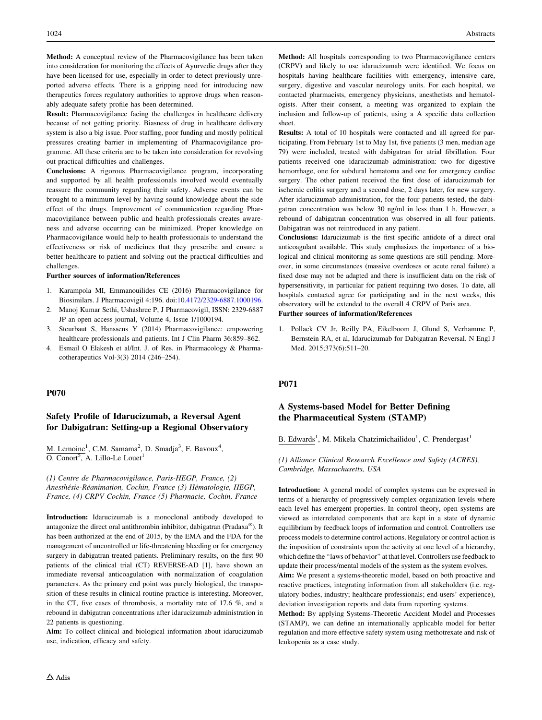Method: A conceptual review of the Pharmacovigilance has been taken into consideration for monitoring the effects of Ayurvedic drugs after they have been licensed for use, especially in order to detect previously unreported adverse effects. There is a gripping need for introducing new therapeutics forces regulatory authorities to approve drugs when reasonably adequate safety profile has been determined.

Result: Pharmacovigilance facing the challenges in healthcare delivery because of not getting priority. Biasness of drug in healthcare delivery system is also a big issue. Poor staffing, poor funding and mostly political pressures creating barrier in implementing of Pharmacovigilance programme. All these criteria are to be taken into consideration for revolving out practical difficulties and challenges.

Conclusions: A rigorous Pharmacovigilance program, incorporating and supported by all health professionals involved would eventually reassure the community regarding their safety. Adverse events can be brought to a minimum level by having sound knowledge about the side effect of the drugs. Improvement of communication regarding Pharmacovigilance between public and health professionals creates awareness and adverse occurring can be minimized. Proper knowledge on Pharmacovigilance would help to health professionals to understand the effectiveness or risk of medicines that they prescribe and ensure a better healthcare to patient and solving out the practical difficulties and challenges.

#### Further sources of information/References

- 1. Karampola MI, Emmanouilides CE (2016) Pharmacovigilance for Biosimilars. J Pharmacovigil 4:196. doi:[10.4172/2329-6887.1000196](http://dx.doi.org/10.4172/2329-6887.1000196).
- 2. Manoj Kumar Sethi, Ushashree P, J Pharmacovigil, ISSN: 2329-6887 JP an open access journal, Volume 4, Issue 1/1000194.
- 3. Steurbaut S, Hanssens Y (2014) Pharmacovigilance: empowering healthcare professionals and patients. Int J Clin Pharm 36:859–862.
- 4. Esmail O Elakesh et al/Int. J. of Res. in Pharmacology & Pharmacotherapeutics Vol-3(3) 2014 (246–254).

#### P070

## Safety Profile of Idarucizumab, a Reversal Agent for Dabigatran: Setting-up a Regional Observatory

M. Lemoine<sup>1</sup>, C.M. Samama<sup>2</sup>, D. Smadja<sup>3</sup>, F. Bavoux<sup>4</sup>,  $O.$  Conort<sup>5</sup>, A. Lillo-Le Louet<sup>1</sup>

(1) Centre de Pharmacovigilance, Paris-HEGP, France, (2) Anesthésie-Réanimation, Cochin, France (3) Hématologie, HEGP, France, (4) CRPV Cochin, France (5) Pharmacie, Cochin, France

Introduction: Idarucizumab is a monoclonal antibody developed to antagonize the direct oral antithrombin inhibitor, dabigatran (Pradaxa®). It has been authorized at the end of 2015, by the EMA and the FDA for the management of uncontrolled or life-threatening bleeding or for emergency surgery in dabigatran treated patients. Preliminary results, on the first 90 patients of the clinical trial (CT) REVERSE-AD [1], have shown an immediate reversal anticoagulation with normalization of coagulation parameters. As the primary end point was purely biological, the transposition of these results in clinical routine practice is interesting. Moreover, in the CT, five cases of thrombosis, a mortality rate of 17.6 %, and a rebound in dabigatran concentrations after idarucizumab administration in 22 patients is questioning.

Aim: To collect clinical and biological information about idarucizumab use, indication, efficacy and safety.

Method: All hospitals corresponding to two Pharmacovigilance centers (CRPV) and likely to use idarucizumab were identified. We focus on hospitals having healthcare facilities with emergency, intensive care, surgery, digestive and vascular neurology units. For each hospital, we contacted pharmacists, emergency physicians, anesthetists and hematologists. After their consent, a meeting was organized to explain the inclusion and follow-up of patients, using a A specific data collection sheet.

Results: A total of 10 hospitals were contacted and all agreed for participating. From February 1st to May 1st, five patients (3 men, median age 79) were included, treated with dabigatran for atrial fibrillation. Four patients received one idarucizumab administration: two for digestive hemorrhage, one for subdural hematoma and one for emergency cardiac surgery. The other patient received the first dose of idarucizumab for ischemic colitis surgery and a second dose, 2 days later, for new surgery. After idarucizumab administration, for the four patients tested, the dabigatran concentration was below 30 ng/ml in less than 1 h. However, a rebound of dabigatran concentration was observed in all four patients. Dabigatran was not reintroduced in any patient.

Conclusions: Idarucizumab is the first specific antidote of a direct oral anticoagulant available. This study emphasizes the importance of a biological and clinical monitoring as some questions are still pending. Moreover, in some circumstances (massive overdoses or acute renal failure) a fixed dose may not be adapted and there is insufficient data on the risk of hypersensitivity, in particular for patient requiring two doses. To date, all hospitals contacted agree for participating and in the next weeks, this observatory will be extended to the overall 4 CRPV of Paris area. Further sources of information/References

1. Pollack CV Jr, Reilly PA, Eikelboom J, Glund S, Verhamme P, Bernstein RA, et al, Idarucizumab for Dabigatran Reversal. N Engl J Med. 2015;373(6):511–20.

#### P071

## A Systems-based Model for Better Defining the Pharmaceutical System (STAMP)

B. Edwards<sup>1</sup>, M. Mikela Chatzimichailidou<sup>1</sup>, C. Prendergast<sup>1</sup>

#### (1) Alliance Clinical Research Excellence and Safety (ACRES), Cambridge, Massachusetts, USA

Introduction: A general model of complex systems can be expressed in terms of a hierarchy of progressively complex organization levels where each level has emergent properties. In control theory, open systems are viewed as interrelated components that are kept in a state of dynamic equilibrium by feedback loops of information and control. Controllers use process models to determine control actions. Regulatory or control action is the imposition of constraints upon the activity at one level of a hierarchy, which define the ''laws of behavior'' at that level. Controllers use feedback to update their process/mental models of the system as the system evolves.

Aim: We present a systems-theoretic model, based on both proactive and reactive practices, integrating information from all stakeholders (i.e. regulatory bodies, industry; healthcare professionals; end-users' experience), deviation investigation reports and data from reporting systems.

Method: By applying Systems-Theoretic Accident Model and Processes (STAMP), we can define an internationally applicable model for better regulation and more effective safety system using methotrexate and risk of leukopenia as a case study.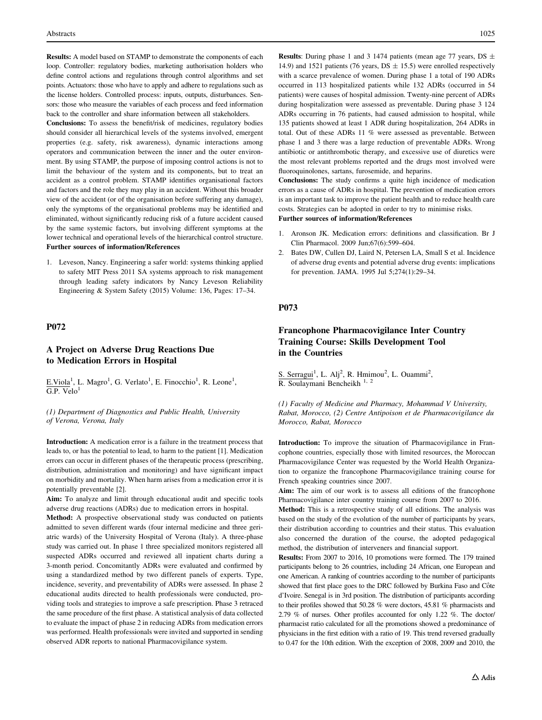Results: A model based on STAMP to demonstrate the components of each loop. Controller: regulatory bodies, marketing authorisation holders who define control actions and regulations through control algorithms and set points. Actuators: those who have to apply and adhere to regulations such as the license holders. Controlled process: inputs, outputs, disturbances. Sensors: those who measure the variables of each process and feed information back to the controller and share information between all stakeholders.

Conclusions: To assess the benefit/risk of medicines, regulatory bodies should consider all hierarchical levels of the systems involved, emergent properties (e.g. safety, risk awareness), dynamic interactions among operators and communication between the inner and the outer environment. By using STAMP, the purpose of imposing control actions is not to limit the behaviour of the system and its components, but to treat an accident as a control problem. STAMP identifies organisational factors and factors and the role they may play in an accident. Without this broader view of the accident (or of the organisation before suffering any damage), only the symptoms of the organisational problems may be identified and eliminated, without significantly reducing risk of a future accident caused by the same systemic factors, but involving different symptoms at the lower technical and operational levels of the hierarchical control structure. Further sources of information/References

1. Leveson, Nancy. Engineering a safer world: systems thinking applied to safety MIT Press 2011 SA systems approach to risk management through leading safety indicators by Nancy Leveson Reliability Engineering & System Safety (2015) Volume: 136, Pages: 17–34.

## P072

## A Project on Adverse Drug Reactions Due to Medication Errors in Hospital

E.Viola<sup>1</sup>, L. Magro<sup>1</sup>, G. Verlato<sup>1</sup>, E. Finocchio<sup>1</sup>, R. Leone<sup>1</sup>,  $\overline{G.P.$  Velo<sup>1</sup>

(1) Department of Diagnostics and Public Health, University of Verona, Verona, Italy

Introduction: A medication error is a failure in the treatment process that leads to, or has the potential to lead, to harm to the patient [1]. Medication errors can occur in different phases of the therapeutic process (prescribing, distribution, administration and monitoring) and have significant impact on morbidity and mortality. When harm arises from a medication error it is potentially preventable [2].

Aim: To analyze and limit through educational audit and specific tools adverse drug reactions (ADRs) due to medication errors in hospital.

Method: A prospective observational study was conducted on patients admitted to seven different wards (four internal medicine and three geriatric wards) of the University Hospital of Verona (Italy). A three-phase study was carried out. In phase 1 three specialized monitors registered all suspected ADRs occurred and reviewed all inpatient charts during a 3-month period. Concomitantly ADRs were evaluated and confirmed by using a standardized method by two different panels of experts. Type, incidence, severity, and preventability of ADRs were assessed. In phase 2 educational audits directed to health professionals were conducted, providing tools and strategies to improve a safe prescription. Phase 3 retraced the same procedure of the first phase. A statistical analysis of data collected to evaluate the impact of phase 2 in reducing ADRs from medication errors was performed. Health professionals were invited and supported in sending observed ADR reports to national Pharmacovigilance system.

**Results:** During phase 1 and 3 1474 patients (mean age 77 years,  $DS \pm$ 14.9) and 1521 patients (76 years,  $DS \pm 15.5$ ) were enrolled respectively with a scarce prevalence of women. During phase 1 a total of 190 ADRs occurred in 113 hospitalized patients while 132 ADRs (occurred in 54 patients) were causes of hospital admission. Twenty-nine percent of ADRs during hospitalization were assessed as preventable. During phase 3 124 ADRs occurring in 76 patients, had caused admission to hospital, while 135 patients showed at least 1 ADR during hospitalization, 264 ADRs in total. Out of these ADRs 11 % were assessed as preventable. Between phase 1 and 3 there was a large reduction of preventable ADRs. Wrong antibiotic or antithrombotic therapy, and excessive use of diuretics were the most relevant problems reported and the drugs most involved were fluoroquinolones, sartans, furosemide, and heparins.

Conclusions: The study confirms a quite high incidence of medication errors as a cause of ADRs in hospital. The prevention of medication errors is an important task to improve the patient health and to reduce health care costs. Strategies can be adopted in order to try to minimise risks. Further sources of information/References

- 1. Aronson JK. Medication errors: definitions and classification. Br J Clin Pharmacol. 2009 Jun;67(6):599–604.
- 2. Bates DW, Cullen DJ, Laird N, Petersen LA, Small S et al. Incidence of adverse drug events and potential adverse drug events: implications for prevention. JAMA. 1995 Jul 5;274(1):29–34.

#### P073

## Francophone Pharmacovigilance Inter Country Training Course: Skills Development Tool in the Countries

S. Serragui<sup>1</sup>, L. Alj<sup>2</sup>, R. Hmimou<sup>2</sup>, L. Ouammi<sup>2</sup>, R. Soulaymani Bencheikh<sup>1, 2</sup>

(1) Faculty of Medicine and Pharmacy, Mohammad V University, Rabat, Morocco, (2) Centre Antipoison et de Pharmacovigilance du Morocco, Rabat, Morocco

Introduction: To improve the situation of Pharmacovigilance in Francophone countries, especially those with limited resources, the Moroccan Pharmacovigilance Center was requested by the World Health Organization to organize the francophone Pharmacovigilance training course for French speaking countries since 2007.

Aim: The aim of our work is to assess all editions of the francophone Pharmacovigilance inter country training course from 2007 to 2016.

Method: This is a retrospective study of all editions. The analysis was based on the study of the evolution of the number of participants by years, their distribution according to countries and their status. This evaluation also concerned the duration of the course, the adopted pedagogical method, the distribution of interveners and financial support.

Results: From 2007 to 2016, 10 promotions were formed. The 179 trained participants belong to 26 countries, including 24 African, one European and one American. A ranking of countries according to the number of participants showed that first place goes to the DRC followed by Burkina Faso and Côte d'Ivoire. Senegal is in 3rd position. The distribution of participants according to their profiles showed that 50.28 % were doctors, 45.81 % pharmacists and 2.79 % of nurses. Other profiles accounted for only 1.22 %. The doctor/ pharmacist ratio calculated for all the promotions showed a predominance of physicians in the first edition with a ratio of 19. This trend reversed gradually to 0.47 for the 10th edition. With the exception of 2008, 2009 and 2010, the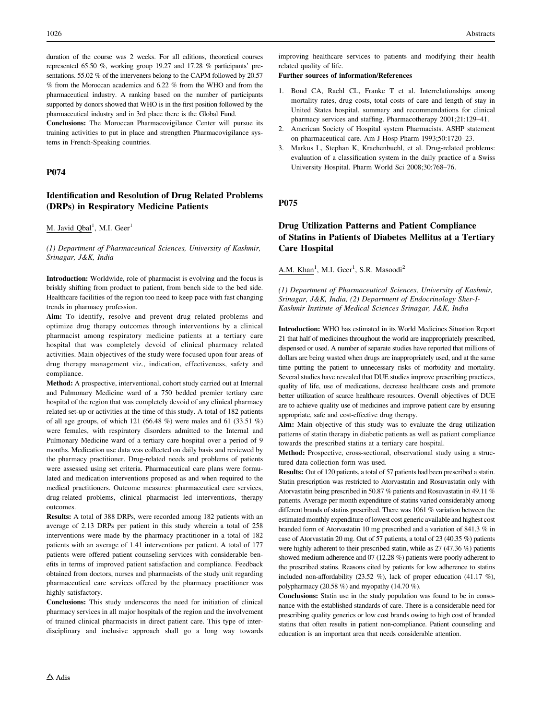duration of the course was 2 weeks. For all editions, theoretical courses represented 65.50 %, working group 19.27 and 17.28 % participants' presentations. 55.02 % of the interveners belong to the CAPM followed by 20.57 % from the Moroccan academics and 6.22 % from the WHO and from the pharmaceutical industry. A ranking based on the number of participants supported by donors showed that WHO is in the first position followed by the pharmaceutical industry and in 3rd place there is the Global Fund.

Conclusions: The Moroccan Pharmacovigilance Center will pursue its training activities to put in place and strengthen Pharmacovigilance systems in French-Speaking countries.

#### P074

## Identification and Resolution of Drug Related Problems (DRPs) in Respiratory Medicine Patients

## M. Javid Qbal<sup>1</sup>, M.I. Geer<sup>1</sup>

(1) Department of Pharmaceutical Sciences, University of Kashmir, Srinagar, J&K, India

Introduction: Worldwide, role of pharmacist is evolving and the focus is briskly shifting from product to patient, from bench side to the bed side. Healthcare facilities of the region too need to keep pace with fast changing trends in pharmacy profession.

Aim: To identify, resolve and prevent drug related problems and optimize drug therapy outcomes through interventions by a clinical pharmacist among respiratory medicine patients at a tertiary care hospital that was completely devoid of clinical pharmacy related activities. Main objectives of the study were focused upon four areas of drug therapy management viz., indication, effectiveness, safety and compliance.

Method: A prospective, interventional, cohort study carried out at Internal and Pulmonary Medicine ward of a 750 bedded premier tertiary care hospital of the region that was completely devoid of any clinical pharmacy related set-up or activities at the time of this study. A total of 182 patients of all age groups, of which 121 (66.48 %) were males and 61 (33.51 %) were females, with respiratory disorders admitted to the Internal and Pulmonary Medicine ward of a tertiary care hospital over a period of 9 months. Medication use data was collected on daily basis and reviewed by the pharmacy practitioner. Drug-related needs and problems of patients were assessed using set criteria. Pharmaceutical care plans were formulated and medication interventions proposed as and when required to the medical practitioners. Outcome measures: pharmaceutical care services, drug-related problems, clinical pharmacist led interventions, therapy outcomes.

Results: A total of 388 DRPs, were recorded among 182 patients with an average of 2.13 DRPs per patient in this study wherein a total of 258 interventions were made by the pharmacy practitioner in a total of 182 patients with an average of 1.41 interventions per patient. A total of 177 patients were offered patient counseling services with considerable benefits in terms of improved patient satisfaction and compliance. Feedback obtained from doctors, nurses and pharmacists of the study unit regarding pharmaceutical care services offered by the pharmacy practitioner was highly satisfactory.

Conclusions: This study underscores the need for initiation of clinical pharmacy services in all major hospitals of the region and the involvement of trained clinical pharmacists in direct patient care. This type of interdisciplinary and inclusive approach shall go a long way towards improving healthcare services to patients and modifying their health related quality of life.

## Further sources of information/References

- 1. Bond CA, Raehl CL, Franke T et al. Interrelationships among mortality rates, drug costs, total costs of care and length of stay in United States hospital, summary and recommendations for clinical pharmacy services and staffing. Pharmacotherapy 2001;21:129–41.
- 2. American Society of Hospital system Pharmacists. ASHP statement on pharmaceutical care. Am J Hosp Pharm 1993;50:1720–23.
- 3. Markus L, Stephan K, Kraehenbuehl, et al. Drug-related problems: evaluation of a classification system in the daily practice of a Swiss University Hospital. Pharm World Sci 2008;30:768–76.

#### P075

## Drug Utilization Patterns and Patient Compliance of Statins in Patients of Diabetes Mellitus at a Tertiary Care Hospital

## A.M. Khan<sup>1</sup>, M.I. Geer<sup>1</sup>, S.R. Masoodi<sup>2</sup>

(1) Department of Pharmaceutical Sciences, University of Kashmir, Srinagar, J&K, India, (2) Department of Endocrinology Sher-I-Kashmir Institute of Medical Sciences Srinagar, J&K, India

Introduction: WHO has estimated in its World Medicines Situation Report 21 that half of medicines throughout the world are inappropriately prescribed, dispensed or used. A number of separate studies have reported that millions of dollars are being wasted when drugs are inappropriately used, and at the same time putting the patient to unnecessary risks of morbidity and mortality. Several studies have revealed that DUE studies improve prescribing practices, quality of life, use of medications, decrease healthcare costs and promote better utilization of scarce healthcare resources. Overall objectives of DUE are to achieve quality use of medicines and improve patient care by ensuring appropriate, safe and cost-effective drug therapy.

Aim: Main objective of this study was to evaluate the drug utilization patterns of statin therapy in diabetic patients as well as patient compliance towards the prescribed statins at a tertiary care hospital.

Method: Prospective, cross-sectional, observational study using a structured data collection form was used.

Results: Out of 120 patients, a total of 57 patients had been prescribed a statin. Statin prescription was restricted to Atorvastatin and Rosuvastatin only with Atorvastatin being prescribed in 50.87 % patients and Rosuvastatin in 49.11 % patients. Average per month expenditure of statins varied considerably among different brands of statins prescribed. There was 1061 % variation between the estimated monthly expenditure of lowest cost generic available and highest cost branded form of Atorvastatin 10 mg prescribed and a variation of 841.3 % in case of Atorvastatin 20 mg. Out of 57 patients, a total of 23 (40.35 %) patients were highly adherent to their prescribed statin, while as 27 (47.36 %) patients showed medium adherence and 07 (12.28 %) patients were poorly adherent to the prescribed statins. Reasons cited by patients for low adherence to statins included non-affordability (23.52 %), lack of proper education (41.17 %), polypharmacy (20.58 %) and myopathy (14.70 %).

Conclusions: Statin use in the study population was found to be in consonance with the established standards of care. There is a considerable need for prescribing quality generics or low cost brands owing to high cost of branded statins that often results in patient non-compliance. Patient counseling and education is an important area that needs considerable attention.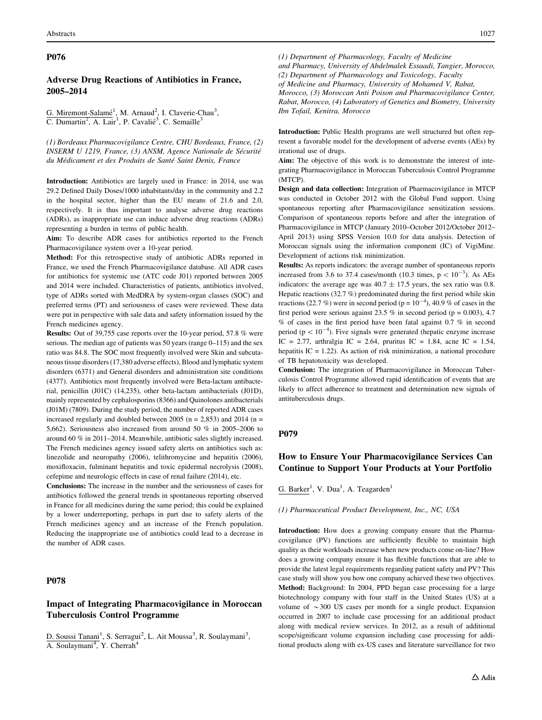## Adverse Drug Reactions of Antibiotics in France, 2005–2014

G. Miremont-Salamé<sup>1</sup>, M. Arnaud<sup>2</sup>, I. Claverie-Chau<sup>3</sup>, C. Dumartin<sup>2</sup>, A. Lair<sup>1</sup>, P. Cavalié<sup>3</sup>, C. Semaille<sup>3</sup>

(1) Bordeaux Pharmacovigilance Centre, CHU Bordeaux, France, (2) INSERM U 1219, France, (3) ANSM, Agence Nationale de Sécurité du Médicament et des Produits de Santé Saint Denis, France

Introduction: Antibiotics are largely used in France: in 2014, use was 29.2 Defined Daily Doses/1000 inhabitants/day in the community and 2.2 in the hospital sector, higher than the EU means of 21.6 and 2.0, respectively. It is thus important to analyse adverse drug reactions (ADRs), as inappropriate use can induce adverse drug reactions (ADRs) representing a burden in terms of public health.

Aim: To describe ADR cases for antibiotics reported to the French Pharmacovigilance system over a 10-year period.

Method: For this retrospective study of antibiotic ADRs reported in France, we used the French Pharmacovigilance database. All ADR cases for antibiotics for systemic use (ATC code J01) reported between 2005 and 2014 were included. Characteristics of patients, antibiotics involved, type of ADRs sorted with MedDRA by system-organ classes (SOC) and preferred terms (PT) and seriousness of cases were reviewed. These data were put in perspective with sale data and safety information issued by the French medicines agency.

Results: Out of 39,755 case reports over the 10-year period, 57.8 % were serious. The median age of patients was 50 years (range 0–115) and the sex ratio was 84.8. The SOC most frequently involved were Skin and subcutaneous tissue disorders (17,380 adverse effects), Blood and lymphatic system disorders (6371) and General disorders and administration site conditions (4377). Antibiotics most frequently involved were Beta-lactam antibacterial, penicillin (J01C) (14,235), other beta-lactam antibacterials (J01D), mainly represented by cephalosporins (8366) and Quinolones antibacterials (J01M) (7809). During the study period, the number of reported ADR cases increased regularly and doubled between 2005 ( $n = 2,853$ ) and 2014 ( $n =$ 5,662). Seriousness also increased from around 50 % in 2005–2006 to around 60 % in 2011–2014. Meanwhile, antibiotic sales slightly increased. The French medicines agency issued safety alerts on antibiotics such as: linezolide and neuropathy (2006), telithromycine and hepatitis (2006), moxifloxacin, fulminant hepatitis and toxic epidermal necrolysis (2008), cefepime and neurologic effects in case of renal failure (2014), etc.

Conclusions: The increase in the number and the seriousness of cases for antibiotics followed the general trends in spontaneous reporting observed in France for all medicines during the same period; this could be explained by a lower underreporting, perhaps in part due to safety alerts of the French medicines agency and an increase of the French population. Reducing the inappropriate use of antibiotics could lead to a decrease in the number of ADR cases.

## P078

## Impact of Integrating Pharmacovigilance in Moroccan Tuberculosis Control Programme

D. Soussi Tanani<sup>1</sup>, S. Serragui<sup>2</sup>, L. Ait Moussa<sup>3</sup>, R. Soulaymani<sup>3</sup>, A. Soulaymani<sup>4</sup>, Y. Cherrah<sup>4</sup>

(1) Department of Pharmacology, Faculty of Medicine

and Pharmacy, University of Abdelmalek Essaadi, Tangier, Morocco, (2) Department of Pharmacology and Toxicology, Faculty

of Medicine and Pharmacy, University of Mohamed V, Rabat,

Morocco, (3) Moroccan Anti Poison and Pharmacovigilance Center, Rabat, Morocco, (4) Laboratory of Genetics and Biometry, University Ibn Tofail, Kenitra, Morocco

Introduction: Public Health programs are well structured but often represent a favorable model for the development of adverse events (AEs) by irrational use of drugs.

Aim: The objective of this work is to demonstrate the interest of integrating Pharmacovigilance in Moroccan Tuberculosis Control Programme (MTCP).

Design and data collection: Integration of Pharmacovigilance in MTCP was conducted in October 2012 with the Global Fund support. Using spontaneous reporting after Pharmacovigilance sensitization sessions. Comparison of spontaneous reports before and after the integration of Pharmacovigilance in MTCP (January 2010–October 2012/October 2012– April 2013) using SPSS Version 10.0 for data analysis. Detection of Moroccan signals using the information component (IC) of VigiMine. Development of actions risk minimization.

Results: As reports indicators: the average number of spontaneous reports increased from 3.6 to 37.4 cases/month (10.3 times,  $p < 10^{-3}$ ). As AEs indicators: the average age was  $40.7 \pm 17.5$  years, the sex ratio was 0.8. Hepatic reactions (32.7 %) predominated during the first period while skin reactions (22.7 %) were in second period ( $p = 10^{-4}$ ), 40.9 % of cases in the first period were serious against 23.5 % in second period ( $p = 0.003$ ), 4.7 % of cases in the first period have been fatal against 0.7 % in second period ( $p < 10^{-4}$ ). Five signals were generated (hepatic enzyme increase IC = 2.77, arthralgia IC = 2.64, pruritus IC = 1.84, acne IC = 1.54, hepatitis IC =  $1.22$ ). As action of risk minimization, a national procedure of TB hepatotoxicity was developed.

Conclusion: The integration of Pharmacovigilance in Moroccan Tuberculosis Control Programme allowed rapid identification of events that are likely to affect adherence to treatment and determination new signals of antituberculosis drugs.

#### P079

## How to Ensure Your Pharmacovigilance Services Can Continue to Support Your Products at Your Portfolio

G. Barker<sup>1</sup>, V. Dua<sup>1</sup>, A. Teagarden<sup>1</sup>

#### (1) Pharmaceutical Product Development, Inc., NC, USA

Introduction: How does a growing company ensure that the Pharmacovigilance (PV) functions are sufficiently flexible to maintain high quality as their workloads increase when new products come on-line? How does a growing company ensure it has flexible functions that are able to provide the latest legal requirements regarding patient safety and PV? This case study will show you how one company achieved these two objectives. Method: Background: In 2004, PPD began case processing for a large biotechnology company with four staff in the United States (US) at a volume of  $\sim$ 300 US cases per month for a single product. Expansion occurred in 2007 to include case processing for an additional product along with medical review services. In 2012, as a result of additional scope/significant volume expansion including case processing for additional products along with ex-US cases and literature surveillance for two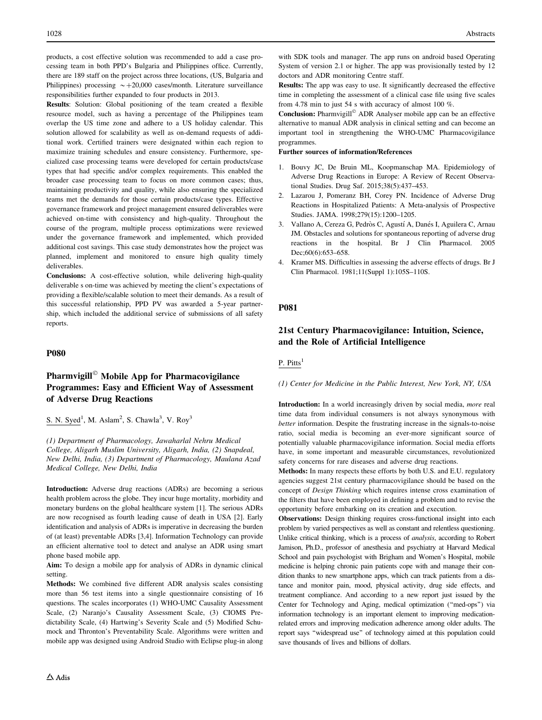products, a cost effective solution was recommended to add a case processing team in both PPD's Bulgaria and Philippines office. Currently, there are 189 staff on the project across three locations, (US, Bulgaria and Philippines) processing  $\sim$  +20,000 cases/month. Literature surveillance responsibilities further expanded to four products in 2013.

Results: Solution: Global positioning of the team created a flexible resource model, such as having a percentage of the Philippines team overlap the US time zone and adhere to a US holiday calendar. This solution allowed for scalability as well as on-demand requests of additional work. Certified trainers were designated within each region to maximize training schedules and ensure consistency. Furthermore, specialized case processing teams were developed for certain products/case types that had specific and/or complex requirements. This enabled the broader case processing team to focus on more common cases; thus, maintaining productivity and quality, while also ensuring the specialized teams met the demands for those certain products/case types. Effective governance framework and project management ensured deliverables were achieved on-time with consistency and high-quality. Throughout the course of the program, multiple process optimizations were reviewed under the governance framework and implemented, which provided additional cost savings. This case study demonstrates how the project was planned, implement and monitored to ensure high quality timely deliverables.

Conclusions: A cost-effective solution, while delivering high-quality deliverable s on-time was achieved by meeting the client's expectations of providing a flexible/scalable solution to meet their demands. As a result of this successful relationship, PPD PV was awarded a 5-year partnership, which included the additional service of submissions of all safety reports.

## P080

## $Pharmvigill<sup>©</sup> Mobile App for Pharmacovigilance$ Programmes: Easy and Efficient Way of Assessment of Adverse Drug Reactions

S. N. Syed<sup>1</sup>, M. Aslam<sup>2</sup>, S. Chawla<sup>3</sup>, V. Roy<sup>3</sup>

(1) Department of Pharmacology, Jawaharlal Nehru Medical College, Aligarh Muslim University, Aligarh, India, (2) Snapdeal, New Delhi, India, (3) Department of Pharmacology, Maulana Azad Medical College, New Delhi, India

Introduction: Adverse drug reactions (ADRs) are becoming a serious health problem across the globe. They incur huge mortality, morbidity and monetary burdens on the global healthcare system [1]. The serious ADRs are now recognised as fourth leading cause of death in USA [2]. Early identification and analysis of ADRs is imperative in decreasing the burden of (at least) preventable ADRs [3,4]. Information Technology can provide an efficient alternative tool to detect and analyse an ADR using smart phone based mobile app.

Aim: To design a mobile app for analysis of ADRs in dynamic clinical setting.

Methods: We combined five different ADR analysis scales consisting more than 56 test items into a single questionnaire consisting of 16 questions. The scales incorporates (1) WHO-UMC Causality Assessment Scale, (2) Naranjo's Causality Assessment Scale, (3) CIOMS Predictability Scale, (4) Hartwing's Severity Scale and (5) Modified Schumock and Thronton's Preventability Scale. Algorithms were written and mobile app was designed using Android Studio with Eclipse plug-in along

with SDK tools and manager. The app runs on android based Operating System of version 2.1 or higher. The app was provisionally tested by 12 doctors and ADR monitoring Centre staff.

Results: The app was easy to use. It significantly decreased the effective time in completing the assessment of a clinical case file using five scales from 4.78 min to just 54 s with accuracy of almost 100 %.

Conclusion: Pharmvigill<sup>©</sup> ADR Analyser mobile app can be an effective alternative to manual ADR analysis in clinical setting and can become an important tool in strengthening the WHO-UMC Pharmacovigilance programmes.

#### Further sources of information/References

- 1. Bouvy JC, De Bruin ML, Koopmanschap MA. Epidemiology of Adverse Drug Reactions in Europe: A Review of Recent Observational Studies. Drug Saf. 2015;38(5):437–453.
- 2. Lazarou J, Pomeranz BH, Corey PN. Incidence of Adverse Drug Reactions in Hospitalized Patients: A Meta-analysis of Prospective Studies. JAMA. 1998;279(15):1200–1205.
- 3. Vallano A, Cereza G, Pedròs C, Agustí A, Danés I, Aguilera C, Arnau JM. Obstacles and solutions for spontaneous reporting of adverse drug reactions in the hospital. Br J Clin Pharmacol. 2005 Dec:60(6):653-658.
- 4. Kramer MS. Difficulties in assessing the adverse effects of drugs. Br J Clin Pharmacol. 1981;11(Suppl 1):105S–110S.

#### P081

## 21st Century Pharmacovigilance: Intuition, Science, and the Role of Artificial Intelligence

## P. Pitts $<sup>1</sup>$ </sup>

#### (1) Center for Medicine in the Public Interest, New York, NY, USA

Introduction: In a world increasingly driven by social media, *more* real time data from individual consumers is not always synonymous with better information. Despite the frustrating increase in the signals-to-noise ratio, social media is becoming an ever-more significant source of potentially valuable pharmacovigilance information. Social media efforts have, in some important and measurable circumstances, revolutionized safety concerns for rare diseases and adverse drug reactions.

Methods: In many respects these efforts by both U.S. and E.U. regulatory agencies suggest 21st century pharmacovigilance should be based on the concept of Design Thinking which requires intense cross examination of the filters that have been employed in defining a problem and to revise the opportunity before embarking on its creation and execution.

Observations: Design thinking requires cross-functional insight into each problem by varied perspectives as well as constant and relentless questioning. Unlike critical thinking, which is a process of analysis, according to Robert Jamison, Ph.D., professor of anesthesia and psychiatry at Harvard Medical School and pain psychologist with Brigham and Women's Hospital, mobile medicine is helping chronic pain patients cope with and manage their condition thanks to new smartphone apps, which can track patients from a distance and monitor pain, mood, physical activity, drug side effects, and treatment compliance. And according to a new report just issued by the Center for Technology and Aging, medical optimization (''med-ops'') via information technology is an important element to improving medicationrelated errors and improving medication adherence among older adults. The report says ''widespread use'' of technology aimed at this population could save thousands of lives and billions of dollars.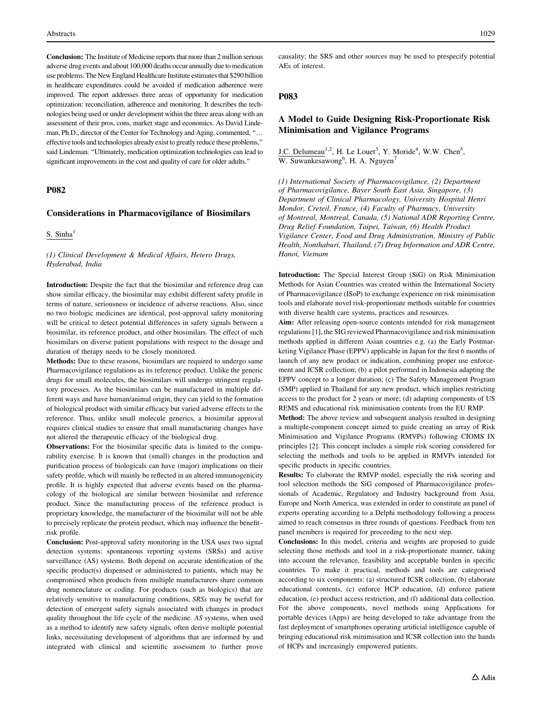Conclusion: The Institute of Medicine reports that more than 2 million serious adverse drug events and about 100,000 deaths occur annually due to medication use problems. The New England Healthcare Institute estimates that \$290 billion in healthcare expenditures could be avoided if medication adherence were improved. The report addresses three areas of opportunity for medication optimization: reconciliation, adherence and monitoring. It describes the technologies being used or under development within the three areas along with an assessment of their pros, cons, market stage and economics. As David Lindeman, Ph.D., director of the Center for Technology and Aging, commented, ''… effective tools and technologies already exist to greatly reduce these problems,'' said Lindeman. ''Ultimately, medication optimization technologies can lead to significant improvements in the cost and quality of care for older adults.''

#### P082

## Considerations in Pharmacovigilance of Biosimilars

S. Sinha<sup>1</sup>

(1) Clinical Development & Medical Affairs, Hetero Drugs, Hyderabad, India

Introduction: Despite the fact that the biosimilar and reference drug can show similar efficacy, the biosimilar may exhibit different safety profile in terms of nature, seriousness or incidence of adverse reactions. Also, since no two biologic medicines are identical, post-approval safety monitoring will be critical to detect potential differences in safety signals between a biosimilar, its reference product, and other biosimilars. The effect of such biosimilars on diverse patient populations with respect to the dosage and duration of therapy needs to be closely monitored.

Methods: Due to these reasons, biosimilars are required to undergo same Pharmacovigilance regulations as its reference product. Unlike the generic drugs for small molecules, the biosimilars will undergo stringent regulatory processes. As the biosimilars can be manufactured in multiple different ways and have human/animal origin, they can yield to the formation of biological product with similar efficacy but varied adverse effects to the reference. Thus, unlike small molecule generics, a biosimilar approval requires clinical studies to ensure that small manufacturing changes have not altered the therapeutic efficacy of the biological drug.

Observations: For the biosimilar specific data is limited to the comparability exercise. It is known that (small) changes in the production and purification process of biologicals can have (major) implications on their safety profile, which will mainly be reflected in an altered immunogenicity profile. It is highly expected that adverse events based on the pharmacology of the biological are similar between biosimilar and reference product. Since the manufacturing process of the reference product is proprietary knowledge, the manufacturer of the biosimilar will not be able to precisely replicate the protein product, which may influence the benefit– risk profile.

Conclusion: Post-approval safety monitoring in the USA uses two signal detection systems: spontaneous reporting systems (SRSs) and active surveillance (AS) systems. Both depend on accurate identification of the specific product(s) dispensed or administered to patients, which may be compromised when products from multiple manufacturers share common drug nomenclature or coding. For products (such as biologics) that are relatively sensitive to manufacturing conditions, SRSs may be useful for detection of emergent safety signals associated with changes in product quality throughout the life cycle of the medicine. AS systems, when used as a method to identify new safety signals, often derive multiple potential links, necessitating development of algorithms that are informed by and integrated with clinical and scientific assessment to further prove causality; the SRS and other sources may be used to prespecify potential AEs of interest.

#### P083

## A Model to Guide Designing Risk-Proportionate Risk Minimisation and Vigilance Programs

J.C. Delumeau<sup>1,2</sup>, H. Le Louet<sup>3</sup>, Y. Moride<sup>4</sup>, W.W. Chen<sup>5</sup>, W. Suwankesawong<sup>6</sup>, H. A. Nguyen<sup>7</sup>

(1) International Society of Pharmacovigilance, (2) Department of Pharmacovigilance, Bayer South East Asia, Singapore, (3) Department of Clinical Pharmacology, University Hospital Henri Mondor, Creteil, France, (4) Faculty of Pharmacy, University of Montreal, Montreal, Canada, (5) National ADR Reporting Centre, Drug Relief Foundation, Taipei, Taiwan, (6) Health Product Vigilance Center, Food and Drug Administration, Ministry of Public Health, Nonthaburi, Thailand, (7) Drug Information and ADR Centre, Hanoi, Vietnam

Introduction: The Special Interest Group (SiG) on Risk Minimisation Methods for Asian Countries was created within the International Society of Pharmacovigilance (ISoP) to exchange experience on risk minimisation tools and elaborate novel risk-proportionate methods suitable for countries with diverse health care systems, practices and resources.

Aim: After releasing open-source contents intended for risk management regulations [1], the SIG reviewed Pharmacovigilance and risk minimisation methods applied in different Asian countries e.g. (a) the Early Postmarketing Vigilance Phase (EPPV) applicable in Japan for the first 6 months of launch of any new product or indication, combining proper use enforcement and ICSR collection; (b) a pilot performed in Indonesia adapting the EPPV concept to a longer duration; (c) The Safety Management Program (SMP) applied in Thailand for any new product, which implies restricting access to the product for 2 years or more; (d) adapting components of US REMS and educational risk minimisation contents from the EU RMP.

Method: The above review and subsequent analysis resulted in designing a multiple-component concept aimed to guide creating an array of Risk Minimisation and Vigilance Programs (RMVPs) following CIOMS IX principles [2]. This concept includes a simple risk scoring considered for selecting the methods and tools to be applied in RMVPs intended for specific products in specific countries.

Results: To elaborate the RMVP model, especially the risk scoring and tool selection methods the SiG composed of Pharmacovigilance professionals of Academic, Regulatory and Industry background from Asia, Europe and North America, was extended in order to constitute an panel of experts operating according to a Delphi methodology following a process aimed to reach consensus in three rounds of questions. Feedback from ten panel members is required for proceeding to the next step.

Conclusions: In this model, criteria and weights are proposed to guide selecting those methods and tool in a risk-proportionate manner, taking into account the relevance, feasibility and acceptable burden in specific countries. To make it practical, methods and tools are categorised according to six components: (a) structured ICSR collection, (b) elaborate educational contents, (c) enforce HCP education, (d) enforce patient education, (e) product access restriction, and (f) additional data collection. For the above components, novel methods using Applications for portable devices (Apps) are being developed to take advantage from the fast deployment of smartphones operating artificial intelligence capable of bringing educational risk minimisation and ICSR collection into the hands of HCPs and increasingly empowered patients.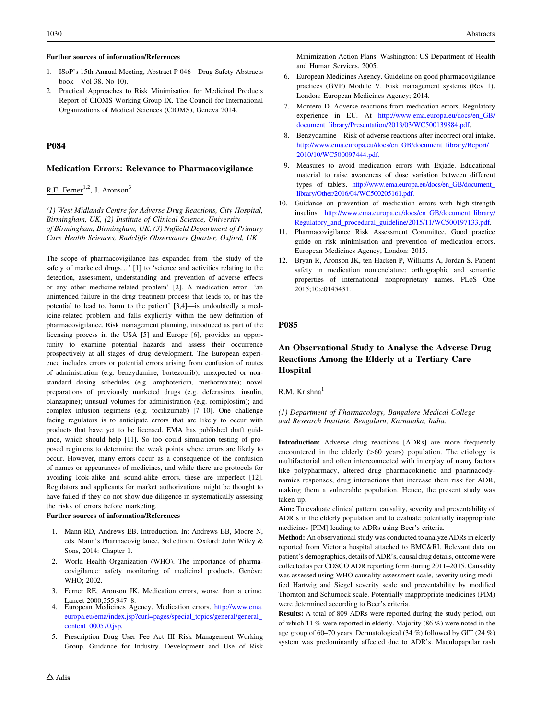#### Further sources of information/References

- 1. ISoP's 15th Annual Meeting, Abstract P 046—Drug Safety Abstracts book—Vol 38, No 10).
- 2. Practical Approaches to Risk Minimisation for Medicinal Products Report of CIOMS Working Group IX. The Council for International Organizations of Medical Sciences (CIOMS), Geneva 2014.

### P084

#### Medication Errors: Relevance to Pharmacovigilance

## R.E. Ferner<sup>1,2</sup>, J. Aronson<sup>3</sup>

(1) West Midlands Centre for Adverse Drug Reactions, City Hospital, Birmingham, UK, (2) Institute of Clinical Science, University of Birmingham, Birmingham, UK, (3) Nuffield Department of Primary Care Health Sciences, Radcliffe Observatory Quarter, Oxford, UK

The scope of pharmacovigilance has expanded from 'the study of the safety of marketed drugs…' [1] to 'science and activities relating to the detection, assessment, understanding and prevention of adverse effects or any other medicine-related problem' [2]. A medication error—'an unintended failure in the drug treatment process that leads to, or has the potential to lead to, harm to the patient' [3,4]—is undoubtedly a medicine-related problem and falls explicitly within the new definition of pharmacovigilance. Risk management planning, introduced as part of the licensing process in the USA [5] and Europe [6], provides an opportunity to examine potential hazards and assess their occurrence prospectively at all stages of drug development. The European experience includes errors or potential errors arising from confusion of routes of administration (e.g. benzydamine, bortezomib); unexpected or nonstandard dosing schedules (e.g. amphotericin, methotrexate); novel preparations of previously marketed drugs (e.g. deferasirox, insulin, olanzapine); unusual volumes for administration (e.g. romiplostim); and complex infusion regimens (e.g. tocilizumab) [7–10]. One challenge facing regulators is to anticipate errors that are likely to occur with products that have yet to be licensed. EMA has published draft guidance, which should help [11]. So too could simulation testing of proposed regimens to determine the weak points where errors are likely to occur. However, many errors occur as a consequence of the confusion of names or appearances of medicines, and while there are protocols for avoiding look-alike and sound-alike errors, these are imperfect [12]. Regulators and applicants for market authorizations might be thought to have failed if they do not show due diligence in systematically assessing the risks of errors before marketing.

#### Further sources of information/References

- 1. Mann RD, Andrews EB. Introduction. In: Andrews EB, Moore N, eds. Mann's Pharmacovigilance, 3rd edition. Oxford: John Wiley & Sons, 2014: Chapter 1.
- 2. World Health Organization (WHO). The importance of pharmacovigilance: safety monitoring of medicinal products. Genève: WHO; 2002.
- 3. Ferner RE, Aronson JK. Medication errors, worse than a crime. Lancet 2000;355:947–8.
- 4. European Medicines Agency. Medication errors. [http://www.ema.](http://www.ema.europa.eu/ema/index.jsp%3fcurl%3dpages/special_topics/general/general_content_000570.jsp) [europa.eu/ema/index.jsp?curl=pages/special\\_topics/general/general\\_](http://www.ema.europa.eu/ema/index.jsp%3fcurl%3dpages/special_topics/general/general_content_000570.jsp) [content\\_000570.jsp.](http://www.ema.europa.eu/ema/index.jsp%3fcurl%3dpages/special_topics/general/general_content_000570.jsp)
- 5. Prescription Drug User Fee Act III Risk Management Working Group. Guidance for Industry. Development and Use of Risk

Minimization Action Plans. Washington: US Department of Health and Human Services, 2005.

- 6. European Medicines Agency. Guideline on good pharmacovigilance practices (GVP) Module V. Risk management systems (Rev 1). London: European Medicines Agency; 2014.
- 7. Montero D. Adverse reactions from medication errors. Regulatory experience in EU. At [http://www.ema.europa.eu/docs/en\\_GB/](http://www.ema.europa.eu/docs/en_GB/document_library/Presentation/2013/03/WC500139884.pdf) [document\\_library/Presentation/2013/03/WC500139884.pdf](http://www.ema.europa.eu/docs/en_GB/document_library/Presentation/2013/03/WC500139884.pdf).
- 8. Benzydamine—Risk of adverse reactions after incorrect oral intake. [http://www.ema.europa.eu/docs/en\\_GB/document\\_library/Report/](http://www.ema.europa.eu/docs/en_GB/document_library/Report/2010/10/WC500097444.pdf.) [2010/10/WC500097444.pdf.](http://www.ema.europa.eu/docs/en_GB/document_library/Report/2010/10/WC500097444.pdf.)
- 9. Measures to avoid medication errors with Exjade. Educational material to raise awareness of dose variation between different types of tablets. [http://www.ema.europa.eu/docs/en\\_GB/document\\_](http://www.ema.europa.eu/docs/en_GB/document_library/Other/2016/04/WC500205161.pdf.) [library/Other/2016/04/WC500205161.pdf.](http://www.ema.europa.eu/docs/en_GB/document_library/Other/2016/04/WC500205161.pdf.)
- 10. Guidance on prevention of medication errors with high-strength insulins. [http://www.ema.europa.eu/docs/en\\_GB/document\\_library/](http://www.ema.europa.eu/docs/en_GB/document_library/Regulatory_and_procedural_guideline/2015/11/WC500197133.pdf) [Regulatory\\_and\\_procedural\\_guideline/2015/11/WC500197133.pdf](http://www.ema.europa.eu/docs/en_GB/document_library/Regulatory_and_procedural_guideline/2015/11/WC500197133.pdf).
- 11. Pharmacovigilance Risk Assessment Committee. Good practice guide on risk minimisation and prevention of medication errors. European Medicines Agency, London: 2015.
- 12. Bryan R, Aronson JK, ten Hacken P, Williams A, Jordan S. Patient safety in medication nomenclature: orthographic and semantic properties of international nonproprietary names. PLoS One 2015;10:e0145431.

#### P085

## An Observational Study to Analyse the Adverse Drug Reactions Among the Elderly at a Tertiary Care Hospital

## R.M. Krishna<sup>1</sup>

#### (1) Department of Pharmacology, Bangalore Medical College and Research Institute, Bengaluru, Karnataka, India.

Introduction: Adverse drug reactions [ADRs] are more frequently encountered in the elderly  $(>60$  years) population. The etiology is multifactorial and often interconnected with interplay of many factors like polypharmacy, altered drug pharmacokinetic and pharmacodynamics responses, drug interactions that increase their risk for ADR, making them a vulnerable population. Hence, the present study was taken up.

Aim: To evaluate clinical pattern, causality, severity and preventability of ADR's in the elderly population and to evaluate potentially inappropriate medicines [PIM] leading to ADRs using Beer's criteria.

Method: An observational study was conducted to analyze ADRs in elderly reported from Victoria hospital attached to BMC&RI. Relevant data on patient's demographics, details of ADR's, causal drug details, outcome were collected as per CDSCO ADR reporting form during 2011–2015. Causality was assessed using WHO causality assessment scale, severity using modified Hartwig and Siegel severity scale and preventability by modified Thornton and Schumock scale. Potentially inappropriate medicines (PIM) were determined according to Beer's criteria.

Results: A total of 809 ADRs were reported during the study period, out of which 11 % were reported in elderly. Majority (86 %) were noted in the age group of 60–70 years. Dermatological (34 %) followed by GIT (24 %) system was predominantly affected due to ADR's. Maculopapular rash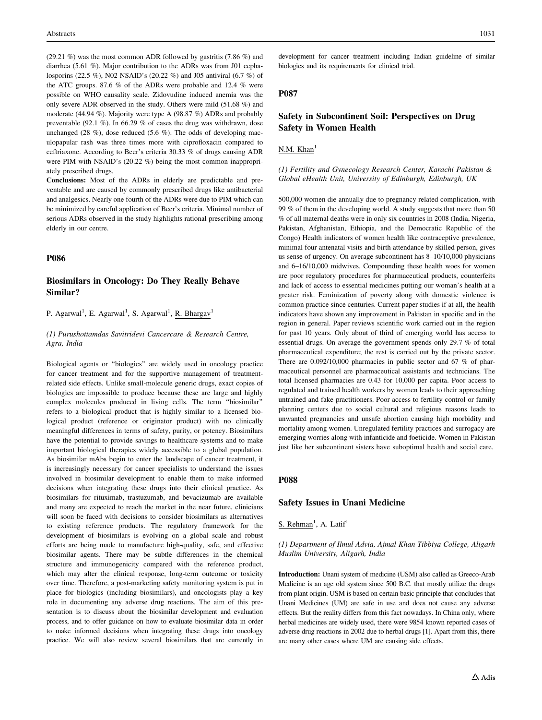(29.21 %) was the most common ADR followed by gastritis (7.86 %) and diarrhea (5.61 %). Major contribution to the ADRs was from J01 cephalosporins (22.5 %), N02 NSAID's (20.22 %) and J05 antiviral (6.7 %) of the ATC groups. 87.6 % of the ADRs were probable and 12.4 % were possible on WHO causality scale. Zidovudine induced anemia was the only severe ADR observed in the study. Others were mild (51.68 %) and moderate (44.94 %). Majority were type A (98.87 %) ADRs and probably preventable (92.1 %). In 66.29 % of cases the drug was withdrawn, dose unchanged  $(28 \%)$ , dose reduced  $(5.6 \%)$ . The odds of developing maculopapular rash was three times more with ciprofloxacin compared to ceftriaxone. According to Beer's criteria 30.33 % of drugs causing ADR were PIM with NSAID's (20.22 %) being the most common inappropriately prescribed drugs.

Conclusions: Most of the ADRs in elderly are predictable and preventable and are caused by commonly prescribed drugs like antibacterial and analgesics. Nearly one fourth of the ADRs were due to PIM which can be minimized by careful application of Beer's criteria. Minimal number of serious ADRs observed in the study highlights rational prescribing among elderly in our centre.

## P086

## Biosimilars in Oncology: Do They Really Behave Similar?

P. Agarwal<sup>1</sup>, E. Agarwal<sup>1</sup>, S. Agarwal<sup>1</sup>, R. Bhargav<sup>1</sup>

### (1) Purushottamdas Savitridevi Cancercare & Research Centre, Agra, India

Biological agents or ''biologics'' are widely used in oncology practice for cancer treatment and for the supportive management of treatmentrelated side effects. Unlike small-molecule generic drugs, exact copies of biologics are impossible to produce because these are large and highly complex molecules produced in living cells. The term ''biosimilar'' refers to a biological product that is highly similar to a licensed biological product (reference or originator product) with no clinically meaningful differences in terms of safety, purity, or potency. Biosimilars have the potential to provide savings to healthcare systems and to make important biological therapies widely accessible to a global population. As biosimilar mAbs begin to enter the landscape of cancer treatment, it is increasingly necessary for cancer specialists to understand the issues involved in biosimilar development to enable them to make informed decisions when integrating these drugs into their clinical practice. As biosimilars for rituximab, trastuzumab, and bevacizumab are available and many are expected to reach the market in the near future, clinicians will soon be faced with decisions to consider biosimilars as alternatives to existing reference products. The regulatory framework for the development of biosimilars is evolving on a global scale and robust efforts are being made to manufacture high-quality, safe, and effective biosimilar agents. There may be subtle differences in the chemical structure and immunogenicity compared with the reference product, which may alter the clinical response, long-term outcome or toxicity over time. Therefore, a post-marketing safety monitoring system is put in place for biologics (including biosimilars), and oncologists play a key role in documenting any adverse drug reactions. The aim of this presentation is to discuss about the biosimilar development and evaluation process, and to offer guidance on how to evaluate biosimilar data in order to make informed decisions when integrating these drugs into oncology practice. We will also review several biosimilars that are currently in development for cancer treatment including Indian guideline of similar biologics and its requirements for clinical trial.

#### P087

## Safety in Subcontinent Soil: Perspectives on Drug Safety in Women Health

## N.M. Khan<sup>1</sup>

#### (1) Fertility and Gynecology Research Center, Karachi Pakistan & Global eHealth Unit, University of Edinburgh, Edinburgh, UK

500,000 women die annually due to pregnancy related complication, with 99 % of them in the developing world. A study suggests that more than 50 % of all maternal deaths were in only six countries in 2008 (India, Nigeria, Pakistan, Afghanistan, Ethiopia, and the Democratic Republic of the Congo) Health indicators of women health like contraceptive prevalence, minimal four antenatal visits and birth attendance by skilled person, gives us sense of urgency. On average subcontinent has 8–10/10,000 physicians and 6–16/10,000 midwives. Compounding these health woes for women are poor regulatory procedures for pharmaceutical products, counterfeits and lack of access to essential medicines putting our woman's health at a greater risk. Feminization of poverty along with domestic violence is common practice since centuries. Current paper studies if at all, the health indicators have shown any improvement in Pakistan in specific and in the region in general. Paper reviews scientific work carried out in the region for past 10 years. Only about of third of emerging world has access to essential drugs. On average the government spends only 29.7 % of total pharmaceutical expenditure; the rest is carried out by the private sector. There are 0.092/10,000 pharmacies in public sector and 67 % of pharmaceutical personnel are pharmaceutical assistants and technicians. The total licensed pharmacies are 0.43 for 10,000 per capita. Poor access to regulated and trained health workers by women leads to their approaching untrained and fake practitioners. Poor access to fertility control or family planning centers due to social cultural and religious reasons leads to unwanted pregnancies and unsafe abortion causing high morbidity and mortality among women. Unregulated fertility practices and surrogacy are emerging worries along with infanticide and foeticide. Women in Pakistan just like her subcontinent sisters have suboptimal health and social care.

#### P088

#### Safety Issues in Unani Medicine

S. Rehman<sup>1</sup>, A. Latif<sup>1</sup>

#### (1) Department of Ilmul Advia, Ajmal Khan Tibbiya College, Aligarh Muslim University, Aligarh, India

Introduction: Unani system of medicine (USM) also called as Greeco-Arab Medicine is an age old system since 500 B.C. that mostly utilize the drugs from plant origin. USM is based on certain basic principle that concludes that Unani Medicines (UM) are safe in use and does not cause any adverse effects. But the reality differs from this fact nowadays. In China only, where herbal medicines are widely used, there were 9854 known reported cases of adverse drug reactions in 2002 due to herbal drugs [1]. Apart from this, there are many other cases where UM are causing side effects.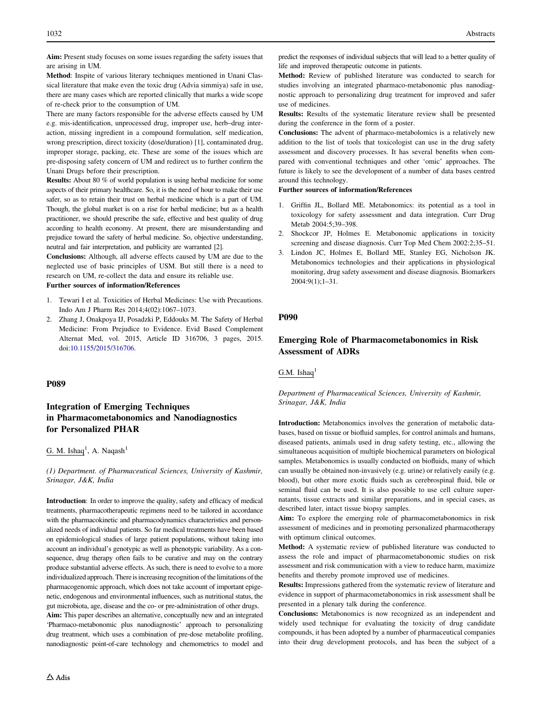Aim: Present study focuses on some issues regarding the safety issues that are arising in UM.

Method: Inspite of various literary techniques mentioned in Unani Classical literature that make even the toxic drug (Advia simmiya) safe in use, there are many cases which are reported clinically that marks a wide scope of re-check prior to the consumption of UM.

There are many factors responsible for the adverse effects caused by UM e.g. mis-identification, unprocessed drug, improper use, herb–drug interaction, missing ingredient in a compound formulation, self medication, wrong prescription, direct toxicity (dose/duration) [1], contaminated drug, improper storage, packing, etc. These are some of the issues which are pre-disposing safety concern of UM and redirect us to further confirm the Unani Drugs before their prescription.

Results: About 80 % of world population is using herbal medicine for some aspects of their primary healthcare. So, it is the need of hour to make their use safer, so as to retain their trust on herbal medicine which is a part of UM. Though, the global market is on a rise for herbal medicine; but as a health practitioner, we should prescribe the safe, effective and best quality of drug according to health economy. At present, there are misunderstanding and prejudice toward the safety of herbal medicine. So, objective understanding, neutral and fair interpretation, and publicity are warranted [2].

Conclusions: Although, all adverse effects caused by UM are due to the neglected use of basic principles of USM. But still there is a need to research on UM, re-collect the data and ensure its reliable use. Further sources of information/References

- 1. Tewari I et al. Toxicities of Herbal Medicines: Use with Precautions. Indo Am J Pharm Res 2014;4(02):1067–1073.
- 2. Zhang J, Onakpoya IJ, Posadzki P, Eddouks M. The Safety of Herbal Medicine: From Prejudice to Evidence. Evid Based Complement Alternat Med, vol. 2015, Article ID 316706, 3 pages, 2015. doi[:10.1155/2015/316706](http://dx.doi.org/10.1155/2015/316706).

#### P089

## Integration of Emerging Techniques in Pharmacometabonomics and Nanodiagnostics for Personalized PHAR

G. M. Ishaq<sup>1</sup>, A. Naqash<sup>1</sup>

(1) Department. of Pharmaceutical Sciences, University of Kashmir, Srinagar, J&K, India

Introduction: In order to improve the quality, safety and efficacy of medical treatments, pharmacotherapeutic regimens need to be tailored in accordance with the pharmacokinetic and pharmacodynamics characteristics and personalized needs of individual patients. So far medical treatments have been based on epidemiological studies of large patient populations, without taking into account an individual's genotypic as well as phenotypic variability. As a consequence, drug therapy often fails to be curative and may on the contrary produce substantial adverse effects. As such, there is need to evolve to a more individualized approach. There is increasing recognition of the limitations of the pharmacogenomic approach, which does not take account of important epigenetic, endogenous and environmental influences, such as nutritional status, the gut microbiota, age, disease and the co- or pre-administration of other drugs.

Aim: This paper describes an alternative, conceptually new and an integrated 'Pharmaco-metabonomic plus nanodiagnostic' approach to personalizing drug treatment, which uses a combination of pre-dose metabolite profiling, nanodiagnostic point-of-care technology and chemometrics to model and predict the responses of individual subjects that will lead to a better quality of life and improved therapeutic outcome in patients.

Method: Review of published literature was conducted to search for studies involving an integrated pharmaco-metabonomic plus nanodiagnostic approach to personalizing drug treatment for improved and safer use of medicines.

Results: Results of the systematic literature review shall be presented during the conference in the form of a poster.

Conclusions: The advent of pharmaco-metabolomics is a relatively new addition to the list of tools that toxicologist can use in the drug safety assessment and discovery processes. It has several benefits when compared with conventional techniques and other 'omic' approaches. The future is likely to see the development of a number of data bases centred around this technology.

#### Further sources of information/References

- 1. Griffin JL, Bollard ME. Metabonomics: its potential as a tool in toxicology for safety assessment and data integration. Curr Drug Metab 2004:5;39–398.
- 2. Shockcor JP, Holmes E. Metabonomic applications in toxicity screening and disease diagnosis. Curr Top Med Chem 2002:2;35–51.
- 3. Lindon JC, Holmes E, Bollard ME, Stanley EG, Nicholson JK. Metabonomics technologies and their applications in physiological monitoring, drug safety assessment and disease diagnosis. Biomarkers 2004:9(1);1–31.

## P090

## Emerging Role of Pharmacometabonomics in Risk Assessment of ADRs

## G.M. Ishaq<sup>1</sup>

Department of Pharmaceutical Sciences, University of Kashmir, Srinagar, J&K, India

Introduction: Metabonomics involves the generation of metabolic databases, based on tissue or biofluid samples, for control animals and humans, diseased patients, animals used in drug safety testing, etc., allowing the simultaneous acquisition of multiple biochemical parameters on biological samples. Metabonomics is usually conducted on biofluids, many of which can usually be obtained non-invasively (e.g. urine) or relatively easily (e.g. blood), but other more exotic fluids such as cerebrospinal fluid, bile or seminal fluid can be used. It is also possible to use cell culture supernatants, tissue extracts and similar preparations, and in special cases, as described later, intact tissue biopsy samples.

Aim: To explore the emerging role of pharmacometabonomics in risk assessment of medicines and in promoting personalized pharmacotherapy with optimum clinical outcomes.

Method: A systematic review of published literature was conducted to assess the role and impact of pharmacometabonomic studies on risk assessment and risk communication with a view to reduce harm, maximize benefits and thereby promote improved use of medicines.

Results: Impressions gathered from the systematic review of literature and evidence in support of pharmacometabonomics in risk assessment shall be presented in a plenary talk during the conference.

Conclusions: Metabonomics is now recognized as an independent and widely used technique for evaluating the toxicity of drug candidate compounds, it has been adopted by a number of pharmaceutical companies into their drug development protocols, and has been the subject of a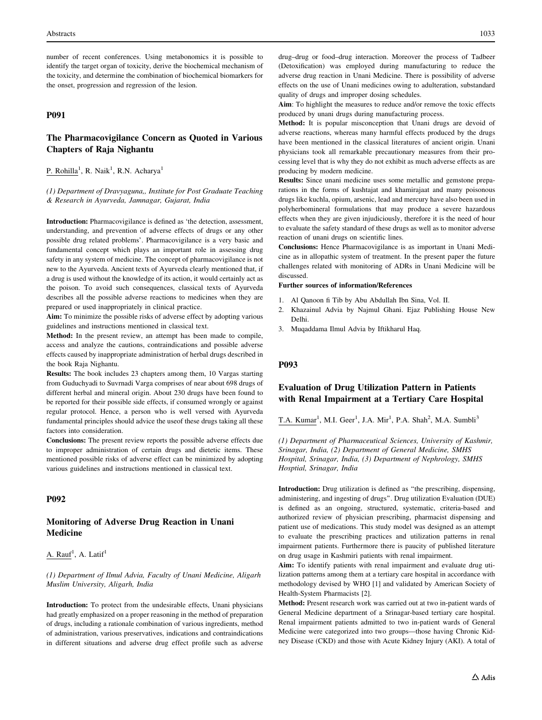number of recent conferences. Using metabonomics it is possible to identify the target organ of toxicity, derive the biochemical mechanism of the toxicity, and determine the combination of biochemical biomarkers for the onset, progression and regression of the lesion.

## P091

## The Pharmacovigilance Concern as Quoted in Various Chapters of Raja Nighantu

P. Rohilla<sup>1</sup>, R. Naik<sup>1</sup>, R.N. Acharya<sup>1</sup>

(1) Department of Dravyaguna,, Institute for Post Graduate Teaching & Research in Ayurveda, Jamnagar, Gujarat, India

Introduction: Pharmacovigilance is defined as 'the detection, assessment, understanding, and prevention of adverse effects of drugs or any other possible drug related problems'. Pharmacovigilance is a very basic and fundamental concept which plays an important role in assessing drug safety in any system of medicine. The concept of pharmacovigilance is not new to the Ayurveda. Ancient texts of Ayurveda clearly mentioned that, if a drug is used without the knowledge of its action, it would certainly act as the poison. To avoid such consequences, classical texts of Ayurveda describes all the possible adverse reactions to medicines when they are prepared or used inappropriately in clinical practice.

Aim: To minimize the possible risks of adverse effect by adopting various guidelines and instructions mentioned in classical text.

Method: In the present review, an attempt has been made to compile, access and analyze the cautions, contraindications and possible adverse effects caused by inappropriate administration of herbal drugs described in the book Raja Nighantu.

Results: The book includes 23 chapters among them, 10 Vargas starting from Guduchyadi to Suvrnadi Varga comprises of near about 698 drugs of different herbal and mineral origin. About 230 drugs have been found to be reported for their possible side effects, if consumed wrongly or against regular protocol. Hence, a person who is well versed with Ayurveda fundamental principles should advice the useof these drugs taking all these factors into consideration.

Conclusions: The present review reports the possible adverse effects due to improper administration of certain drugs and dietetic items. These mentioned possible risks of adverse effect can be minimized by adopting various guidelines and instructions mentioned in classical text.

#### P092

## Monitoring of Adverse Drug Reaction in Unani Medicine

## A. Rauf<sup>1</sup>, A. Latif<sup>1</sup>

(1) Department of Ilmul Advia, Faculty of Unani Medicine, Aligarh Muslim University, Aligarh, India

Introduction: To protect from the undesirable effects, Unani physicians had greatly emphasized on a proper reasoning in the method of preparation of drugs, including a rationale combination of various ingredients, method of administration, various preservatives, indications and contraindications in different situations and adverse drug effect profile such as adverse

drug–drug or food–drug interaction. Moreover the process of Tadbeer (Detoxification) was employed during manufacturing to reduce the adverse drug reaction in Unani Medicine. There is possibility of adverse effects on the use of Unani medicines owing to adulteration, substandard quality of drugs and improper dosing schedules.

Aim: To highlight the measures to reduce and/or remove the toxic effects produced by unani drugs during manufacturing process.

Method: It is popular misconception that Unani drugs are devoid of adverse reactions, whereas many harmful effects produced by the drugs have been mentioned in the classical literatures of ancient origin. Unani physicians took all remarkable precautionary measures from their processing level that is why they do not exhibit as much adverse effects as are producing by modern medicine.

Results: Since unani medicine uses some metallic and gemstone preparations in the forms of kushtajat and khamirajaat and many poisonous drugs like kuchla, opium, arsenic, lead and mercury have also been used in polyherbomineral formulations that may produce a severe hazardous effects when they are given injudiciously, therefore it is the need of hour to evaluate the safety standard of these drugs as well as to monitor adverse reaction of unani drugs on scientific lines.

Conclusions: Hence Pharmacovigilance is as important in Unani Medicine as in allopathic system of treatment. In the present paper the future challenges related with monitoring of ADRs in Unani Medicine will be discussed.

#### Further sources of information/References

- 1. Al Qanoon fi Tib by Abu Abdullah Ibn Sina, Vol. II.
- 2. Khazainul Advia by Najmul Ghani. Ejaz Publishing House New Delhi.
- 3. Muqaddama Ilmul Advia by Iftikharul Haq.

#### P093

## Evaluation of Drug Utilization Pattern in Patients with Renal Impairment at a Tertiary Care Hospital

T.A. Kumar<sup>1</sup>, M.I. Geer<sup>1</sup>, J.A. Mir<sup>1</sup>, P.A. Shah<sup>2</sup>, M.A. Sumbli<sup>3</sup>

(1) Department of Pharmaceutical Sciences, University of Kashmir, Srinagar, India, (2) Department of General Medicine, SMHS Hospital, Srinagar, India, (3) Department of Nephrology, SMHS Hosptial, Srinagar, India

Introduction: Drug utilization is defined as ''the prescribing, dispensing, administering, and ingesting of drugs''. Drug utilization Evaluation (DUE) is defined as an ongoing, structured, systematic, criteria-based and authorized review of physician prescribing, pharmacist dispensing and patient use of medications. This study model was designed as an attempt to evaluate the prescribing practices and utilization patterns in renal impairment patients. Furthermore there is paucity of published literature on drug usage in Kashmiri patients with renal impairment.

Aim: To identify patients with renal impairment and evaluate drug utilization patterns among them at a tertiary care hospital in accordance with methodology devised by WHO [1] and validated by American Society of Health-System Pharmacists [2].

Method: Present research work was carried out at two in-patient wards of General Medicine department of a Srinagar-based tertiary care hospital. Renal impairment patients admitted to two in-patient wards of General Medicine were categorized into two groups—those having Chronic Kidney Disease (CKD) and those with Acute Kidney Injury (AKI). A total of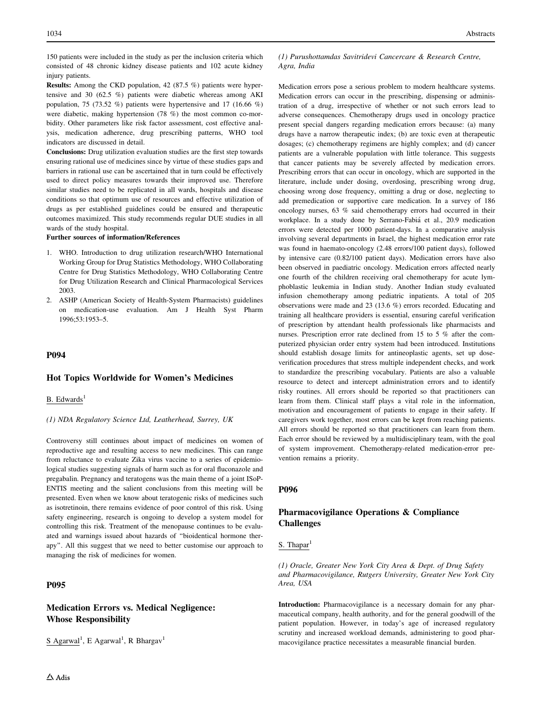150 patients were included in the study as per the inclusion criteria which consisted of 48 chronic kidney disease patients and 102 acute kidney injury patients.

Results: Among the CKD population, 42 (87.5 %) patients were hypertensive and 30 (62.5 %) patients were diabetic whereas among AKI population, 75 (73.52 %) patients were hypertensive and 17 (16.66 %) were diabetic, making hypertension (78 %) the most common co-morbidity. Other parameters like risk factor assessment, cost effective analysis, medication adherence, drug prescribing patterns, WHO tool indicators are discussed in detail.

Conclusions: Drug utilization evaluation studies are the first step towards ensuring rational use of medicines since by virtue of these studies gaps and barriers in rational use can be ascertained that in turn could be effectively used to direct policy measures towards their improved use. Therefore similar studies need to be replicated in all wards, hospitals and disease conditions so that optimum use of resources and effective utilization of drugs as per established guidelines could be ensured and therapeutic outcomes maximized. This study recommends regular DUE studies in all wards of the study hospital.

#### Further sources of information/References

- 1. WHO. Introduction to drug utilization research/WHO International Working Group for Drug Statistics Methodology, WHO Collaborating Centre for Drug Statistics Methodology, WHO Collaborating Centre for Drug Utilization Research and Clinical Pharmacological Services 2003.
- 2. ASHP (American Society of Health-System Pharmacists) guidelines on medication-use evaluation. Am J Health Syst Pharm 1996;53:1953–5.

#### P094

#### Hot Topics Worldwide for Women's Medicines

#### B. Edwards<sup>1</sup>

#### (1) NDA Regulatory Science Ltd, Leatherhead, Surrey, UK

Controversy still continues about impact of medicines on women of reproductive age and resulting access to new medicines. This can range from reluctance to evaluate Zika virus vaccine to a series of epidemiological studies suggesting signals of harm such as for oral fluconazole and pregabalin. Pregnancy and teratogens was the main theme of a joint ISoP-ENTIS meeting and the salient conclusions from this meeting will be presented. Even when we know about teratogenic risks of medicines such as isotretinoin, there remains evidence of poor control of this risk. Using safety engineering, research is ongoing to develop a system model for controlling this risk. Treatment of the menopause continues to be evaluated and warnings issued about hazards of ''bioidentical hormone therapy''. All this suggest that we need to better customise our approach to managing the risk of medicines for women.

#### P095

## Medication Errors vs. Medical Negligence: Whose Responsibility

S Agarwal<sup>1</sup>, E Agarwal<sup>1</sup>, R Bhargav<sup>1</sup>

#### (1) Purushottamdas Savitridevi Cancercare & Research Centre, Agra, India

Medication errors pose a serious problem to modern healthcare systems. Medication errors can occur in the prescribing, dispensing or administration of a drug, irrespective of whether or not such errors lead to adverse consequences. Chemotherapy drugs used in oncology practice present special dangers regarding medication errors because: (a) many drugs have a narrow therapeutic index; (b) are toxic even at therapeutic dosages; (c) chemotherapy regimens are highly complex; and (d) cancer patients are a vulnerable population with little tolerance. This suggests that cancer patients may be severely affected by medication errors. Prescribing errors that can occur in oncology, which are supported in the literature, include under dosing, overdosing, prescribing wrong drug, choosing wrong dose frequency, omitting a drug or dose, neglecting to add premedication or supportive care medication. In a survey of 186 oncology nurses, 63 % said chemotherapy errors had occurred in their workplace. In a study done by Serrano-Fabia´ et al., 20.9 medication errors were detected per 1000 patient-days. In a comparative analysis involving several departments in Israel, the highest medication error rate was found in haemato-oncology (2.48 errors/100 patient days), followed by intensive care (0.82/100 patient days). Medication errors have also been observed in paediatric oncology. Medication errors affected nearly one fourth of the children receiving oral chemotherapy for acute lymphoblastic leukemia in Indian study. Another Indian study evaluated infusion chemotherapy among pediatric inpatients. A total of 205 observations were made and 23 (13.6 %) errors recorded. Educating and training all healthcare providers is essential, ensuring careful verification of prescription by attendant health professionals like pharmacists and nurses. Prescription error rate declined from 15 to 5 % after the computerized physician order entry system had been introduced. Institutions should establish dosage limits for antineoplastic agents, set up doseverification procedures that stress multiple independent checks, and work to standardize the prescribing vocabulary. Patients are also a valuable resource to detect and intercept administration errors and to identify risky routines. All errors should be reported so that practitioners can learn from them. Clinical staff plays a vital role in the information, motivation and encouragement of patients to engage in their safety. If caregivers work together, most errors can be kept from reaching patients. All errors should be reported so that practitioners can learn from them. Each error should be reviewed by a multidisciplinary team, with the goal of system improvement. Chemotherapy-related medication-error prevention remains a priority.

#### P096

## Pharmacovigilance Operations & Compliance Challenges

#### S. Thapar<sup>1</sup>

(1) Oracle, Greater New York City Area & Dept. of Drug Safety and Pharmacovigilance, Rutgers University, Greater New York City Area, USA

Introduction: Pharmacovigilance is a necessary domain for any pharmaceutical company, health authority, and for the general goodwill of the patient population. However, in today's age of increased regulatory scrutiny and increased workload demands, administering to good pharmacovigilance practice necessitates a measurable financial burden.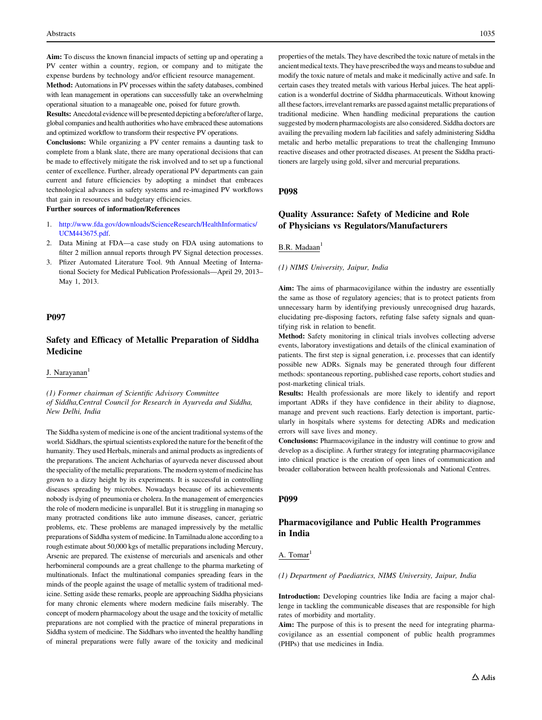Aim: To discuss the known financial impacts of setting up and operating a PV center within a country, region, or company and to mitigate the expense burdens by technology and/or efficient resource management.

Method: Automations in PV processes within the safety databases, combined with lean management in operations can successfully take an overwhelming operational situation to a manageable one, poised for future growth.

Results: Anecdotal evidence will be presented depicting a before/after of large, global companies and health authorities who have embraced these automations and optimized workflow to transform their respective PV operations.

Conclusions: While organizing a PV center remains a daunting task to complete from a blank slate, there are many operational decisions that can be made to effectively mitigate the risk involved and to set up a functional center of excellence. Further, already operational PV departments can gain current and future efficiencies by adopting a mindset that embraces technological advances in safety systems and re-imagined PV workflows that gain in resources and budgetary efficiencies.

Further sources of information/References

- 1. [http://www.fda.gov/downloads/ScienceResearch/HealthInformatics/](http://www.fda.gov/downloads/ScienceResearch/HealthInformatics/UCM443675.pdf) [UCM443675.pdf](http://www.fda.gov/downloads/ScienceResearch/HealthInformatics/UCM443675.pdf).
- 2. Data Mining at FDA—a case study on FDA using automations to filter 2 million annual reports through PV Signal detection processes.
- 3. Pfizer Automated Literature Tool. 9th Annual Meeting of International Society for Medical Publication Professionals—April 29, 2013– May 1, 2013.

#### P097

## Safety and Efficacy of Metallic Preparation of Siddha Medicine

#### J. Narayanan<sup>1</sup>

(1) Former chairman of Scientific Advisory Committee of Siddha,Central Council for Research in Ayurveda and Siddha, New Delhi, India

The Siddha system of medicine is one of the ancient traditional systems of the world. Siddhars, the spirtual scientists explored the nature for the benefit of the humanity. They used Herbals, minerals and animal products as ingredients of the preparations. The ancient Achcharias of ayurveda never discussed about the speciality of the metallic preparations. The modern system of medicine has grown to a dizzy height by its experiments. It is successful in controlling diseases spreading by microbes. Nowadays because of its achievements nobody is dying of pneumonia or cholera. In the management of emergencies the role of modern medicine is unparallel. But it is struggling in managing so many protracted conditions like auto immune diseases, cancer, geriatric problems, etc. These problems are managed impressively by the metallic preparations of Siddha system of medicine. In Tamilnadu alone according to a rough estimate about 50,000 kgs of metallic preparations including Mercury, Arsenic are prepared. The existense of mercurials and arsenicals and other herbomineral compounds are a great challenge to the pharma marketing of multinationals. Infact the multinational companies spreading fears in the minds of the people against the usage of metallic system of traditional medicine. Setting aside these remarks, people are approaching Siddha physicians for many chronic elements where modern medicine fails miserably. The concept of modern pharmacology about the usage and the toxicity of metallic preparations are not complied with the practice of mineral preparations in Siddha system of medicine. The Siddhars who invented the healthy handling of mineral preparations were fully aware of the toxicity and medicinal properties of the metals. They have described the toxic nature of metals in the ancient medical texts. They have prescribed the ways and means to subdue and modify the toxic nature of metals and make it medicinally active and safe. In certain cases they treated metals with various Herbal juices. The heat application is a wonderful doctrine of Siddha pharmaceuticals. Without knowing all these factors, irrevelant remarks are passed against metallic preparations of traditional medicine. When handling medicinal preparations the caution suggested by modern pharmacologists are also considered. Siddha doctors are availing the prevailing modern lab facilities and safely administering Siddha metalic and herbo metallic preparations to treat the challenging Immuno reactive diseases and other protracted diseases. At present the Siddha practitioners are largely using gold, silver and mercurial preparations.

#### P098

## Quality Assurance: Safety of Medicine and Role of Physicians vs Regulators/Manufacturers

#### B.R. Madaan<sup>1</sup>

#### (1) NIMS University, Jaipur, India

Aim: The aims of pharmacovigilance within the industry are essentially the same as those of regulatory agencies; that is to protect patients from unnecessary harm by identifying previously unrecognised drug hazards, elucidating pre-disposing factors, refuting false safety signals and quantifying risk in relation to benefit.

Method: Safety monitoring in clinical trials involves collecting adverse events, laboratory investigations and details of the clinical examination of patients. The first step is signal generation, i.e. processes that can identify possible new ADRs. Signals may be generated through four different methods: spontaneous reporting, published case reports, cohort studies and post-marketing clinical trials.

Results: Health professionals are more likely to identify and report important ADRs if they have confidence in their ability to diagnose, manage and prevent such reactions. Early detection is important, particularly in hospitals where systems for detecting ADRs and medication errors will save lives and money.

Conclusions: Pharmacovigilance in the industry will continue to grow and develop as a discipline. A further strategy for integrating pharmacovigilance into clinical practice is the creation of open lines of communication and broader collaboration between health professionals and National Centres.

#### P099

## Pharmacovigilance and Public Health Programmes in India

## A. Tomar<sup>1</sup>

#### (1) Department of Paediatrics, NIMS University, Jaipur, India

Introduction: Developing countries like India are facing a major challenge in tackling the communicable diseases that are responsible for high rates of morbidity and mortality.

Aim: The purpose of this is to present the need for integrating pharmacovigilance as an essential component of public health programmes (PHPs) that use medicines in India.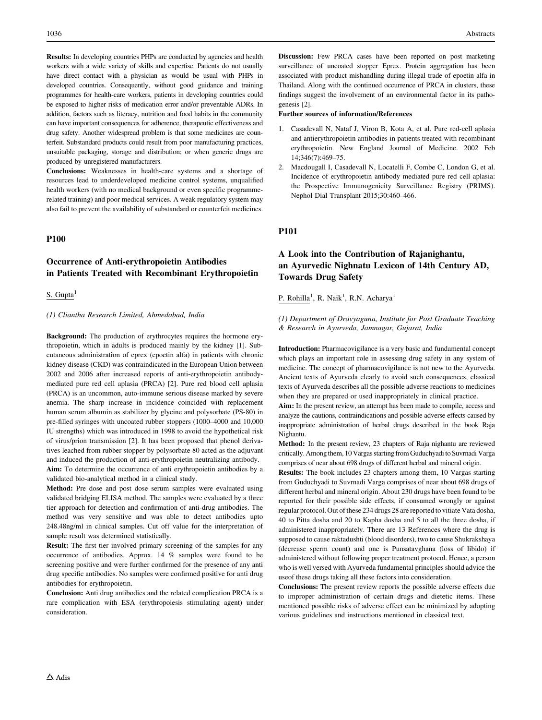Results: In developing countries PHPs are conducted by agencies and health workers with a wide variety of skills and expertise. Patients do not usually have direct contact with a physician as would be usual with PHPs in developed countries. Consequently, without good guidance and training programmes for health-care workers, patients in developing countries could be exposed to higher risks of medication error and/or preventable ADRs. In addition, factors such as literacy, nutrition and food habits in the community can have important consequences for adherence, therapeutic effectiveness and drug safety. Another widespread problem is that some medicines are counterfeit. Substandard products could result from poor manufacturing practices, unsuitable packaging, storage and distribution; or when generic drugs are produced by unregistered manufacturers.

Conclusions: Weaknesses in health-care systems and a shortage of resources lead to underdeveloped medicine control systems, unqualified health workers (with no medical background or even specific programmerelated training) and poor medical services. A weak regulatory system may also fail to prevent the availability of substandard or counterfeit medicines.

## P100

## Occurrence of Anti-erythropoietin Antibodies in Patients Treated with Recombinant Erythropoietin

S. Gupta<sup>1</sup>

#### (1) Cliantha Research Limited, Ahmedabad, India

Background: The production of erythrocytes requires the hormone erythropoietin, which in adults is produced mainly by the kidney [1]. Subcutaneous administration of eprex (epoetin alfa) in patients with chronic kidney disease (CKD) was contraindicated in the European Union between 2002 and 2006 after increased reports of anti-erythropoietin antibodymediated pure red cell aplasia (PRCA) [2]. Pure red blood cell aplasia (PRCA) is an uncommon, auto-immune serious disease marked by severe anemia. The sharp increase in incidence coincided with replacement human serum albumin as stabilizer by glycine and polysorbate (PS-80) in pre-filled syringes with uncoated rubber stoppers (1000–4000 and 10,000 IU strengths) which was introduced in 1998 to avoid the hypothetical risk of virus/prion transmission [2]. It has been proposed that phenol derivatives leached from rubber stopper by polysorbate 80 acted as the adjuvant and induced the production of anti-erythropoietin neutralizing antibody.

Aim: To determine the occurrence of anti erythropoietin antibodies by a validated bio-analytical method in a clinical study.

Method: Pre dose and post dose serum samples were evaluated using validated bridging ELISA method. The samples were evaluated by a three tier approach for detection and confirmation of anti-drug antibodies. The method was very sensitive and was able to detect antibodies upto 248.48ng/ml in clinical samples. Cut off value for the interpretation of sample result was determined statistically.

Result: The first tier involved primary screening of the samples for any occurrence of antibodies. Approx. 14 % samples were found to be screening positive and were further confirmed for the presence of any anti drug specific antibodies. No samples were confirmed positive for anti drug antibodies for erythropoietin.

Conclusion: Anti drug antibodies and the related complication PRCA is a rare complication with ESA (erythropoiesis stimulating agent) under consideration.

Discussion: Few PRCA cases have been reported on post marketing surveillance of uncoated stopper Eprex. Protein aggregation has been associated with product mishandling during illegal trade of epoetin alfa in Thailand. Along with the continued occurrence of PRCA in clusters, these findings suggest the involvement of an environmental factor in its pathogenesis [2].

#### Further sources of information/References

- 1. Casadevall N, Nataf J, Viron B, Kota A, et al. Pure red-cell aplasia and antierythropoietin antibodies in patients treated with recombinant erythropoietin. New England Journal of Medicine. 2002 Feb 14;346(7):469–75.
- 2. Macdougall I, Casadevall N, Locatelli F, Combe C, London G, et al. Incidence of erythropoietin antibody mediated pure red cell aplasia: the Prospective Immunogenicity Surveillance Registry (PRIMS). Nephol Dial Transplant 2015;30:460–466.

#### P101

## A Look into the Contribution of Rajanighantu, an Ayurvedic Nighnatu Lexicon of 14th Century AD, Towards Drug Safety

P. Rohilla<sup>1</sup>, R. Naik<sup>1</sup>, R.N. Acharya<sup>1</sup>

#### (1) Department of Dravyaguna, Institute for Post Graduate Teaching & Research in Ayurveda, Jamnagar, Gujarat, India

Introduction: Pharmacovigilance is a very basic and fundamental concept which plays an important role in assessing drug safety in any system of medicine. The concept of pharmacovigilance is not new to the Ayurveda. Ancient texts of Ayurveda clearly to avoid such consequences, classical texts of Ayurveda describes all the possible adverse reactions to medicines when they are prepared or used inappropriately in clinical practice.

Aim: In the present review, an attempt has been made to compile, access and analyze the cautions, contraindications and possible adverse effects caused by inappropriate administration of herbal drugs described in the book Raja Nighantu.

Method: In the present review, 23 chapters of Raja nighantu are reviewed critically. Among them, 10 Vargas starting from Guduchyadi to Suvrnadi Varga comprises of near about 698 drugs of different herbal and mineral origin.

Results: The book includes 23 chapters among them, 10 Vargas starting from Guduchyadi to Suvrnadi Varga comprises of near about 698 drugs of different herbal and mineral origin. About 230 drugs have been found to be reported for their possible side effects, if consumed wrongly or against regular protocol. Out of these 234 drugs 28 are reported to vitiate Vata dosha, 40 to Pitta dosha and 20 to Kapha dosha and 5 to all the three dosha, if administered inappropriately. There are 13 References where the drug is supposed to cause raktadushti (blood disorders), two to cause Shukrakshaya (decrease sperm count) and one is Punsatavghana (loss of libido) if administered without following proper treatment protocol. Hence, a person who is well versed with Ayurveda fundamental principles should advice the useof these drugs taking all these factors into consideration.

Conclusions: The present review reports the possible adverse effects due to improper administration of certain drugs and dietetic items. These mentioned possible risks of adverse effect can be minimized by adopting various guidelines and instructions mentioned in classical text.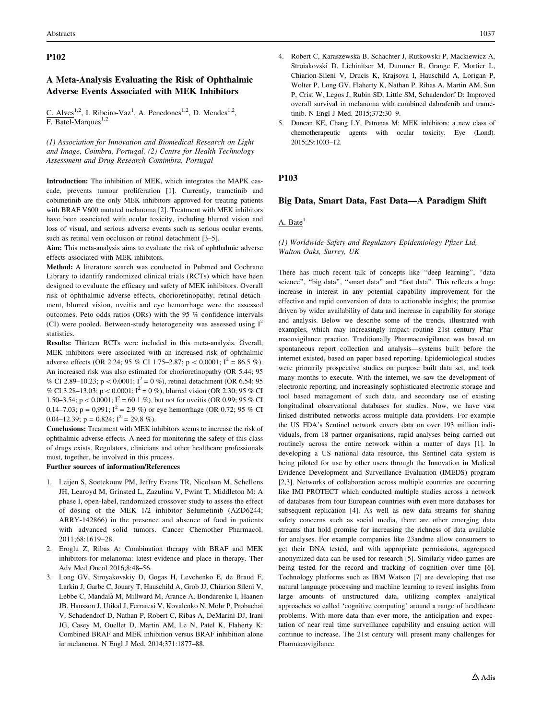## A Meta-Analysis Evaluating the Risk of Ophthalmic Adverse Events Associated with MEK Inhibitors

C. Alves<sup>1,2</sup>, I. Ribeiro-Vaz<sup>1</sup>, A. Penedones<sup>1,2</sup>, D. Mendes<sup>1,2</sup>, F. Batel-Marques<sup>1,2</sup>

(1) Association for Innovation and Biomedical Research on Light and Image, Coimbra, Portugal, (2) Centre for Health Technology Assessment and Drug Research Comimbra, Portugal

Introduction: The inhibition of MEK, which integrates the MAPK cascade, prevents tumour proliferation [1]. Currently, trametinib and cobimetinib are the only MEK inhibitors approved for treating patients with BRAF V600 mutated melanoma [2]. Treatment with MEK inhibitors have been associated with ocular toxicity, including blurred vision and loss of visual, and serious adverse events such as serious ocular events, such as retinal vein occlusion or retinal detachment [3–5].

Aim: This meta-analysis aims to evaluate the risk of ophthalmic adverse effects associated with MEK inhibitors.

Method: A literature search was conducted in Pubmed and Cochrane Library to identify randomized clinical trials (RCTs) which have been designed to evaluate the efficacy and safety of MEK inhibitors. Overall risk of ophthalmic adverse effects, chorioretinopathy, retinal detachment, blurred vision, uveitis and eye hemorrhage were the assessed outcomes. Peto odds ratios (ORs) with the 95 % confidence intervals (CI) were pooled. Between-study heterogeneity was assessed using  $I^2$ statistics.

Results: Thirteen RCTs were included in this meta-analysis. Overall, MEK inhibitors were associated with an increased risk of ophthalmic adverse effects (OR 2.24; 95 % CI 1.75–2.87; p < 0.0001;  $I^2 = 86.5$  %). An increased risk was also estimated for chorioretinopathy (OR 5.44; 95 % CI 2.89–10.23; p < 0.0001;  $I^2 = 0$  %), retinal detachment (OR 6.54; 95 % CI 3.28–13.03; p < 0.0001;  $I^2 = 0$  %), blurred vision (OR 2.30; 95 % CI 1.50–3.54; p < 0.0001;  $I^2 = 60.1 \%$ ), but not for uveitis (OR 0.99; 95 % CI 0.14–7.03; p = 0,991;  $I^2 = 2.9 \%$ ) or eye hemorrhage (OR 0.72; 95 % CI 0.04–12.39;  $p = 0.824$ ;  $I^2 = 29.8$  %).

Conclusions: Treatment with MEK inhibitors seems to increase the risk of ophthalmic adverse effects. A need for monitoring the safety of this class of drugs exists. Regulators, clinicians and other healthcare professionals must, together, be involved in this process.

#### Further sources of information/References

- 1. Leijen S, Soetekouw PM, Jeffry Evans TR, Nicolson M, Schellens JH, Learoyd M, Grinsted L, Zazulina V, Pwint T, Middleton M: A phase I, open-label, randomized crossover study to assess the effect of dosing of the MEK 1/2 inhibitor Selumetinib (AZD6244; ARRY-142866) in the presence and absence of food in patients with advanced solid tumors. Cancer Chemother Pharmacol. 2011;68:1619–28.
- 2. Eroglu Z, Ribas A: Combination therapy with BRAF and MEK inhibitors for melanoma: latest evidence and place in therapy. Ther Adv Med Oncol 2016;8:48–56.
- 3. Long GV, Stroyakovskiy D, Gogas H, Levchenko E, de Braud F, Larkin J, Garbe C, Jouary T, Hauschild A, Grob JJ, Chiarion Sileni V, Lebbe C, Mandala` M, Millward M, Arance A, Bondarenko I, Haanen JB, Hansson J, Utikal J, Ferraresi V, Kovalenko N, Mohr P, Probachai V, Schadendorf D, Nathan P, Robert C, Ribas A, DeMarini DJ, Irani JG, Casey M, Ouellet D, Martin AM, Le N, Patel K, Flaherty K: Combined BRAF and MEK inhibition versus BRAF inhibition alone in melanoma. N Engl J Med. 2014;371:1877–88.
- 4. Robert C, Karaszewska B, Schachter J, Rutkowski P, Mackiewicz A, Stroiakovski D, Lichinitser M, Dummer R, Grange F, Mortier L, Chiarion-Sileni V, Drucis K, Krajsova I, Hauschild A, Lorigan P, Wolter P, Long GV, Flaherty K, Nathan P, Ribas A, Martin AM, Sun P, Crist W, Legos J, Rubin SD, Little SM, Schadendorf D: Improved overall survival in melanoma with combined dabrafenib and trametinib. N Engl J Med. 2015;372:30–9.
- 5. Duncan KE, Chang LY, Patronas M: MEK inhibitors: a new class of chemotherapeutic agents with ocular toxicity. Eye (Lond). 2015;29:1003–12.

#### P103

#### Big Data, Smart Data, Fast Data—A Paradigm Shift

A. Bate<sup>1</sup>

#### (1) Worldwide Safety and Regulatory Epidemiology Pfizer Ltd, Walton Oaks, Surrey, UK

There has much recent talk of concepts like "deep learning", "data science", "big data", "smart data" and "fast data". This reflects a huge increase in interest in any potential capability improvement for the effective and rapid conversion of data to actionable insights; the promise driven by wider availability of data and increase in capability for storage and analysis. Below we describe some of the trends, illustrated with examples, which may increasingly impact routine 21st century Pharmacovigilance practice. Traditionally Pharmacovigilance was based on spontaneous report collection and analysis—systems built before the internet existed, based on paper based reporting. Epidemiological studies were primarily prospective studies on purpose built data set, and took many months to execute. With the internet, we saw the development of electronic reporting, and increasingly sophisticated electronic storage and tool based management of such data, and secondary use of existing longitudinal observational databases for studies. Now, we have vast linked distributed networks across multiple data providers. For example the US FDA's Sentinel network covers data on over 193 million individuals, from 18 partner organisations, rapid analyses being carried out routinely across the entire network within a matter of days [1]. In developing a US national data resource, this Sentinel data system is being piloted for use by other users through the Innovation in Medical Evidence Development and Surveillance Evaluation (IMEDS) program [2,3]. Networks of collaboration across multiple countries are occurring like IMI PROTECT which conducted multiple studies across a network of databases from four European countries with even more databases for subsequent replication [4]. As well as new data streams for sharing safety concerns such as social media, there are other emerging data streams that hold promise for increasing the richness of data available for analyses. For example companies like 23andme allow consumers to get their DNA tested, and with appropriate permissions, aggregated anonymized data can be used for research [5]. Similarly video games are being tested for the record and tracking of cognition over time [6]. Technology platforms such as IBM Watson [7] are developing that use natural language processing and machine learning to reveal insights from large amounts of unstructured data, utilizing complex analytical approaches so called 'cognitive computing' around a range of healthcare problems. With more data than ever more, the anticipation and expectation of near real time surveillance capability and ensuing action will continue to increase. The 21st century will present many challenges for Pharmacovigilance.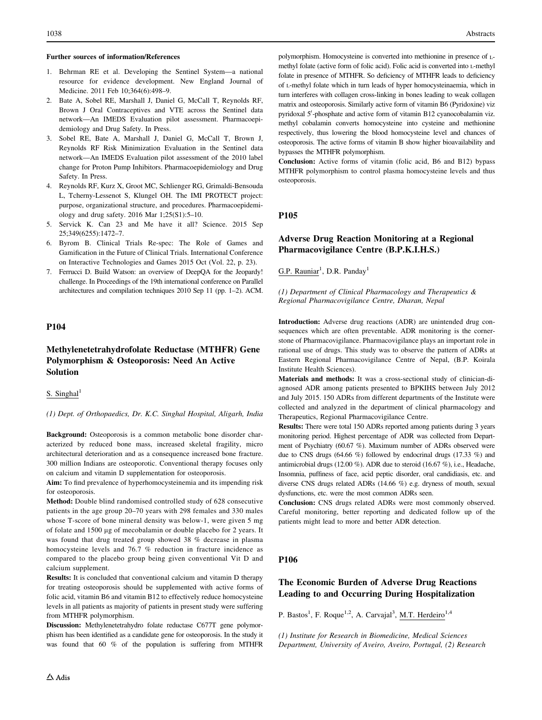#### Further sources of information/References

- 1. Behrman RE et al. Developing the Sentinel System—a national resource for evidence development. New England Journal of Medicine. 2011 Feb 10;364(6):498–9.
- 2. Bate A, Sobel RE, Marshall J, Daniel G, McCall T, Reynolds RF, Brown J Oral Contraceptives and VTE across the Sentinel data network—An IMEDS Evaluation pilot assessment. Pharmacoepidemiology and Drug Safety. In Press.
- 3. Sobel RE, Bate A, Marshall J, Daniel G, McCall T, Brown J, Reynolds RF Risk Minimization Evaluation in the Sentinel data network—An IMEDS Evaluation pilot assessment of the 2010 label change for Proton Pump Inhibitors. Pharmacoepidemiology and Drug Safety. In Press.
- 4. Reynolds RF, Kurz X, Groot MC, Schlienger RG, Grimaldi-Bensouda L, Tcherny-Lessenot S, Klungel OH. The IMI PROTECT project: purpose, organizational structure, and procedures. Pharmacoepidemiology and drug safety. 2016 Mar 1;25(S1):5–10.
- 5. Servick K. Can 23 and Me have it all? Science. 2015 Sep 25;349(6255):1472–7.
- 6. Byrom B. Clinical Trials Re-spec: The Role of Games and Gamification in the Future of Clinical Trials. International Conference on Interactive Technologies and Games 2015 Oct (Vol. 22, p. 23).
- 7. Ferrucci D. Build Watson: an overview of DeepQA for the Jeopardy! challenge. In Proceedings of the 19th international conference on Parallel architectures and compilation techniques 2010 Sep 11 (pp. 1–2). ACM.

## P104

## Methylenetetrahydrofolate Reductase (MTHFR) Gene Polymorphism & Osteoporosis: Need An Active Solution

S. Singhal<sup>1</sup>

(1) Dept. of Orthopaedics, Dr. K.C. Singhal Hospital, Aligarh, India

Background: Osteoporosis is a common metabolic bone disorder characterized by reduced bone mass, increased skeletal fragility, micro architectural deterioration and as a consequence increased bone fracture. 300 million Indians are osteoporotic. Conventional therapy focuses only on calcium and vitamin D supplementation for osteoporosis.

Aim: To find prevalence of hyperhomocysteinemia and its impending risk for osteoporosis.

Method: Double blind randomised controlled study of 628 consecutive patients in the age group 20–70 years with 298 females and 330 males whose T-score of bone mineral density was below-1, were given 5 mg of folate and 1500 µg of mecobalamin or double placebo for 2 years. It was found that drug treated group showed 38 % decrease in plasma homocysteine levels and 76.7 % reduction in fracture incidence as compared to the placebo group being given conventional Vit D and calcium supplement.

Results: It is concluded that conventional calcium and vitamin D therapy for treating osteoporosis should be supplemented with active forms of folic acid, vitamin B6 and vitamin B12 to effectively reduce homocysteine levels in all patients as majority of patients in present study were suffering from MTHFR polymorphism.

Discussion: Methylenetetrahydro folate reductase C677T gene polymorphism has been identified as a candidate gene for osteoporosis. In the study it was found that 60 % of the population is suffering from MTHFR polymorphism. Homocysteine is converted into methionine in presence of Lmethyl folate (active form of folic acid). Folic acid is converted into L-methyl folate in presence of MTHFR. So deficiency of MTHFR leads to deficiency of L-methyl folate which in turn leads of hyper homocysteinaemia, which in turn interferes with collagen cross-linking in bones leading to weak collagen matrix and osteoporosis. Similarly active form of vitamin B6 (Pyridoxine) viz pyridoxal 5'-phosphate and active form of vitamin B12 cyanocobalamin viz. methyl cobalamin converts homocysteine into cysteine and methionine respectively, thus lowering the blood homocysteine level and chances of osteoporosis. The active forms of vitamin B show higher bioavailability and bypasses the MTHFR polymorphism.

Conclusion: Active forms of vitamin (folic acid, B6 and B12) bypass MTHFR polymorphism to control plasma homocysteine levels and thus osteoporosis.

#### P105

## Adverse Drug Reaction Monitoring at a Regional Pharmacovigilance Centre (B.P.K.I.H.S.)

G.P. Rauniar<sup>1</sup>, D.R. Panday<sup>1</sup>

(1) Department of Clinical Pharmacology and Therapeutics & Regional Pharmacovigilance Centre, Dharan, Nepal

Introduction: Adverse drug reactions (ADR) are unintended drug consequences which are often preventable. ADR monitoring is the cornerstone of Pharmacovigilance. Pharmacovigilance plays an important role in rational use of drugs. This study was to observe the pattern of ADRs at Eastern Regional Pharmacovigilance Centre of Nepal, (B.P. Koirala Institute Health Sciences).

Materials and methods: It was a cross-sectional study of clinician-diagnosed ADR among patients presented to BPKIHS between July 2012 and July 2015. 150 ADRs from different departments of the Institute were collected and analyzed in the department of clinical pharmacology and Therapeutics, Regional Pharmacovigilance Centre.

Results: There were total 150 ADRs reported among patients during 3 years monitoring period. Highest percentage of ADR was collected from Department of Psychiatry (60.67 %). Maximum number of ADRs observed were due to CNS drugs (64.66 %) followed by endocrinal drugs (17.33 %) and antimicrobial drugs (12.00 %). ADR due to steroid (16.67 %), i.e., Headache, Insomnia, puffiness of face, acid peptic disorder, oral candidiasis, etc. and diverse CNS drugs related ADRs (14.66 %) e.g. dryness of mouth, sexual dysfunctions, etc. were the most common ADRs seen.

Conclusion: CNS drugs related ADRs were most commonly observed. Careful monitoring, better reporting and dedicated follow up of the patients might lead to more and better ADR detection.

## P106

## The Economic Burden of Adverse Drug Reactions Leading to and Occurring During Hospitalization

P. Bastos<sup>1</sup>, F. Roque<sup>1,2</sup>, A. Carvajal<sup>3</sup>, M.T. Herdeiro<sup>1,4</sup>

(1) Institute for Research in Biomedicine, Medical Sciences Department, University of Aveiro, Aveiro, Portugal, (2) Research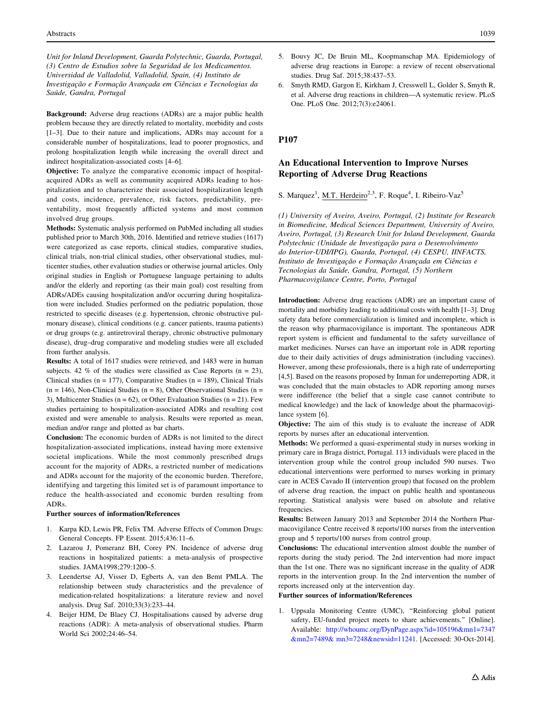Unit for Inland Development, Guarda Polytechnic, Guarda, Portugal, (3) Centro de Estudios sobre la Seguridad de los Medicamentos. Universidad de Valladolid, Valladolid, Spain, (4) Instituto de Investigação e Formação Avançada em Ciências e Tecnologias da Saúde, Gandra, Portugal

Background: Adverse drug reactions (ADRs) are a major public health problem because they are directly related to mortality, morbidity and costs [1–3]. Due to their nature and implications, ADRs may account for a considerable number of hospitalizations, lead to poorer prognostics, and prolong hospitalization length while increasing the overall direct and indirect hospitalization-associated costs [4–6].

Objective: To analyze the comparative economic impact of hospitalacquired ADRs as well as community acquired ADRs leading to hospitalization and to characterize their associated hospitalization length and costs, incidence, prevalence, risk factors, predictability, preventability, most frequently afflicted systems and most common involved drug groups.

Methods: Systematic analysis performed on PubMed including all studies published prior to March 30th, 2016. Identified and retrieve studies (1617) were categorized as case reports, clinical studies, comparative studies, clinical trials, non-trial clinical studies, other observational studies, multicenter studies, other evaluation studies or otherwise journal articles. Only original studies in English or Portuguese language pertaining to adults and/or the elderly and reporting (as their main goal) cost resulting from ADRs/ADEs causing hospitalization and/or occurring during hospitalization were included. Studies performed on the pediatric population, those restricted to specific diseases (e.g. hypertension, chronic obstructive pulmonary disease), clinical conditions (e.g. cancer patients, trauma patients) or drug groups (e.g. antiretroviral therapy, chronic obstructive pulmonary disease), drug–drug comparative and modeling studies were all excluded from further analysis.

Results: A total of 1617 studies were retrieved, and 1483 were in human subjects. 42 % of the studies were classified as Case Reports  $(n = 23)$ , Clinical studies ( $n = 177$ ), Comparative Studies ( $n = 189$ ), Clinical Trials  $(n = 146)$ , Non-Clinical Studies  $(n = 8)$ , Other Observational Studies  $(n = 146)$ 3), Multicenter Studies ( $n = 62$ ), or Other Evaluation Studies ( $n = 21$ ). Few studies pertaining to hospitalization-associated ADRs and resulting cost existed and were amenable to analysis. Results were reported as mean, median and/or range and plotted as bar charts.

Conclusion: The economic burden of ADRs is not limited to the direct hospitalization-associated implications, instead having more extensive societal implications. While the most commonly prescribed drugs account for the majority of ADRs, a restricted number of medications and ADRs account for the majority of the economic burden. Therefore, identifying and targeting this limited set is of paramount importance to reduce the health-associated and economic burden resulting from ADRs.

#### Further sources of information/References

- 1. Karpa KD, Lewis PR, Felix TM. Adverse Effects of Common Drugs: General Concepts. FP Essent. 2015;436:11–6.
- 2. Lazarou J, Pomeranz BH, Corey PN. Incidence of adverse drug reactions in hospitalized patients: a meta-analysis of prospective studies. JAMA1998;279:1200–5.
- 3. Leendertse AJ, Visser D, Egberts A, van den Bemt PMLA. The relationship between study characteristics and the prevalence of medication-related hospitalizations: a literature review and novel analysis. Drug Saf. 2010;33(3):233–44.
- 4. Beijer HJM, De Blaey CJ. Hospitalisations caused by adverse drug reactions (ADR): A meta-analysis of observational studies. Pharm World Sci 2002;24:46–54.
- 5. Bouvy JC, De Bruin ML, Koopmanschap MA. Epidemiology of adverse drug reactions in Europe: a review of recent observational studies. Drug Saf. 2015;38:437–53.
- 6. Smyth RMD, Gargon E, Kirkham J, Cresswell L, Golder S, Smyth R, et al. Adverse drug reactions in children—A systematic review. PLoS One. PLoS One. 2012;7(3):e24061.

#### P<sub>107</sub>

## An Educational Intervention to Improve Nurses Reporting of Adverse Drug Reactions

## S. Marquez<sup>1</sup>, M.T. Herdeiro<sup>2,3</sup>, F. Roque<sup>4</sup>, I. Ribeiro-Vaz<sup>5</sup>

(1) University of Aveiro, Aveiro, Portugal, (2) Institute for Research in Biomedicine, Medical Sciences Department, University of Aveiro, Aveiro, Portugal, (3) Research Unit for Inland Development, Guarda Polytechnic (Unidade de Investigação para o Desenvolvimento do Interior-UDI/IPG), Guarda, Portugal, (4) CESPU, IINFACTS, Instituto de Investigação e Formação Avançada em Ciências e Tecnologias da Saúde, Gandra, Portugal, (5) Northern Pharmacovigilance Centre, Porto, Portugal

Introduction: Adverse drug reactions (ADR) are an important cause of mortality and morbidity leading to additional costs with health [1–3]. Drug safety data before commercialization is limited and incomplete, which is the reason why pharmacovigilance is important. The spontaneous ADR report system is efficient and fundamental to the safety surveillance of market medicines. Nurses can have an important role in ADR reporting due to their daily activities of drugs administration (including vaccines). However, among these professionals, there is a high rate of underreporting [4,5]. Based on the reasons proposed by Inman for underreporting ADR, it was concluded that the main obstacles to ADR reporting among nurses were indifference (the belief that a single case cannot contribute to medical knowledge) and the lack of knowledge about the pharmacovigilance system [6].

Objective: The aim of this study is to evaluate the increase of ADR reports by nurses after an educational intervention.

Methods: We performed a quasi-experimental study in nurses working in primary care in Braga district, Portugal. 113 individuals were placed in the intervention group while the control group included 590 nurses. Two educational interventions were performed to nurses working in primary care in ACES Cavado II (intervention group) that focused on the problem of adverse drug reaction, the impact on public health and spontaneous reporting. Statistical analysis were based on absolute and relative frequencies.

Results: Between January 2013 and September 2014 the Northern Pharmacovigilance Centre received 8 reports/100 nurses from the intervention group and 5 reports/100 nurses from control group.

Conclusions: The educational intervention almost double the number of reports during the study period. The 2nd intervention had more impact than the 1st one. There was no significant increase in the quality of ADR reports in the intervention group. In the 2nd intervention the number of reports increased only at the intervention day.

#### Further sources of information/References

1. Uppsala Monitoring Centre (UMC), ''Reinforcing global patient safety, EU-funded project meets to share achievements.'' [Online]. Available: [http://whoumc.org/DynPage.aspx?id=105196&mn1=7347](http://whoumc.org/DynPage.aspx?id=105196&mn1=7347&mn2=7489&mn3=7248&newsid=11241) [&mn2=7489& mn3=7248&newsid=11241](http://whoumc.org/DynPage.aspx?id=105196&mn1=7347&mn2=7489&mn3=7248&newsid=11241). [Accessed: 30-Oct-2014].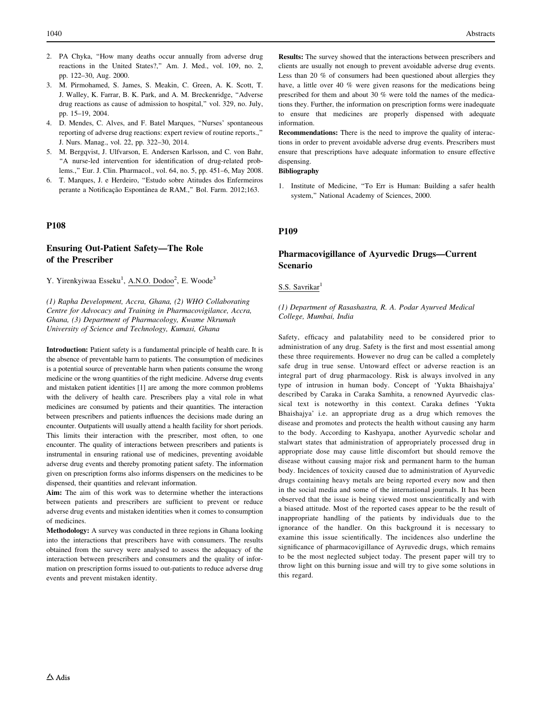- 2. PA Chyka, ''How many deaths occur annually from adverse drug reactions in the United States?," Am. J. Med., vol. 109, no. 2, pp. 122–30, Aug. 2000.
- 3. M. Pirmohamed, S. James, S. Meakin, C. Green, A. K. Scott, T. J. Walley, K. Farrar, B. K. Park, and A. M. Breckenridge, ''Adverse drug reactions as cause of admission to hospital,'' vol. 329, no. July, pp. 15–19, 2004.
- 4. D. Mendes, C. Alves, and F. Batel Marques, ''Nurses' spontaneous reporting of adverse drug reactions: expert review of routine reports.,'' J. Nurs. Manag., vol. 22, pp. 322–30, 2014.
- 5. M. Bergqvist, J. Ulfvarson, E. Andersen Karlsson, and C. von Bahr, ''A nurse-led intervention for identification of drug-related problems.,'' Eur. J. Clin. Pharmacol., vol. 64, no. 5, pp. 451–6, May 2008.
- 6. T. Marques, J. e Herdeiro, ''Estudo sobre Atitudes dos Enfermeiros perante a Notificação Espontânea de RAM.," Bol. Farm. 2012;163.

## Ensuring Out-Patient Safety—The Role of the Prescriber

Y. Yirenkyiwaa Esseku<sup>1</sup>, A.N.O. Dodoo<sup>2</sup>, E. Woode<sup>3</sup>

(1) Rapha Development, Accra, Ghana, (2) WHO Collaborating Centre for Advocacy and Training in Pharmacovigilance, Accra, Ghana, (3) Department of Pharmacology, Kwame Nkrumah University of Science and Technology, Kumasi, Ghana

Introduction: Patient safety is a fundamental principle of health care. It is the absence of preventable harm to patients. The consumption of medicines is a potential source of preventable harm when patients consume the wrong medicine or the wrong quantities of the right medicine. Adverse drug events and mistaken patient identities [1] are among the more common problems with the delivery of health care. Prescribers play a vital role in what medicines are consumed by patients and their quantities. The interaction between prescribers and patients influences the decisions made during an encounter. Outpatients will usually attend a health facility for short periods. This limits their interaction with the prescriber, most often, to one encounter. The quality of interactions between prescribers and patients is instrumental in ensuring rational use of medicines, preventing avoidable adverse drug events and thereby promoting patient safety. The information given on prescription forms also informs dispensers on the medicines to be dispensed, their quantities and relevant information.

Aim: The aim of this work was to determine whether the interactions between patients and prescribers are sufficient to prevent or reduce adverse drug events and mistaken identities when it comes to consumption of medicines.

Methodology: A survey was conducted in three regions in Ghana looking into the interactions that prescribers have with consumers. The results obtained from the survey were analysed to assess the adequacy of the interaction between prescribers and consumers and the quality of information on prescription forms issued to out-patients to reduce adverse drug events and prevent mistaken identity.

Results: The survey showed that the interactions between prescribers and clients are usually not enough to prevent avoidable adverse drug events. Less than 20 % of consumers had been questioned about allergies they have, a little over 40 % were given reasons for the medications being prescribed for them and about 30 % were told the names of the medications they. Further, the information on prescription forms were inadequate to ensure that medicines are properly dispensed with adequate information.

Recommendations: There is the need to improve the quality of interactions in order to prevent avoidable adverse drug events. Prescribers must ensure that prescriptions have adequate information to ensure effective dispensing.

## Bibliography

1. Institute of Medicine, ''To Err is Human: Building a safer health system,'' National Academy of Sciences, 2000.

## P109

## Pharmacovigillance of Ayurvedic Drugs—Current Scenario

## S.S. Savrikar<sup>1</sup>

#### (1) Department of Rasashastra, R. A. Podar Ayurved Medical College, Mumbai, India

Safety, efficacy and palatability need to be considered prior to administration of any drug. Safety is the first and most essential among these three requirements. However no drug can be called a completely safe drug in true sense. Untoward effect or adverse reaction is an integral part of drug pharmacology. Risk is always involved in any type of intrusion in human body. Concept of 'Yukta Bhaishajya' described by Caraka in Caraka Samhita, a renowned Ayurvedic classical text is noteworthy in this context. Caraka defines 'Yukta Bhaishajya' i.e. an appropriate drug as a drug which removes the disease and promotes and protects the health without causing any harm to the body. According to Kashyapa, another Ayurvedic scholar and stalwart states that administration of appropriately processed drug in appropriate dose may cause little discomfort but should remove the disease without causing major risk and permanent harm to the human body. Incidences of toxicity caused due to administration of Ayurvedic drugs containing heavy metals are being reported every now and then in the social media and some of the international journals. It has been observed that the issue is being viewed most unscientifically and with a biased attitude. Most of the reported cases appear to be the result of inappropriate handling of the patients by individuals due to the ignorance of the handler. On this background it is necessary to examine this issue scientifically. The incidences also underline the significance of pharmacovigillance of Ayruvedic drugs, which remains to be the most neglected subject today. The present paper will try to throw light on this burning issue and will try to give some solutions in this regard.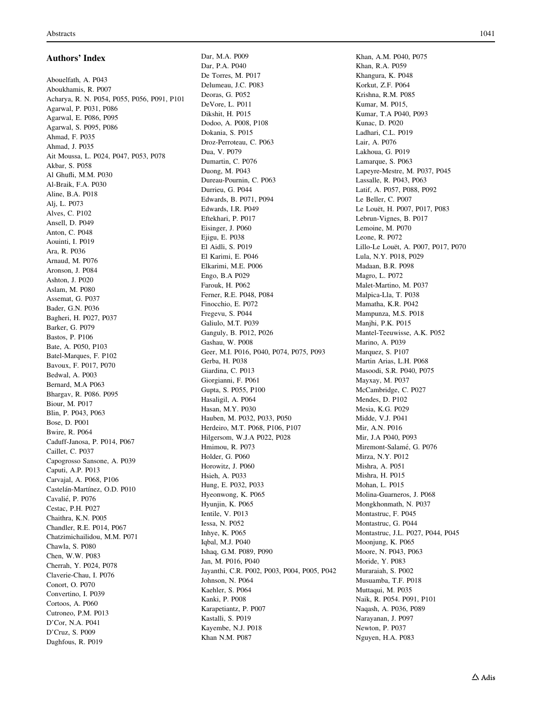## Authors' Index

Abouelfath, A. P043 Aboukhamis, R. P007 Acharya, R. N. P054, P055, P056, P091, P101 Agarwal, P. P031, P086 Agarwal, E. P086, P095 Agarwal, S. P095, P086 Ahmad, F. P035 Ahmad, J. P035 Ait Moussa, L. P024, P047, P053, P078 Akbar, S. P058 Al Ghufli, M.M. P030 Al-Braik, F.A. P030 Aline, B.A. P018 Alj, L. P073 Alves, C. P102 Ansell, D. P049 Anton, C. P048 Aouinti, I. P019 Ara, R. P036 Arnaud, M. P076 Aronson, J. P084 Ashton, J. P020 Aslam, M. P080 Assemat, G. P037 Bader, G.N. P036 Bagheri, H. P027, P037 Barker, G. P079 Bastos, P. P106 Bate, A. P050, P103 Batel-Marques, F. P102 Bavoux, F. P017, P070 Bedwal, A. P003 Bernard, M.A P063 Bhargav, R. P086. P095 Biour, M. P017 Blin, P. P043, P063 Bose, D. P001 Bwire, R. P064 Caduff-Janosa, P. P014, P067 Caillet, C. P037 Capogrosso Sansone, A. P039 Caputi, A.P. P013 Carvajal, A. P068, P106 Castelán-Martínez, O.D. P010 Cavalie´, P. P076 Cestac, P.H. P027 Chaithra, K.N. P005 Chandler, R.E. P014, P067 Chatzimichailidou, M.M. P071 Chawla, S. P080 Chen, W.W. P083 Cherrah, Y. P024, P078 Claverie-Chau, I. P076 Conort, O. P070 Convertino, I. P039 Cortoos, A. P060 Cutroneo, P.M. P013 D'Cor, N.A. P041 D'Cruz, S. P009 Daghfous, R. P019

Dar, M.A. P009 Dar, P.A. P040 De Torres, M. P017 Delumeau, J.C. P083 Deoras, G. P052 DeVore, L. P011 Dikshit, H. P015 Dodoo, A. P008, P108 Dokania, S. P015 Droz-Perroteau, C. P063 Dua, V. P079 Dumartin, C. P076 Duong, M. P043 Dureau-Pournin, C. P063 Durrieu, G. P044 Edwards, B. P071, P094 Edwards, I.R. P049 Eftekhari, P. P017 Eisinger, J. P060 Ejigu, E. P038 El Aidli, S. P019 El Karimi, E. P046 Elkarimi, M.E. P006 Engo, B.A P029 Farouk, H. P062 Ferner, R.E. P048, P084 Finocchio, E. P072 Fregevu, S. P044 Galiulo, M.T. P039 Ganguly, B. P012, P026 Gashau, W. P008 Geer, M.I. P016, P040, P074, P075, P093 Gerba, H. P038 Giardina, C. P013 Giorgianni, F. P061 Gupta, S. P055, P100 Hasaligil, A. P064 Hasan, M.Y. P030 Hauben, M. P032, P033, P050 Herdeiro, M.T. P068, P106, P107 Hilgersom, W.J.A P022, P028 Hmimou, R. P073 Holder, G. P060 Horowitz, J. P060 Hsieh, A. P033 Hung, E. P032, P033 Hyeonwong, K. P065 Hyunjin, K. P065 Ientile, V. P013 Iessa, N. P052 Inhye, K. P065 Iqbal, M.J. P040 Ishaq, G.M. P089, P090 Jan, M. P016, P040 Jayanthi, C.R. P002, P003, P004, P005, P042 Johnson, N. P064 Kaehler, S. P064 Kanki, P. P008 Karapetiantz, P. P007 Kastalli, S. P019 Kayembe, N.J. P018 Khan N.M. P087

Khan, A.M. P040, P075 Khan, R.A. P059 Khangura, K. P048 Korkut, Z.F. P064 Krishna, R.M. P085 Kumar, M. P015, Kumar, T.A P040, P093 Kunac, D. P020 Ladhari, C.L. P019 Lair, A. P076 Lakhoua, G. P019 Lamarque, S. P063 Lapeyre-Mestre, M. P037, P045 Lassalle, R. P043, P063 Latif, A. P057, P088, P092 Le Beller, C. P007 Le Louët, H. P007, P017, P083 Lebrun-Vignes, B. P017 Lemoine, M. P070 Leone, R. P072 Lillo-Le Louët, A. P007, P017, P070 Lula, N.Y. P018, P029 Madaan, B.R. P098 Magro, L. P072 Malet-Martino, M. P037 Malpica-Lla, T. P038 Mamatha, K.R. P042 Mampunza, M.S. P018 Manjhi, P.K. P015 Mantel-Teeuwisse, A.K. P052 Marino, A. P039 Marquez, S. P107 Martin Arias, L.H. P068 Masoodi, S.R. P040, P075 Mayxay, M. P037 McCambridge, C. P027 Mendes, D. P102 Mesia, K.G. P029 Midde, V.J. P041 Mir, A.N. P016 Mir, J.A P040, P093 Miremont-Salamé, G. P076 Mirza, N.Y. P012 Mishra, A. P051 Mishra, H. P015 Mohan, L. P015 Molina-Guarneros, J. P068 Mongkhonmath, N. P037 Montastruc, F. P045 Montastruc, G. P044 Montastruc, J.L. P027, P044, P045 Moonjung, K. P065 Moore, N. P043, P063 Moride, Y. P083 Muraraiah, S. P002 Musuamba, T.F. P018 Muttaqui, M. P035 Naik, R. P054. P091, P101 Naqash, A. P036, P089 Narayanan, J. P097 Newton, P. P037 Nguyen, H.A. P083